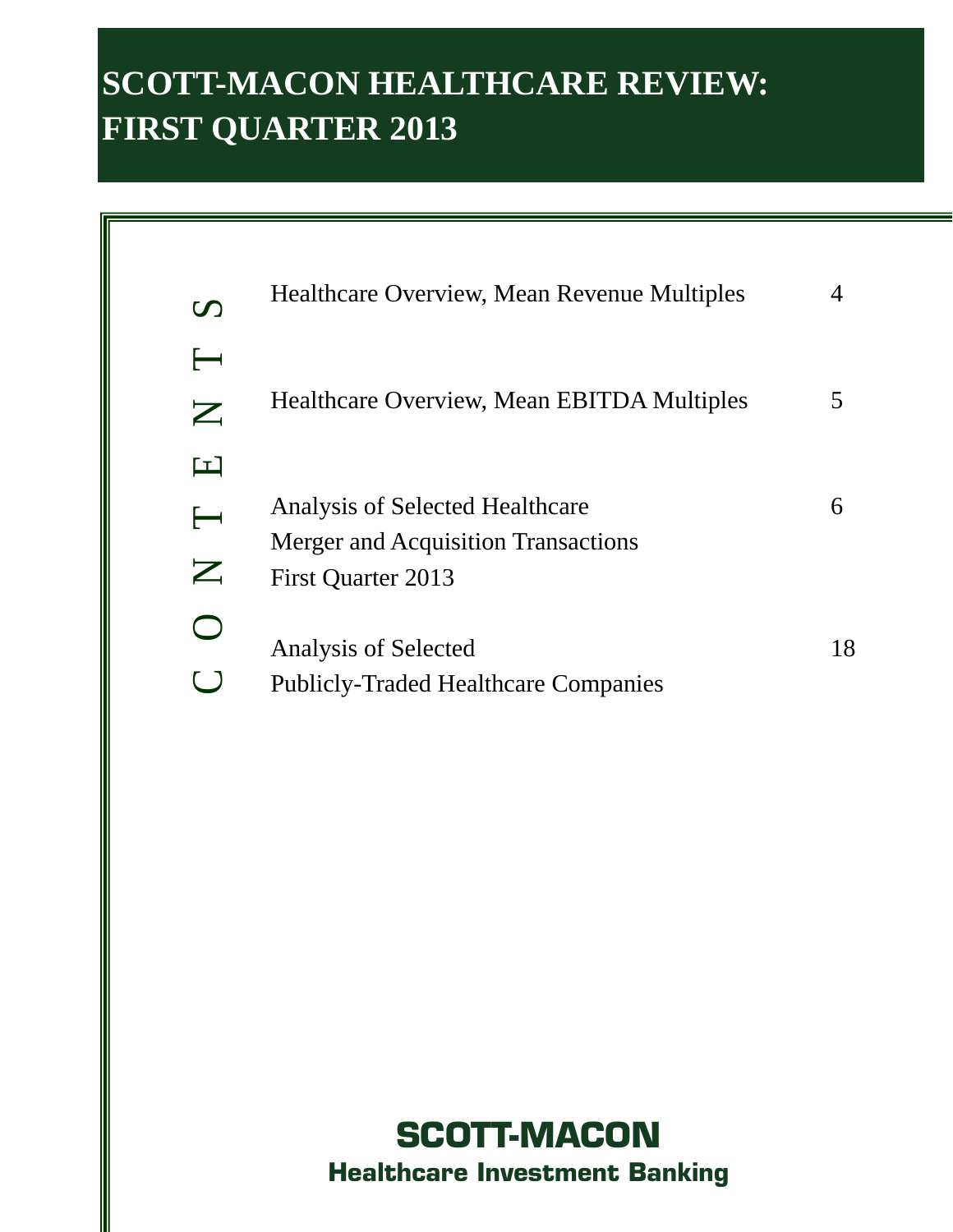# **SCOTT-MACON HEALTHCARE REVIEW: FIRST QUARTER 2013**

| $\boldsymbol{U}$                                            | Healthcare Overview, Mean Revenue Multiples                                                         | 4  |
|-------------------------------------------------------------|-----------------------------------------------------------------------------------------------------|----|
| $\mathbf{Z}% _{T}=\mathbf{Z}_{T}$                           | Healthcare Overview, Mean EBITDA Multiples                                                          |    |
| $\Box$<br>$\leftarrow$<br>$\mathbf{Z}% _{T}=\mathbf{Z}_{T}$ | Analysis of Selected Healthcare<br><b>Merger and Acquisition Transactions</b><br>First Quarter 2013 | 6  |
|                                                             | Analysis of Selected<br><b>Publicly-Traded Healthcare Companies</b>                                 | 18 |

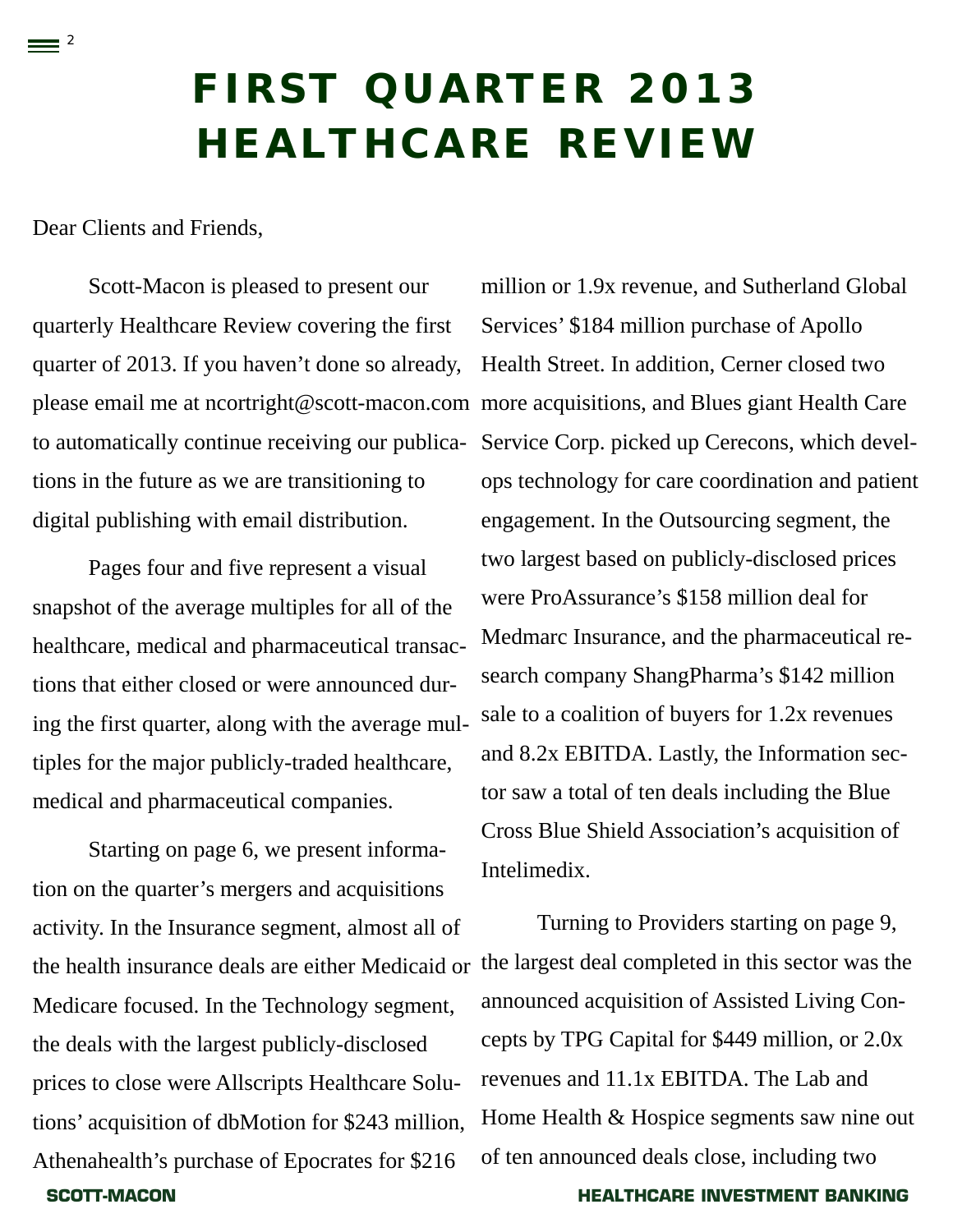# **FIRST QUARTER 2013 HEALTHCARE REVIEW**

Dear Clients and Friends,

 $\equiv$  <sup>2</sup>

Scott-Macon is pleased to present our quarterly Healthcare Review covering the first quarter of 2013. If you haven't done so already, to automatically continue receiving our publications in the future as we are transitioning to digital publishing with email distribution.

Pages four and five represent a visual snapshot of the average multiples for all of the healthcare, medical and pharmaceutical transactions that either closed or were announced during the first quarter, along with the average multiples for the major publicly-traded healthcare, medical and pharmaceutical companies.

**SCOTT-MACON HEALTHCARE INVESTMENT BANKING**  Starting on page 6, we present information on the quarter's mergers and acquisitions activity. In the Insurance segment, almost all of the health insurance deals are either Medicaid or Medicare focused. In the Technology segment, the deals with the largest publicly-disclosed prices to close were Allscripts Healthcare Solutions' acquisition of dbMotion for \$243 million, Athenahealth's purchase of Epocrates for \$216

please email me at ncortright@scott-macon.com more acquisitions, and Blues giant Health Care million or 1.9x revenue, and Sutherland Global Services' \$184 million purchase of Apollo Health Street. In addition, Cerner closed two Service Corp. picked up Cerecons, which develops technology for care coordination and patient engagement. In the Outsourcing segment, the two largest based on publicly-disclosed prices were ProAssurance's \$158 million deal for Medmarc Insurance, and the pharmaceutical research company ShangPharma's \$142 million sale to a coalition of buyers for 1.2x revenues and 8.2x EBITDA. Lastly, the Information sector saw a total of ten deals including the Blue Cross Blue Shield Association's acquisition of Intelimedix.

> Turning to Providers starting on page 9, the largest deal completed in this sector was the announced acquisition of Assisted Living Concepts by TPG Capital for \$449 million, or 2.0x revenues and 11.1x EBITDA. The Lab and Home Health & Hospice segments saw nine out of ten announced deals close, including two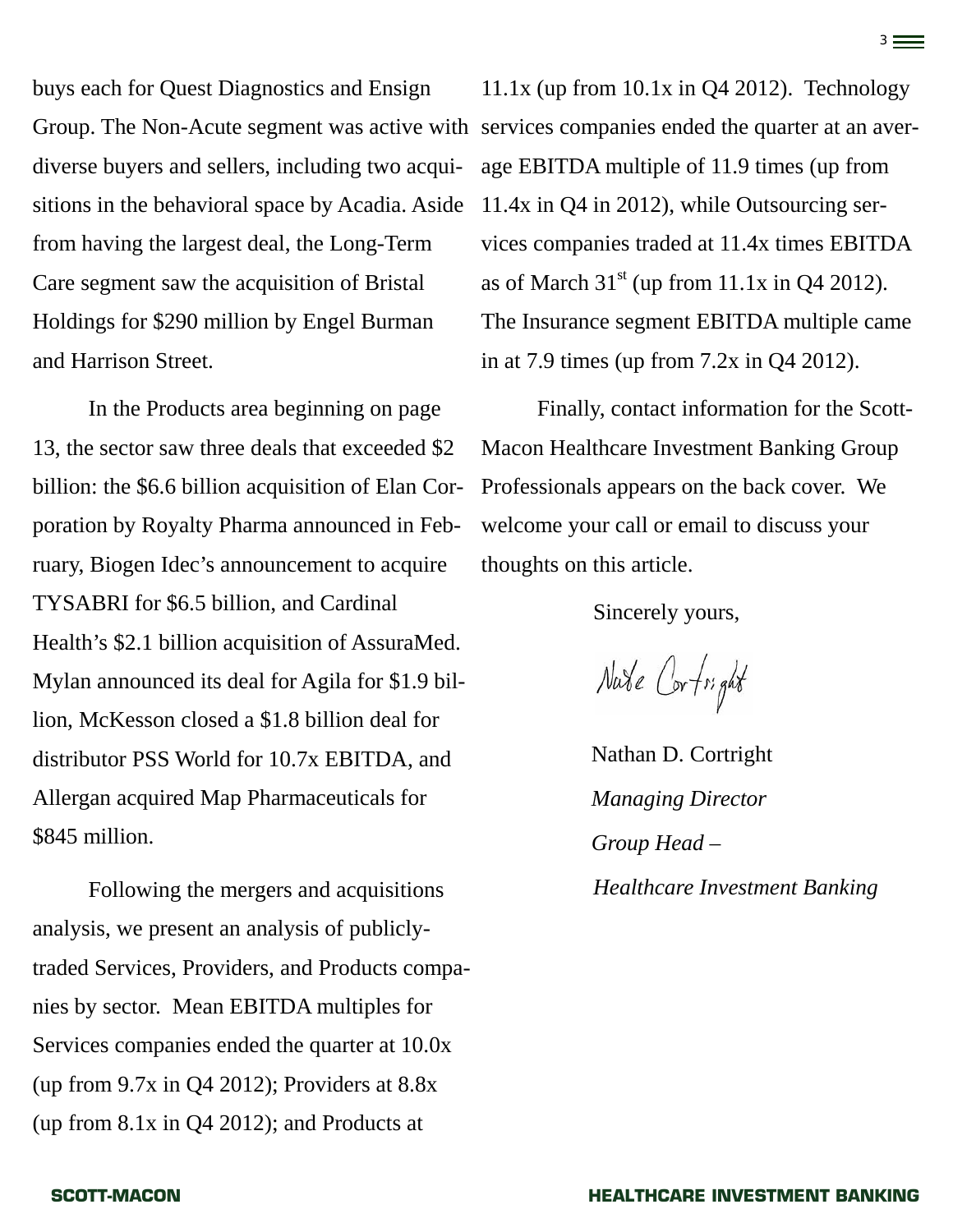buys each for Quest Diagnostics and Ensign diverse buyers and sellers, including two acquisitions in the behavioral space by Acadia. Aside from having the largest deal, the Long-Term Care segment saw the acquisition of Bristal Holdings for \$290 million by Engel Burman and Harrison Street.

In the Products area beginning on page 13, the sector saw three deals that exceeded \$2 billion: the \$6.6 billion acquisition of Elan Corporation by Royalty Pharma announced in February, Biogen Idec's announcement to acquire TYSABRI for \$6.5 billion, and Cardinal Health's \$2.1 billion acquisition of AssuraMed. Mylan announced its deal for Agila for \$1.9 billion, McKesson closed a \$1.8 billion deal for distributor PSS World for 10.7x EBITDA, and Allergan acquired Map Pharmaceuticals for \$845 million.

Following the mergers and acquisitions analysis, we present an analysis of publiclytraded Services, Providers, and Products companies by sector. Mean EBITDA multiples for Services companies ended the quarter at 10.0x (up from 9.7x in Q4 2012); Providers at 8.8x (up from 8.1x in Q4 2012); and Products at

Group. The Non-Acute segment was active with services companies ended the quarter at an aver-11.1x (up from  $10.1x$  in Q4 2012). Technology age EBITDA multiple of 11.9 times (up from 11.4x in Q4 in 2012), while Outsourcing services companies traded at 11.4x times EBITDA as of March  $31<sup>st</sup>$  (up from 11.1x in Q4 2012). The Insurance segment EBITDA multiple came in at 7.9 times (up from 7.2x in Q4 2012).

3

Finally, contact information for the Scott-Macon Healthcare Investment Banking Group Professionals appears on the back cover. We welcome your call or email to discuss your thoughts on this article.

Sincerely yours,

Nate Cortright

Nathan D. Cortright *Managing Director Group Head – Healthcare Investment Banking*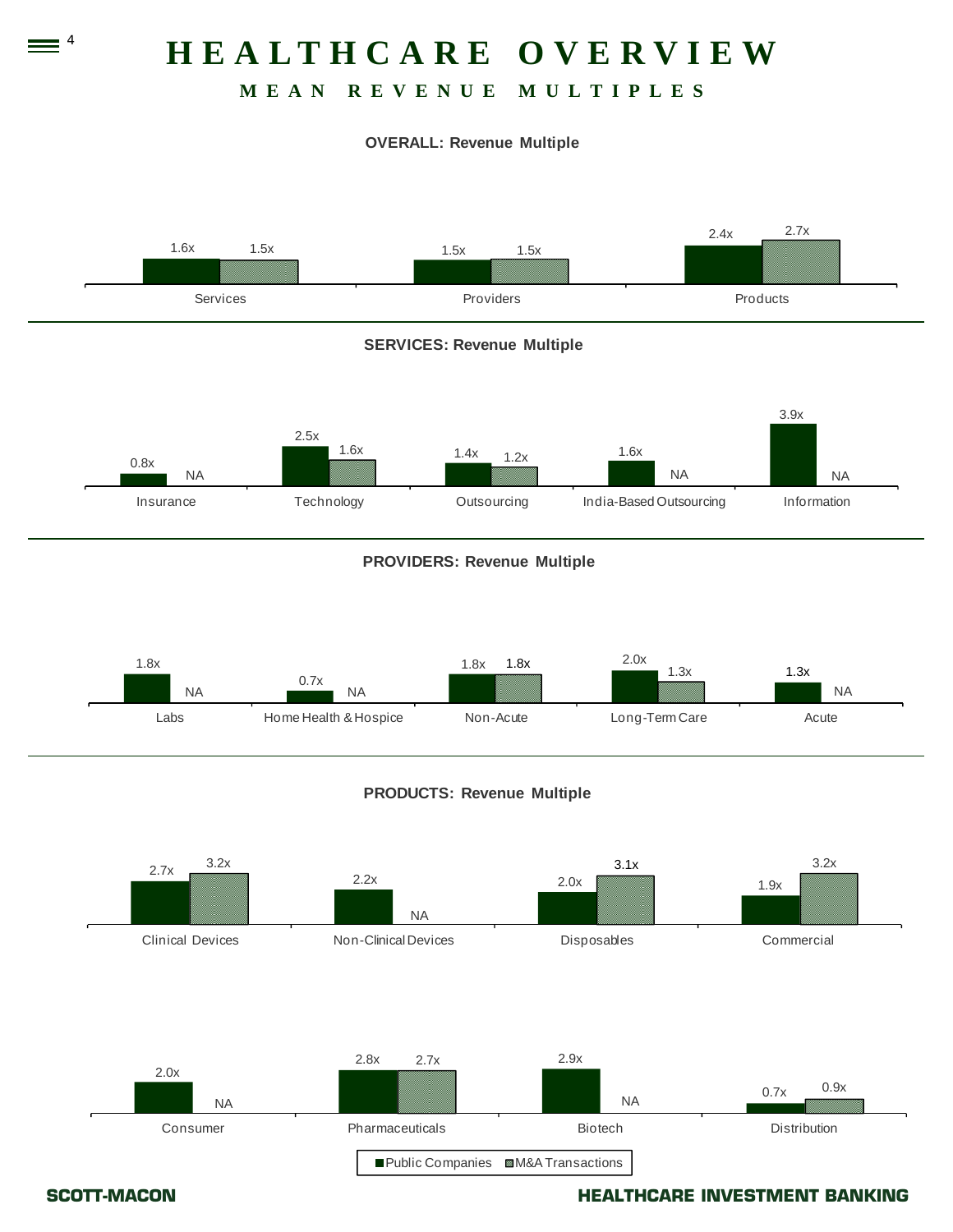# **HEALTHCARE OVERVIEW**

# **MEAN REVENUE MULTIPLES**

### **OVERALL: Revenue Multiple**



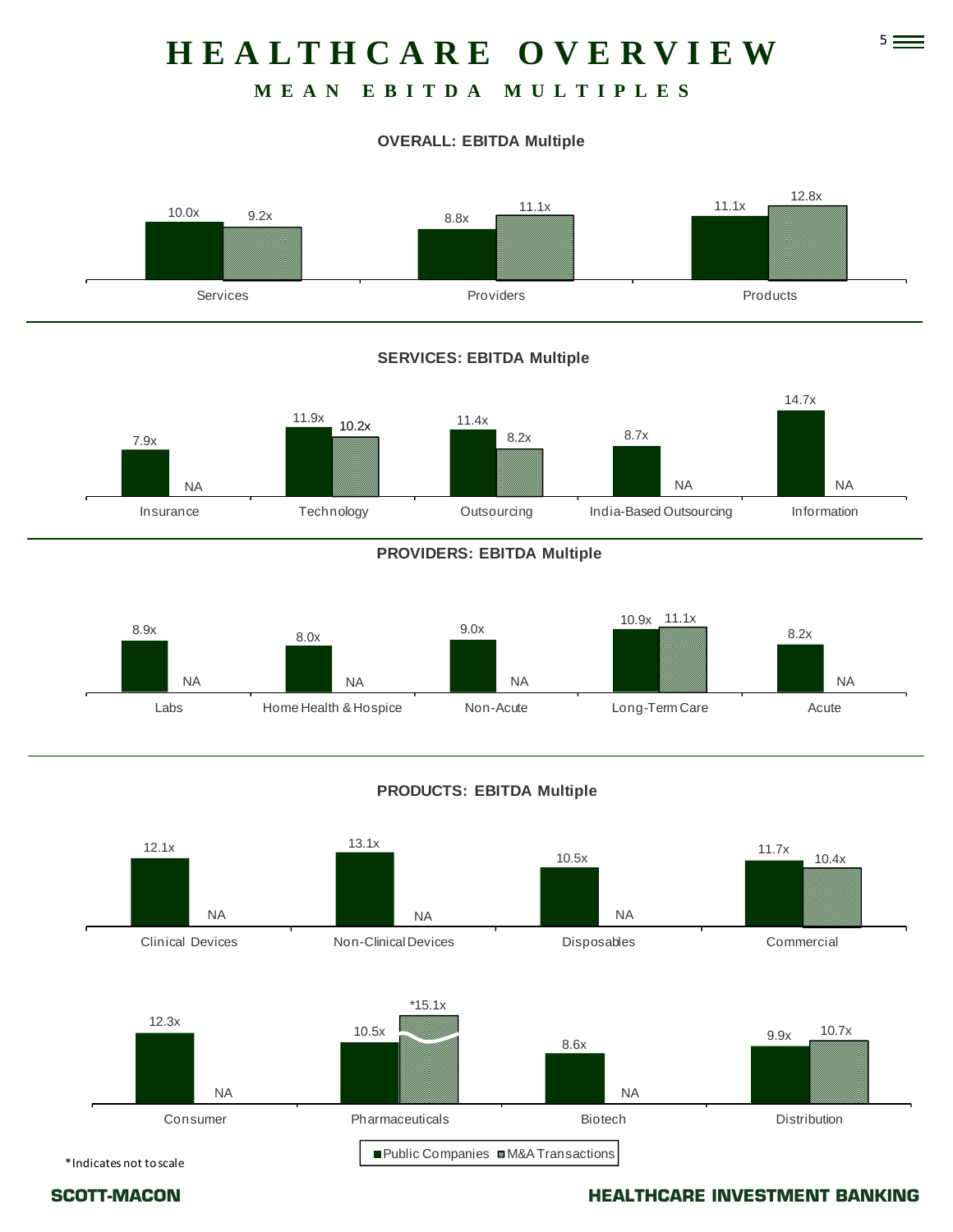# 5 **HEALTHCARE OVERVIEW**

# **MEAN EBITDA MULTIPLES**

### **OVERALL: EBITDA Multiple**



### **SERVICES: EBITDA Multiple**



### **PROVIDERS: EBITDA Multiple**



### **PRODUCTS: EBITDA Multiple**

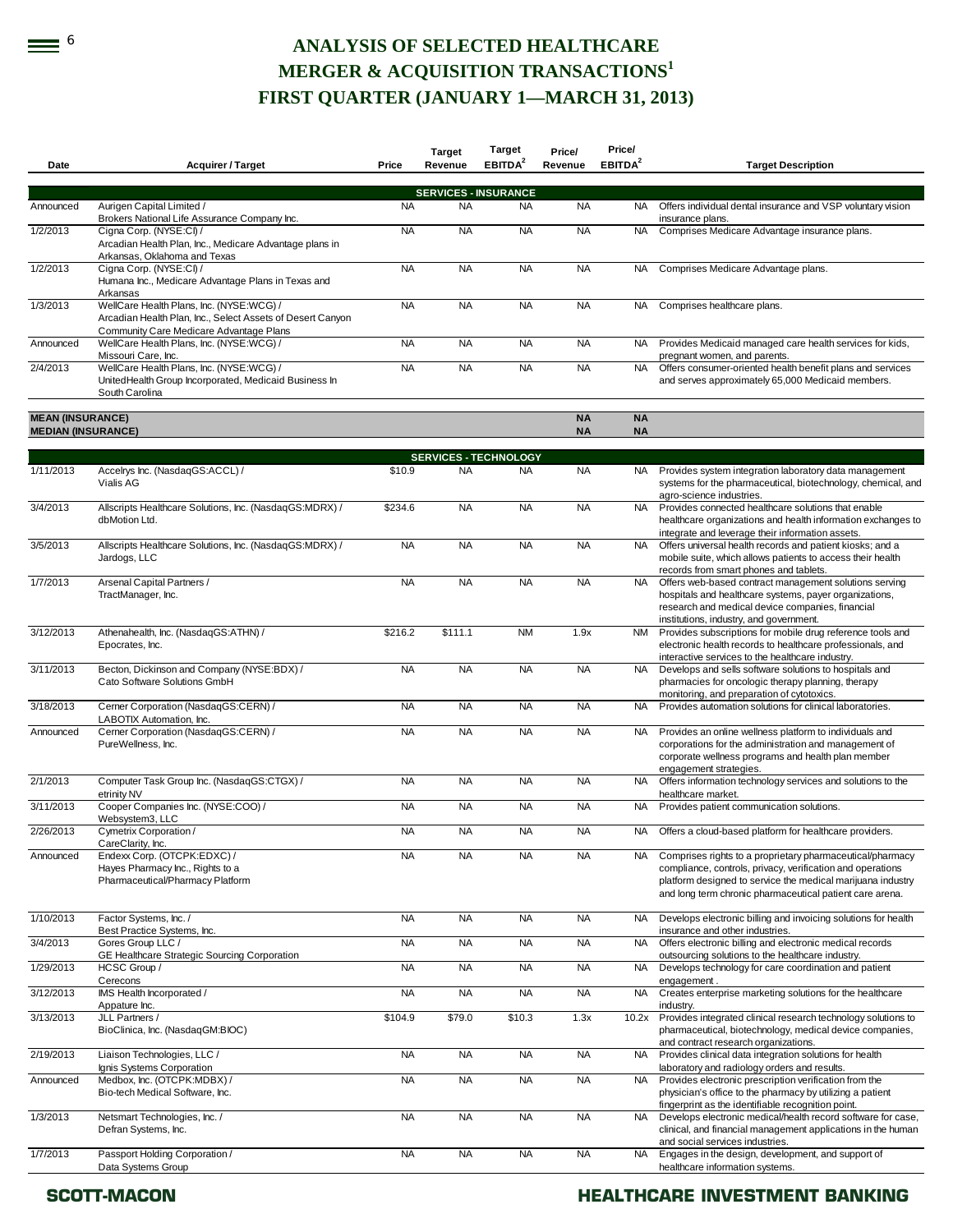# **EXECTED HEALTHCARE MERGER & ACQUISITION TRANSACTIONS<sup>1</sup> FIRST QUARTER (JANUARY 1—MARCH 31, 2013)**

| Date                      | <b>Acquirer / Target</b>                                                                                                                          | Price     | <b>Target</b><br>Revenue                 | Target<br>EBITDA <sup>2</sup> | Price/<br>Revenue | Price/<br>EBITDA <sup>2</sup> | <b>Target Description</b>                                                                                                                                                                                                                          |
|---------------------------|---------------------------------------------------------------------------------------------------------------------------------------------------|-----------|------------------------------------------|-------------------------------|-------------------|-------------------------------|----------------------------------------------------------------------------------------------------------------------------------------------------------------------------------------------------------------------------------------------------|
|                           |                                                                                                                                                   |           |                                          |                               |                   |                               |                                                                                                                                                                                                                                                    |
| Announced                 | Aurigen Capital Limited /                                                                                                                         | <b>NA</b> | <b>SERVICES - INSURANCE</b><br><b>NA</b> | <b>NA</b>                     | <b>NA</b>         | NA.                           | Offers individual dental insurance and VSP voluntary vision                                                                                                                                                                                        |
|                           | Brokers National Life Assurance Company Inc.                                                                                                      |           |                                          |                               |                   |                               | insurance plans.                                                                                                                                                                                                                                   |
| 1/2/2013                  | Cigna Corp. (NYSE:CI) /<br>Arcadian Health Plan, Inc., Medicare Advantage plans in<br>Arkansas, Oklahoma and Texas                                | <b>NA</b> | <b>NA</b>                                | <b>NA</b>                     | <b>NA</b>         | NA.                           | Comprises Medicare Advantage insurance plans.                                                                                                                                                                                                      |
| 1/2/2013                  | Cigna Corp. (NYSE:CI) /<br>Humana Inc., Medicare Advantage Plans in Texas and<br>Arkansas                                                         | <b>NA</b> | <b>NA</b>                                | <b>NA</b>                     | <b>NA</b>         | <b>NA</b>                     | Comprises Medicare Advantage plans.                                                                                                                                                                                                                |
| 1/3/2013                  | WellCare Health Plans, Inc. (NYSE:WCG) /<br>Arcadian Health Plan, Inc., Select Assets of Desert Canyon<br>Community Care Medicare Advantage Plans | <b>NA</b> | <b>NA</b>                                | <b>NA</b>                     | <b>NA</b>         | <b>NA</b>                     | Comprises healthcare plans.                                                                                                                                                                                                                        |
| Announced                 | WellCare Health Plans, Inc. (NYSE:WCG) /<br>Missouri Care, Inc.                                                                                   | <b>NA</b> | <b>NA</b>                                | <b>NA</b>                     | <b>NA</b>         | NA                            | Provides Medicaid managed care health services for kids,<br>pregnant women, and parents.                                                                                                                                                           |
| 2/4/2013                  | WellCare Health Plans, Inc. (NYSE:WCG) /<br>UnitedHealth Group Incorporated, Medicaid Business In<br>South Carolina                               | <b>NA</b> | <b>NA</b>                                | <b>NA</b>                     | <b>NA</b>         | <b>NA</b>                     | Offers consumer-oriented health benefit plans and services<br>and serves approximately 65,000 Medicaid members.                                                                                                                                    |
| <b>MEAN (INSURANCE)</b>   |                                                                                                                                                   |           |                                          |                               | <b>NA</b>         | <b>NA</b>                     |                                                                                                                                                                                                                                                    |
| <b>MEDIAN (INSURANCE)</b> |                                                                                                                                                   |           |                                          |                               | <b>NA</b>         | <b>NA</b>                     |                                                                                                                                                                                                                                                    |
|                           |                                                                                                                                                   |           | <b>SERVICES - TECHNOLOGY</b>             |                               |                   |                               |                                                                                                                                                                                                                                                    |
| 1/11/2013                 | Accelrys Inc. (NasdaqGS:ACCL) /<br>Vialis AG                                                                                                      | \$10.9    | <b>NA</b>                                | <b>NA</b>                     | <b>NA</b>         | NA.                           | Provides system integration laboratory data management<br>systems for the pharmaceutical, biotechnology, chemical, and<br>agro-science industries.                                                                                                 |
| 3/4/2013                  | Allscripts Healthcare Solutions, Inc. (NasdaqGS:MDRX) /<br>dbMotion Ltd.                                                                          | \$234.6   | <b>NA</b>                                | <b>NA</b>                     | <b>NA</b>         | <b>NA</b>                     | Provides connected healthcare solutions that enable<br>healthcare organizations and health information exchanges to<br>integrate and leverage their information assets.                                                                            |
| 3/5/2013                  | Allscripts Healthcare Solutions, Inc. (NasdaqGS:MDRX) /<br>Jardogs, LLC                                                                           | <b>NA</b> | <b>NA</b>                                | <b>NA</b>                     | <b>NA</b>         | <b>NA</b>                     | Offers universal health records and patient kiosks; and a<br>mobile suite, which allows patients to access their health<br>records from smart phones and tablets.                                                                                  |
| 1/7/2013                  | Arsenal Capital Partners /<br>TractManager, Inc.                                                                                                  | <b>NA</b> | <b>NA</b>                                | <b>NA</b>                     | <b>NA</b>         | <b>NA</b>                     | Offers web-based contract management solutions serving<br>hospitals and healthcare systems, payer organizations,<br>research and medical device companies, financial                                                                               |
| 3/12/2013                 | Athenahealth, Inc. (NasdaqGS:ATHN) /<br>Epocrates, Inc.                                                                                           | \$216.2   | \$111.1                                  | <b>NM</b>                     | 1.9x              | <b>NM</b>                     | institutions, industry, and government.<br>Provides subscriptions for mobile drug reference tools and<br>electronic health records to healthcare professionals, and<br>interactive services to the healthcare industry.                            |
| 3/11/2013                 | Becton, Dickinson and Company (NYSE:BDX) /<br>Cato Software Solutions GmbH                                                                        | <b>NA</b> | <b>NA</b>                                | <b>NA</b>                     | <b>NA</b>         | <b>NA</b>                     | Develops and sells software solutions to hospitals and<br>pharmacies for oncologic therapy planning, therapy<br>monitoring, and preparation of cytotoxics.                                                                                         |
| 3/18/2013                 | Cerner Corporation (NasdaqGS:CERN) /<br>LABOTIX Automation, Inc.                                                                                  | <b>NA</b> | <b>NA</b>                                | <b>NA</b>                     | <b>NA</b>         | <b>NA</b>                     | Provides automation solutions for clinical laboratories.                                                                                                                                                                                           |
| Announced                 | Cerner Corporation (NasdaqGS:CERN) /<br>PureWellness, Inc.                                                                                        | <b>NA</b> | <b>NA</b>                                | <b>NA</b>                     | <b>NA</b>         | <b>NA</b>                     | Provides an online wellness platform to individuals and<br>corporations for the administration and management of<br>corporate wellness programs and health plan member<br>engagement strategies.                                                   |
| 2/1/2013                  | Computer Task Group Inc. (NasdaqGS:CTGX) /<br>etrinity NV                                                                                         | <b>NA</b> | <b>NA</b>                                | <b>NA</b>                     | <b>NA</b>         | <b>NA</b>                     | Offers information technology services and solutions to the<br>healthcare market.                                                                                                                                                                  |
| 3/11/2013                 | Cooper Companies Inc. (NYSE:COO) /<br>Websystem3, LLC                                                                                             | <b>NA</b> | <b>NA</b>                                | <b>NA</b>                     | <b>NA</b>         | <b>NA</b>                     | Provides patient communication solutions.                                                                                                                                                                                                          |
| 2/26/2013                 | Cymetrix Corporation /<br>CareClarity, Inc.                                                                                                       | <b>NA</b> | <b>NA</b>                                | <b>NA</b>                     | <b>NA</b>         | NA.                           | Offers a cloud-based platform for healthcare providers.                                                                                                                                                                                            |
| Announced                 | Endexx Corp. (OTCPK:EDXC) /<br>Hayes Pharmacy Inc., Rights to a<br>Pharmaceutical/Pharmacy Platform                                               | <b>NA</b> | <b>NA</b>                                | <b>NA</b>                     | <b>NA</b>         | NA                            | Comprises rights to a proprietary pharmaceutical/pharmacy<br>compliance, controls, privacy, verification and operations<br>platform designed to service the medical marijuana industry<br>and long term chronic pharmaceutical patient care arena. |
| 1/10/2013                 | Factor Systems, Inc. /<br>Best Practice Systems, Inc.                                                                                             | <b>NA</b> | <b>NA</b>                                | <b>NA</b>                     | <b>NA</b>         | NA.                           | Develops electronic billing and invoicing solutions for health<br>insurance and other industries.                                                                                                                                                  |
| 3/4/2013                  | Gores Group LLC /<br>GE Healthcare Strategic Sourcing Corporation                                                                                 | <b>NA</b> | <b>NA</b>                                | <b>NA</b>                     | <b>NA</b>         | <b>NA</b>                     | Offers electronic billing and electronic medical records<br>outsourcing solutions to the healthcare industry.                                                                                                                                      |
| 1/29/2013                 | HCSC Group /<br>Cerecons                                                                                                                          | <b>NA</b> | <b>NA</b>                                | <b>NA</b>                     | <b>NA</b>         | <b>NA</b>                     | Develops technology for care coordination and patient<br>engagement.                                                                                                                                                                               |
| 3/12/2013                 | IMS Health Incorporated /<br>Appature Inc.                                                                                                        | <b>NA</b> | <b>NA</b>                                | <b>NA</b>                     | <b>NA</b>         | <b>NA</b>                     | Creates enterprise marketing solutions for the healthcare<br>industry.                                                                                                                                                                             |
| 3/13/2013                 | JLL Partners /<br>BioClinica, Inc. (NasdaqGM:BIOC)                                                                                                | \$104.9   | \$79.0                                   | \$10.3                        | 1.3x              | 10.2x                         | Provides integrated clinical research technology solutions to<br>pharmaceutical, biotechnology, medical device companies,<br>and contract research organizations.                                                                                  |
| 2/19/2013                 | Liaison Technologies, LLC /<br>Ignis Systems Corporation                                                                                          | <b>NA</b> | <b>NA</b>                                | <b>NA</b>                     | <b>NA</b>         | <b>NA</b>                     | Provides clinical data integration solutions for health<br>laboratory and radiology orders and results.                                                                                                                                            |
| Announced                 | Medbox, Inc. (OTCPK:MDBX) /<br>Bio-tech Medical Software, Inc.                                                                                    | <b>NA</b> | <b>NA</b>                                | <b>NA</b>                     | <b>NA</b>         | NA.                           | Provides electronic prescription verification from the<br>physician's office to the pharmacy by utilizing a patient<br>fingerprint as the identifiable recognition point.                                                                          |
| 1/3/2013                  | Netsmart Technologies, Inc. /<br>Defran Systems, Inc.                                                                                             | <b>NA</b> | <b>NA</b>                                | <b>NA</b>                     | <b>NA</b>         | <b>NA</b>                     | Develops electronic medical/health record software for case,<br>clinical, and financial management applications in the human<br>and social services industries.                                                                                    |
| 1/7/2013                  | Passport Holding Corporation /<br>Data Systems Group                                                                                              | <b>NA</b> | <b>NA</b>                                | <b>NA</b>                     | <b>NA</b>         | <b>NA</b>                     | Engages in the design, development, and support of<br>healthcare information systems.                                                                                                                                                              |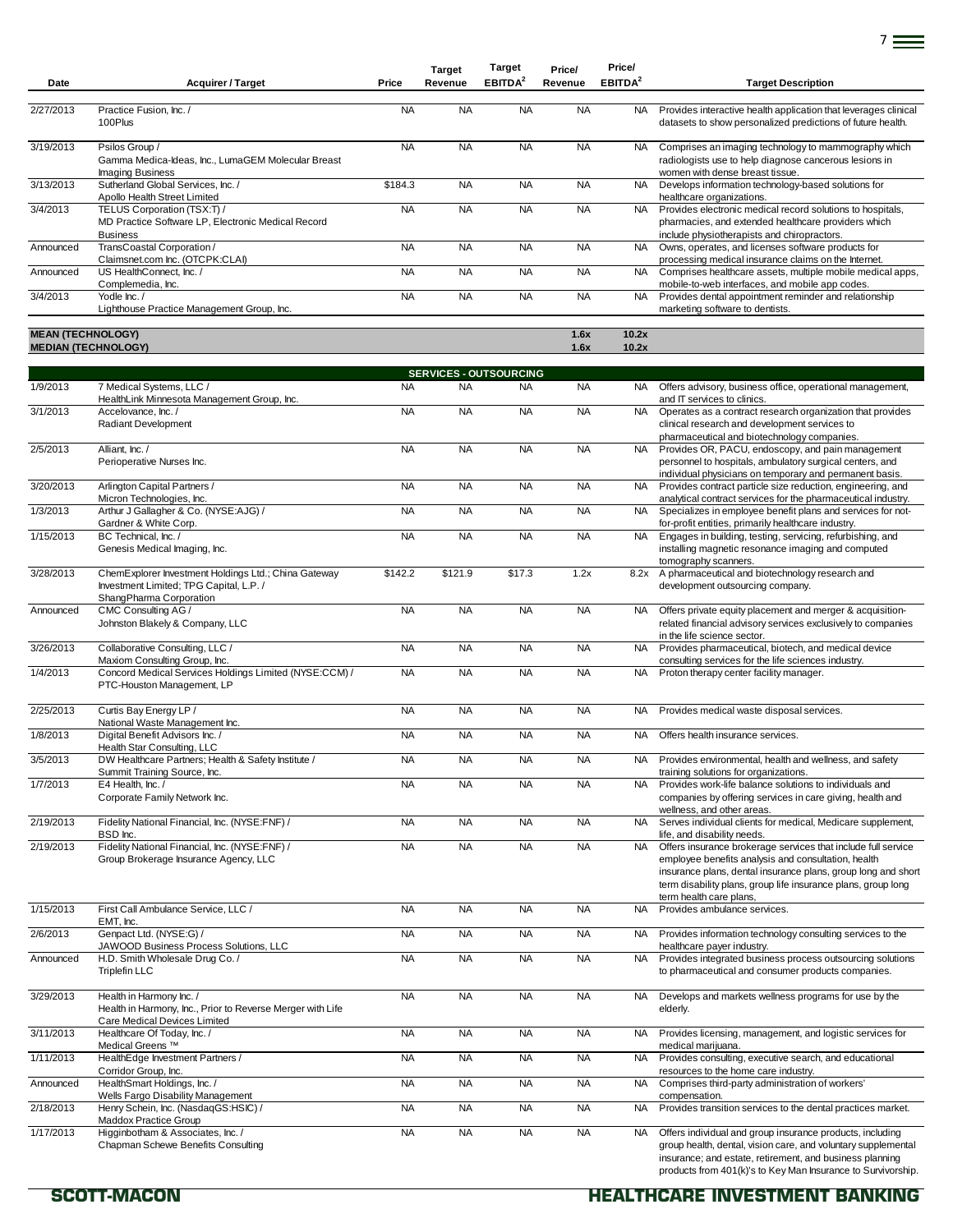| Date                     | <b>Acquirer / Target</b>                                                                                                   | Price     | <b>Target</b><br>Revenue | <b>Target</b><br>EBITDA <sup>2</sup> | Price/<br>Revenue | Price/<br>EBITDA <sup>2</sup> | <b>Target Description</b>                                                                                                                                                |
|--------------------------|----------------------------------------------------------------------------------------------------------------------------|-----------|--------------------------|--------------------------------------|-------------------|-------------------------------|--------------------------------------------------------------------------------------------------------------------------------------------------------------------------|
| 2/27/2013                | Practice Fusion, Inc. /<br>100Plus                                                                                         | <b>NA</b> | <b>NA</b>                | <b>NA</b>                            | <b>NA</b>         | <b>NA</b>                     | Provides interactive health application that leverages clinical<br>datasets to show personalized predictions of future health.                                           |
| 3/19/2013                | Psilos Group /<br>Gamma Medica-Ideas, Inc., LumaGEM Molecular Breast<br><b>Imaging Business</b>                            | <b>NA</b> | <b>NA</b>                | <b>NA</b>                            | <b>NA</b>         | <b>NA</b>                     | Comprises an imaging technology to mammography which<br>radiologists use to help diagnose cancerous lesions in<br>women with dense breast tissue.                        |
| 3/13/2013                | Sutherland Global Services. Inc. /<br>Apollo Health Street Limited                                                         | \$184.3   | <b>NA</b>                | <b>NA</b>                            | <b>NA</b>         | <b>NA</b>                     | Develops information technology-based solutions for<br>healthcare organizations.                                                                                         |
| 3/4/2013                 | TELUS Corporation (TSX:T) /<br>MD Practice Software LP, Electronic Medical Record<br><b>Business</b>                       | <b>NA</b> | <b>NA</b>                | <b>NA</b>                            | <b>NA</b>         | <b>NA</b>                     | Provides electronic medical record solutions to hospitals,<br>pharmacies, and extended healthcare providers which<br>include physiotherapists and chiropractors.         |
| Announced                | TransCoastal Corporation /<br>Claimsnet.com Inc. (OTCPK:CLAI)                                                              | <b>NA</b> | <b>NA</b>                | <b>NA</b>                            | <b>NA</b>         | <b>NA</b>                     | Owns, operates, and licenses software products for<br>processing medical insurance claims on the Internet.                                                               |
| Announced                | US HealthConnect. Inc. /<br>Complemedia, Inc.                                                                              | <b>NA</b> | <b>NA</b>                | <b>NA</b>                            | <b>NA</b>         | <b>NA</b>                     | Comprises healthcare assets, multiple mobile medical apps,<br>mobile-to-web interfaces, and mobile app codes.                                                            |
| 3/4/2013                 | Yodle Inc./<br>Lighthouse Practice Management Group, Inc.                                                                  | <b>NA</b> | <b>NA</b>                | <b>NA</b>                            | <b>NA</b>         | <b>NA</b>                     | Provides dental appointment reminder and relationship<br>marketing software to dentists.                                                                                 |
| <b>MEAN (TECHNOLOGY)</b> | <b>MEDIAN (TECHNOLOGY)</b>                                                                                                 |           |                          |                                      | 1.6x<br>1.6x      | 10.2x<br>10.2x                |                                                                                                                                                                          |
|                          |                                                                                                                            |           |                          | <b>SERVICES - OUTSOURCING</b>        |                   |                               |                                                                                                                                                                          |
| 1/9/2013                 | 7 Medical Systems, LLC /<br>HealthLink Minnesota Management Group, Inc.                                                    | <b>NA</b> | <b>NA</b>                | <b>NA</b>                            | <b>NA</b>         | <b>NA</b>                     | Offers advisory, business office, operational management,<br>and IT services to clinics.                                                                                 |
| 3/1/2013                 | Accelovance, Inc./<br><b>Radiant Development</b>                                                                           | <b>NA</b> | <b>NA</b>                | <b>NA</b>                            | <b>NA</b>         | <b>NA</b>                     | Operates as a contract research organization that provides<br>clinical research and development services to<br>pharmaceutical and biotechnology companies.               |
| 2/5/2013                 | Alliant. Inc. /<br>Perioperative Nurses Inc.                                                                               | <b>NA</b> | <b>NA</b>                | <b>NA</b>                            | <b>NA</b>         | <b>NA</b>                     | Provides OR, PACU, endoscopy, and pain management<br>personnel to hospitals, ambulatory surgical centers, and<br>individual physicians on temporary and permanent basis. |
| 3/20/2013                | Arlington Capital Partners /<br>Micron Technologies, Inc.                                                                  | <b>NA</b> | <b>NA</b>                | <b>NA</b>                            | <b>NA</b>         | <b>NA</b>                     | Provides contract particle size reduction, engineering, and<br>analytical contract services for the pharmaceutical industry.                                             |
| 1/3/2013                 | Arthur J Gallagher & Co. (NYSE:AJG) /<br>Gardner & White Corp.                                                             | <b>NA</b> | <b>NA</b>                | <b>NA</b>                            | <b>NA</b>         | <b>NA</b>                     | Specializes in employee benefit plans and services for not-<br>for-profit entities, primarily healthcare industry.                                                       |
| 1/15/2013                | BC Technical. Inc. /<br>Genesis Medical Imaging, Inc.                                                                      | <b>NA</b> | <b>NA</b>                | <b>NA</b>                            | <b>NA</b>         | NA.                           | Engages in building, testing, servicing, refurbishing, and<br>installing magnetic resonance imaging and computed<br>tomography scanners.                                 |
| 3/28/2013                | ChemExplorer Investment Holdings Ltd.; China Gateway<br>Investment Limited; TPG Capital, L.P. /<br>ShangPharma Corporation | \$142.2   | \$121.9                  | \$17.3                               | 1.2x              | 8.2x                          | A pharmaceutical and biotechnology research and<br>development outsourcing company.                                                                                      |
| Announced                | CMC Consulting AG /<br>Johnston Blakely & Company, LLC                                                                     | <b>NA</b> | <b>NA</b>                | <b>NA</b>                            | <b>NA</b>         | <b>NA</b>                     | Offers private equity placement and merger & acquisition-<br>related financial advisory services exclusively to companies<br>in the life science sector.                 |
| 3/26/2013                | Collaborative Consulting, LLC /<br>Maxiom Consulting Group, Inc.                                                           | <b>NA</b> | <b>NA</b>                | <b>NA</b>                            | <b>NA</b>         | <b>NA</b>                     | Provides pharmaceutical, biotech, and medical device<br>consulting services for the life sciences industry.                                                              |
| 1/4/2013                 | Concord Medical Services Holdings Limited (NYSE:CCM) /<br>PTC-Houston Management, LP                                       | <b>NA</b> | <b>NA</b>                | <b>NA</b>                            | <b>NA</b>         | <b>NA</b>                     | Proton therapy center facility manager.                                                                                                                                  |

7

| 2/25/2013 | Curtis Bay Energy LP /<br>National Waste Management Inc.                                                               | <b>NA</b> | <b>NA</b> | <b>NA</b> | <b>NA</b> | <b>NA</b> | Provides medical waste disposal services.                                                                                                                                                                                                                                         |
|-----------|------------------------------------------------------------------------------------------------------------------------|-----------|-----------|-----------|-----------|-----------|-----------------------------------------------------------------------------------------------------------------------------------------------------------------------------------------------------------------------------------------------------------------------------------|
| 1/8/2013  | Digital Benefit Advisors Inc. /<br>Health Star Consulting, LLC                                                         | <b>NA</b> | <b>NA</b> | <b>NA</b> | <b>NA</b> | <b>NA</b> | Offers health insurance services.                                                                                                                                                                                                                                                 |
| 3/5/2013  | DW Healthcare Partners; Health & Safety Institute /<br>Summit Training Source, Inc.                                    | <b>NA</b> | <b>NA</b> | <b>NA</b> | <b>NA</b> | NA.       | Provides environmental, health and wellness, and safety<br>training solutions for organizations.                                                                                                                                                                                  |
| 1/7/2013  | E4 Health, Inc. /<br>Corporate Family Network Inc.                                                                     | <b>NA</b> | <b>NA</b> | <b>NA</b> | <b>NA</b> | <b>NA</b> | Provides work-life balance solutions to individuals and<br>companies by offering services in care giving, health and<br>wellness, and other areas.                                                                                                                                |
| 2/19/2013 | Fidelity National Financial, Inc. (NYSE:FNF) /<br>BSD Inc.                                                             | <b>NA</b> | <b>NA</b> | <b>NA</b> | <b>NA</b> | <b>NA</b> | Serves individual clients for medical, Medicare supplement,<br>life, and disability needs.                                                                                                                                                                                        |
| 2/19/2013 | Fidelity National Financial, Inc. (NYSE:FNF) /<br>Group Brokerage Insurance Agency, LLC                                | <b>NA</b> | <b>NA</b> | <b>NA</b> | <b>NA</b> | <b>NA</b> | Offers insurance brokerage services that include full service<br>employee benefits analysis and consultation, health<br>insurance plans, dental insurance plans, group long and short<br>term disability plans, group life insurance plans, group long<br>term health care plans, |
| 1/15/2013 | First Call Ambulance Service, LLC /<br>EMT. Inc.                                                                       | <b>NA</b> | <b>NA</b> | <b>NA</b> | <b>NA</b> | <b>NA</b> | Provides ambulance services.                                                                                                                                                                                                                                                      |
| 2/6/2013  | Genpact Ltd. (NYSE:G) /<br>JAWOOD Business Process Solutions, LLC                                                      | <b>NA</b> | <b>NA</b> | <b>NA</b> | <b>NA</b> | NA.       | Provides information technology consulting services to the<br>healthcare payer industry.                                                                                                                                                                                          |
| Announced | H.D. Smith Wholesale Drug Co. /<br><b>Triplefin LLC</b>                                                                | <b>NA</b> | <b>NA</b> | <b>NA</b> | <b>NA</b> | <b>NA</b> | Provides integrated business process outsourcing solutions<br>to pharmaceutical and consumer products companies.                                                                                                                                                                  |
| 3/29/2013 | Health in Harmony Inc. /<br>Health in Harmony, Inc., Prior to Reverse Merger with Life<br>Care Medical Devices Limited | <b>NA</b> | <b>NA</b> | <b>NA</b> | <b>NA</b> | <b>NA</b> | Develops and markets wellness programs for use by the<br>elderly.                                                                                                                                                                                                                 |
| 3/11/2013 | Healthcare Of Today, Inc. /<br>Medical Greens <sup>™</sup>                                                             | <b>NA</b> | <b>NA</b> | <b>NA</b> | <b>NA</b> | <b>NA</b> | Provides licensing, management, and logistic services for<br>medical mariiuana.                                                                                                                                                                                                   |
| 1/11/2013 | HealthEdge Investment Partners /<br>Corridor Group, Inc.                                                               | <b>NA</b> | <b>NA</b> | <b>NA</b> | <b>NA</b> | <b>NA</b> | Provides consulting, executive search, and educational<br>resources to the home care industry.                                                                                                                                                                                    |
| Announced | HealthSmart Holdings, Inc. /<br>Wells Fargo Disability Management                                                      | <b>NA</b> | <b>NA</b> | <b>NA</b> | <b>NA</b> | <b>NA</b> | Comprises third-party administration of workers'<br>compensation.                                                                                                                                                                                                                 |
| 2/18/2013 | Henry Schein, Inc. (NasdaqGS:HSIC) /<br><b>Maddox Practice Group</b>                                                   | <b>NA</b> | <b>NA</b> | <b>NA</b> | <b>NA</b> | <b>NA</b> | Provides transition services to the dental practices market.                                                                                                                                                                                                                      |
| 1/17/2013 | Higginbotham & Associates, Inc. /<br>Chapman Schewe Benefits Consulting                                                | <b>NA</b> | <b>NA</b> | <b>NA</b> | <b>NA</b> | <b>NA</b> | Offers individual and group insurance products, including<br>group health, dental, vision care, and voluntary supplemental                                                                                                                                                        |

group health, dental, vision care, and voluntary supplemental insurance; and estate, retirement, and business planning products from 401(k)'s to Key Man Insurance to Survivorship.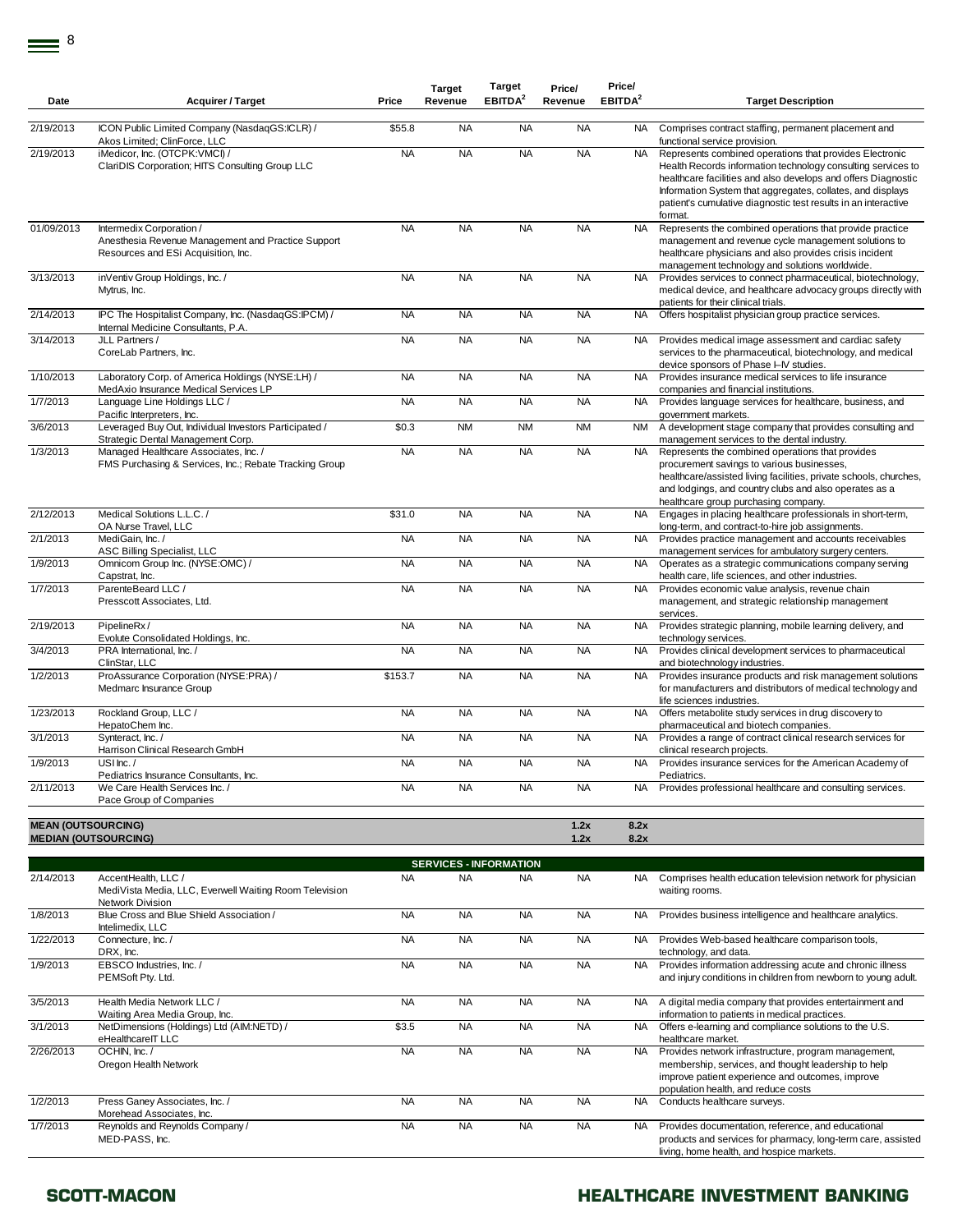| Date                      | <b>Acquirer / Target</b>                                                                                              | Price     | <b>Target</b><br>Revenue | <b>Target</b><br>EBITDA <sup>2</sup> | Price/<br>Revenue | Price/<br>EBITDA <sup>2</sup> | <b>Target Description</b>                                                                                                                                                                                                                                                                                                           |
|---------------------------|-----------------------------------------------------------------------------------------------------------------------|-----------|--------------------------|--------------------------------------|-------------------|-------------------------------|-------------------------------------------------------------------------------------------------------------------------------------------------------------------------------------------------------------------------------------------------------------------------------------------------------------------------------------|
|                           |                                                                                                                       |           |                          |                                      |                   |                               |                                                                                                                                                                                                                                                                                                                                     |
| 2/19/2013                 | ICON Public Limited Company (NasdaqGS:ICLR) /<br>Akos Limited; ClinForce, LLC                                         | \$55.8    | <b>NA</b>                | <b>NA</b>                            | <b>NA</b>         | <b>NA</b>                     | Comprises contract staffing, permanent placement and<br>functional service provision.                                                                                                                                                                                                                                               |
| 2/19/2013                 | iMedicor, Inc. (OTCPK:VMCI) /<br>ClariDIS Corporation; HITS Consulting Group LLC                                      | <b>NA</b> | <b>NA</b>                | <b>NA</b>                            | <b>NA</b>         | <b>NA</b>                     | Represents combined operations that provides Electronic<br>Health Records information technology consulting services to<br>healthcare facilities and also develops and offers Diagnostic<br>Information System that aggregates, collates, and displays<br>patient's cumulative diagnostic test results in an interactive<br>format. |
| 01/09/2013                | Intermedix Corporation /<br>Anesthesia Revenue Management and Practice Support<br>Resources and ESi Acquisition, Inc. | <b>NA</b> | <b>NA</b>                | <b>NA</b>                            | <b>NA</b>         | <b>NA</b>                     | Represents the combined operations that provide practice<br>management and revenue cycle management solutions to<br>healthcare physicians and also provides crisis incident<br>management technology and solutions worldwide.                                                                                                       |
| 3/13/2013                 | inVentiv Group Holdings, Inc. /<br>Mytrus, Inc.                                                                       | <b>NA</b> | <b>NA</b>                | <b>NA</b>                            | <b>NA</b>         | <b>NA</b>                     | Provides services to connect pharmaceutical, biotechnology,<br>medical device, and healthcare advocacy groups directly with<br>patients for their clinical trials.                                                                                                                                                                  |
| 2/14/2013                 | IPC The Hospitalist Company, Inc. (NasdaqGS:IPCM) /<br>Internal Medicine Consultants, P.A.                            | <b>NA</b> | <b>NA</b>                | <b>NA</b>                            | <b>NA</b>         | <b>NA</b>                     | Offers hospitalist physician group practice services.                                                                                                                                                                                                                                                                               |
| 3/14/2013                 | JLL Partners /<br>CoreLab Partners, Inc.                                                                              | <b>NA</b> | <b>NA</b>                | <b>NA</b>                            | <b>NA</b>         | <b>NA</b>                     | Provides medical image assessment and cardiac safety<br>services to the pharmaceutical, biotechnology, and medical<br>device sponsors of Phase I–IV studies.                                                                                                                                                                        |
| 1/10/2013                 | Laboratory Corp. of America Holdings (NYSE:LH) /<br>MedAxio Insurance Medical Services LP                             | <b>NA</b> | <b>NA</b>                | <b>NA</b>                            | <b>NA</b>         | <b>NA</b>                     | Provides insurance medical services to life insurance<br>companies and financial institutions.                                                                                                                                                                                                                                      |
| 1/7/2013                  | Language Line Holdings LLC /<br>Pacific Interpreters, Inc.                                                            | <b>NA</b> | <b>NA</b>                | <b>NA</b>                            | <b>NA</b>         | <b>NA</b>                     | Provides language services for healthcare, business, and<br>government markets.                                                                                                                                                                                                                                                     |
| 3/6/2013                  | Leveraged Buy Out, Individual Investors Participated /<br>Strategic Dental Management Corp.                           | \$0.3     | <b>NM</b>                | <b>NM</b>                            | <b>NM</b>         | <b>NM</b>                     | A development stage company that provides consulting and<br>management services to the dental industry.                                                                                                                                                                                                                             |
| 1/3/2013                  | Managed Healthcare Associates, Inc. /<br>FMS Purchasing & Services, Inc.; Rebate Tracking Group                       | <b>NA</b> | <b>NA</b>                | <b>NA</b>                            | <b>NA</b>         | <b>NA</b>                     | Represents the combined operations that provides<br>procurement savings to various businesses,<br>healthcare/assisted living facilities, private schools, churches,<br>and lodgings, and country clubs and also operates as a<br>healthcare group purchasing company.                                                               |
| $\sqrt{2}/12/2013$        | Medical Solutions L.L.C. /<br>OA Nurse Travel, LLC                                                                    | \$31.0    | <b>NA</b>                | <b>NA</b>                            | <b>NA</b>         | <b>NA</b>                     | Engages in placing healthcare professionals in short-term,<br>long-term, and contract-to-hire job assignments.                                                                                                                                                                                                                      |
| 2/1/2013                  | MediGain, Inc. /<br>ASC Billing Specialist, LLC                                                                       | <b>NA</b> | <b>NA</b>                | <b>NA</b>                            | <b>NA</b>         | <b>NA</b>                     | Provides practice management and accounts receivables<br>management services for ambulatory surgery centers.                                                                                                                                                                                                                        |
| 1/9/2013                  | Omnicom Group Inc. (NYSE:OMC) /<br>Capstrat, Inc.                                                                     | <b>NA</b> | <b>NA</b>                | <b>NA</b>                            | <b>NA</b>         | NA.                           | Operates as a strategic communications company serving<br>health care, life sciences, and other industries.                                                                                                                                                                                                                         |
| 1/7/2013                  | ParenteBeard LLC /<br>Presscott Associates, Ltd.                                                                      | <b>NA</b> | <b>NA</b>                | <b>NA</b>                            | <b>NA</b>         | <b>NA</b>                     | Provides economic value analysis, revenue chain<br>management, and strategic relationship management<br>services.                                                                                                                                                                                                                   |
| 2/19/2013                 | PipelineRx/<br>Evolute Consolidated Holdings, Inc.                                                                    | <b>NA</b> | <b>NA</b>                | <b>NA</b>                            | <b>NA</b>         | <b>NA</b>                     | Provides strategic planning, mobile learning delivery, and<br>technology services.                                                                                                                                                                                                                                                  |
| 3/4/2013                  | PRA International, Inc. /<br>ClinStar, LLC                                                                            | <b>NA</b> | <b>NA</b>                | <b>NA</b>                            | <b>NA</b>         | <b>NA</b>                     | Provides clinical development services to pharmaceutical<br>and biotechnology industries.                                                                                                                                                                                                                                           |
| 1/2/2013                  | ProAssurance Corporation (NYSE:PRA) /<br>Medmarc Insurance Group                                                      | \$153.7   | <b>NA</b>                | <b>NA</b>                            | <b>NA</b>         | <b>NA</b>                     | Provides insurance products and risk management solutions<br>for manufacturers and distributors of medical technology and<br>life sciences industries.                                                                                                                                                                              |
| 1/23/2013                 | Rockland Group, LLC /<br>HepatoChem Inc.                                                                              | <b>NA</b> | <b>NA</b>                | <b>NA</b>                            | <b>NA</b>         | <b>NA</b>                     | Offers metabolite study services in drug discovery to<br>pharmaceutical and biotech companies.                                                                                                                                                                                                                                      |
| 3/1/2013                  | Synteract, Inc. /<br>Harrison Clinical Research GmbH                                                                  | <b>NA</b> | <b>NA</b>                | <b>NA</b>                            | <b>NA</b>         | <b>NA</b>                     | Provides a range of contract clinical research services for<br>clinical research projects.                                                                                                                                                                                                                                          |
| 1/9/2013                  | USI $lnc$ ./<br>Pediatrics Insurance Consultants, Inc.                                                                | <b>NA</b> | <b>NA</b>                | <b>NA</b>                            | <b>NA</b>         | <b>NA</b>                     | Provides insurance services for the American Academy of<br>Pediatrics.                                                                                                                                                                                                                                                              |
| 2/11/2013                 | We Care Health Services Inc. /<br>Pace Group of Companies                                                             | <b>NA</b> | <b>NA</b>                | <b>NA</b>                            | <b>NA</b>         | <b>NA</b>                     | Provides professional healthcare and consulting services.                                                                                                                                                                                                                                                                           |
|                           |                                                                                                                       |           |                          |                                      |                   |                               |                                                                                                                                                                                                                                                                                                                                     |
| <b>MEAN (OUTSOURCING)</b> |                                                                                                                       |           |                          |                                      | 1.2x              | 8.2x                          |                                                                                                                                                                                                                                                                                                                                     |
|                           | <b>MEDIAN (OUTSOURCING)</b>                                                                                           |           |                          |                                      | 1.2x              | 8.2x                          |                                                                                                                                                                                                                                                                                                                                     |
|                           |                                                                                                                       |           |                          |                                      |                   |                               |                                                                                                                                                                                                                                                                                                                                     |

|           | <b>SERVICES - INFORMATION</b>                                                                     |           |           |           |           |           |                                                                                                                                                                                                         |  |  |  |  |  |
|-----------|---------------------------------------------------------------------------------------------------|-----------|-----------|-----------|-----------|-----------|---------------------------------------------------------------------------------------------------------------------------------------------------------------------------------------------------------|--|--|--|--|--|
| 2/14/2013 | AccentHealth, LLC /<br>MediVista Media, LLC, Everwell Waiting Room Television<br>Network Division | <b>NA</b> | <b>NA</b> | <b>NA</b> | <b>NA</b> | NA.       | Comprises health education television network for physician<br>waiting rooms.                                                                                                                           |  |  |  |  |  |
| 1/8/2013  | Blue Cross and Blue Shield Association /<br>Intelimedix, LLC                                      | <b>NA</b> | <b>NA</b> | <b>NA</b> | <b>NA</b> | NA.       | Provides business intelligence and healthcare analytics.                                                                                                                                                |  |  |  |  |  |
| 1/22/2013 | Connecture, Inc. /<br>DRX. Inc.                                                                   | <b>NA</b> | <b>NA</b> | <b>NA</b> | <b>NA</b> | NA.       | Provides Web-based healthcare comparison tools,<br>technology, and data.                                                                                                                                |  |  |  |  |  |
| 1/9/2013  | EBSCO Industries, Inc. /<br>PEMSoft Pty. Ltd.                                                     | <b>NA</b> | <b>NA</b> | <b>NA</b> | <b>NA</b> | <b>NA</b> | Provides information addressing acute and chronic illness<br>and injury conditions in children from newborn to young adult.                                                                             |  |  |  |  |  |
| 3/5/2013  | Health Media Network LLC /<br>Waiting Area Media Group, Inc.                                      | <b>NA</b> | <b>NA</b> | <b>NA</b> | <b>NA</b> | NA.       | A digital media company that provides entertainment and<br>information to patients in medical practices.                                                                                                |  |  |  |  |  |
| 3/1/2013  | NetDimensions (Holdings) Ltd (AIM:NETD) /<br>eHealthcareIT LLC                                    | \$3.5     | <b>NA</b> | <b>NA</b> | <b>NA</b> | <b>NA</b> | Offers e-learning and compliance solutions to the U.S.<br>healthcare market.                                                                                                                            |  |  |  |  |  |
| 2/26/2013 | OCHIN, Inc./<br>Oregon Health Network                                                             | <b>NA</b> | <b>NA</b> | <b>NA</b> | <b>NA</b> | <b>NA</b> | Provides network infrastructure, program management,<br>membership, services, and thought leadership to help<br>improve patient experience and outcomes, improve<br>population health, and reduce costs |  |  |  |  |  |
| 1/2/2013  | Press Ganey Associates, Inc. /<br>Morehead Associates, Inc.                                       | <b>NA</b> | <b>NA</b> | <b>NA</b> | <b>NA</b> | NA        | Conducts healthcare surveys.                                                                                                                                                                            |  |  |  |  |  |
| 1/7/2013  | Reynolds and Reynolds Company /<br>MED-PASS, Inc.                                                 | <b>NA</b> | <b>NA</b> | <b>NA</b> | <b>NA</b> | NA.       | Provides documentation, reference, and educational<br>products and services for pharmacy, long-term care, assisted<br>living, home health, and hospice markets.                                         |  |  |  |  |  |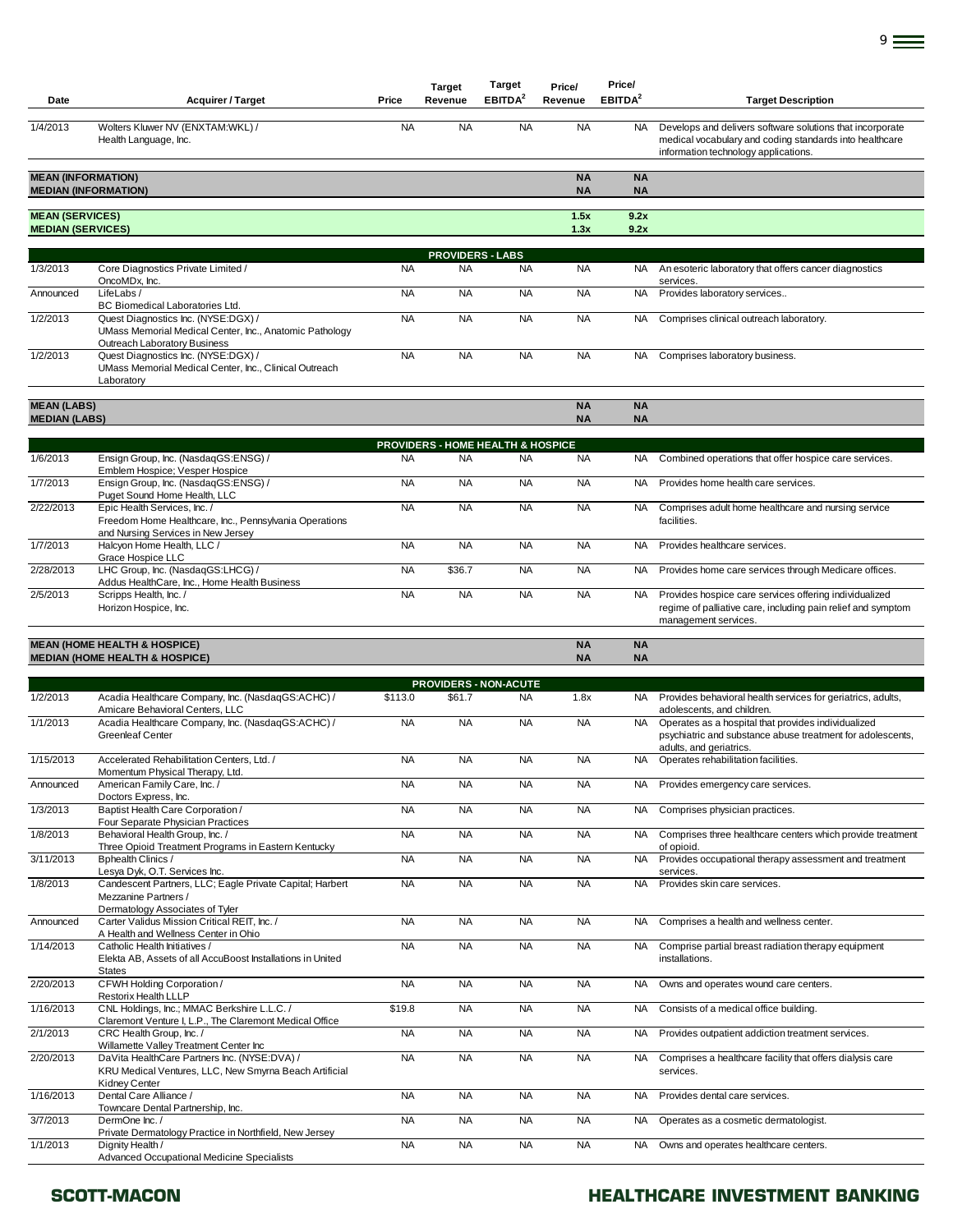| Date                                               | <b>Acquirer / Target</b>                                                                                                       | Price     | <b>Target</b><br>Revenue          | <b>Target</b><br>EBITDA <sup>2</sup> | Price/<br>Revenue      | Price/<br>EBITDA <sup>2</sup> | <b>Target Description</b>                                                                                                                                    |
|----------------------------------------------------|--------------------------------------------------------------------------------------------------------------------------------|-----------|-----------------------------------|--------------------------------------|------------------------|-------------------------------|--------------------------------------------------------------------------------------------------------------------------------------------------------------|
| 1/4/2013                                           | Wolters Kluwer NV (ENXTAM:WKL) /<br>Health Language, Inc.                                                                      | <b>NA</b> | <b>NA</b>                         | <b>NA</b>                            | <b>NA</b>              | <b>NA</b>                     | Develops and delivers software solutions that incorporate<br>medical vocabulary and coding standards into healthcare<br>information technology applications. |
| <b>MEAN (INFORMATION)</b>                          | <b>MEDIAN (INFORMATION)</b>                                                                                                    |           |                                   |                                      | <b>NA</b><br><b>NA</b> | <b>NA</b><br><b>NA</b>        |                                                                                                                                                              |
| <b>MEAN (SERVICES)</b><br><b>MEDIAN (SERVICES)</b> |                                                                                                                                |           |                                   |                                      | 1.5x<br>1.3x           | 9.2x<br>9.2x                  |                                                                                                                                                              |
|                                                    |                                                                                                                                |           | <b>PROVIDERS - LABS</b>           |                                      |                        |                               |                                                                                                                                                              |
| 1/3/2013                                           | Core Diagnostics Private Limited /<br>OncoMDx, Inc.                                                                            | <b>NA</b> | <b>NA</b>                         | <b>NA</b>                            | <b>NA</b>              | <b>NA</b>                     | An esoteric laboratory that offers cancer diagnostics<br>services.                                                                                           |
| Announced                                          | LifeLabs /<br>BC Biomedical Laboratories Ltd.                                                                                  | <b>NA</b> | <b>NA</b>                         | <b>NA</b>                            | <b>NA</b>              | <b>NA</b>                     | Provides laboratory services                                                                                                                                 |
| 1/2/2013                                           | Quest Diagnostics Inc. (NYSE:DGX) /<br>UMass Memorial Medical Center, Inc., Anatomic Pathology<br>Outreach Laboratory Business | <b>NA</b> | <b>NA</b>                         | <b>NA</b>                            | <b>NA</b>              | NA                            | Comprises clinical outreach laboratory.                                                                                                                      |
| 1/2/2013                                           | Quest Diagnostics Inc. (NYSE:DGX) /<br>UMass Memorial Medical Center, Inc., Clinical Outreach<br>Laboratory                    | <b>NA</b> | <b>NA</b>                         | <b>NA</b>                            | <b>NA</b>              | NA                            | Comprises laboratory business.                                                                                                                               |
| <b>MEAN (LABS)</b>                                 |                                                                                                                                |           |                                   |                                      | <b>NA</b>              | <b>NA</b>                     |                                                                                                                                                              |
| <b>MEDIAN (LABS)</b>                               |                                                                                                                                |           |                                   |                                      | <b>NA</b>              | <b>NA</b>                     |                                                                                                                                                              |
|                                                    |                                                                                                                                |           | PROVIDERS - HOME HEALTH & HOSPICE |                                      |                        |                               |                                                                                                                                                              |
| 1/6/2013                                           | Ensign Group, Inc. (NasdaqGS:ENSG) /<br>Emblem Hospice; Vesper Hospice                                                         | <b>NA</b> | <b>NA</b>                         | <b>NA</b>                            | <b>NA</b>              | NA.                           | Combined operations that offer hospice care services.                                                                                                        |
| 1/7/2013                                           | Ensign Group, Inc. (NasdaqGS:ENSG) /<br>Puget Sound Home Health, LLC                                                           | <b>NA</b> | <b>NA</b>                         | <b>NA</b>                            | <b>NA</b>              | NA.                           | Provides home health care services.                                                                                                                          |
| 2/22/2013                                          | Epic Health Services, Inc. /<br>Freedom Home Healthcare, Inc., Pennsylvania Operations<br>and Nursing Services in New Jersey   | <b>NA</b> | <b>NA</b>                         | <b>NA</b>                            | <b>NA</b>              | <b>NA</b>                     | Comprises adult home healthcare and nursing service<br>facilities.                                                                                           |
| 1/7/2013                                           | Halcyon Home Health, LLC /<br>Grace Hospice LLC                                                                                | <b>NA</b> | <b>NA</b>                         | <b>NA</b>                            | <b>NA</b>              | <b>NA</b>                     | Provides healthcare services.                                                                                                                                |
| 2/28/2013                                          | LHC Group, Inc. (NasdaqGS:LHCG) /                                                                                              | <b>NA</b> | \$36.7                            | <b>NA</b>                            | <b>NA</b>              | NA                            | Provides home care services through Medicare offices.                                                                                                        |
| 2/5/2013                                           | Addus HealthCare, Inc., Home Health Business<br>Scripps Health, Inc. /<br>Horizon Hospice, Inc.                                | <b>NA</b> | <b>NA</b>                         | <b>NA</b>                            | <b>NA</b>              | NA                            | Provides hospice care services offering individualized<br>regime of palliative care, including pain relief and symptom<br>management services.               |
|                                                    | <b>MEAN (HOME HEALTH &amp; HOSPICE)</b><br><b>MEDIAN (HOME HEALTH &amp; HOSPICE)</b>                                           |           |                                   |                                      | <b>NA</b><br><b>NA</b> | <b>NA</b><br><b>NA</b>        |                                                                                                                                                              |
|                                                    |                                                                                                                                |           | <b>PROVIDERS - NON-ACUTE</b>      |                                      |                        |                               |                                                                                                                                                              |
| 1/2/2013                                           | Acadia Healthcare Company, Inc. (NasdaqGS:ACHC) /<br>Amicare Behavioral Centers, LLC                                           | \$113.0   | \$61.7                            | <b>NA</b>                            | 1.8x                   | <b>NA</b>                     | Provides behavioral health services for geriatrics, adults,<br>adolescents, and children.                                                                    |
| 1/1/2013                                           | Acadia Healthcare Company, Inc. (NasdaqGS:ACHC) /<br><b>Greenleaf Center</b>                                                   | <b>NA</b> | <b>NA</b>                         | <b>NA</b>                            | <b>NA</b>              | <b>NA</b>                     | Operates as a hospital that provides individualized<br>psychiatric and substance abuse treatment for adolescents,<br>adults, and geriatrics.                 |
| 1/15/2013                                          | Accelerated Rehabilitation Centers, Ltd. /                                                                                     | <b>NA</b> | <b>NA</b>                         | <b>NA</b>                            | <b>NA</b>              | NA.                           | Operates rehabilitation facilities.                                                                                                                          |
| Announced                                          | Momentum Physical Therapy, Ltd.<br>American Family Care, Inc. /                                                                | <b>NA</b> | <b>NA</b>                         | <b>NA</b>                            | <b>NA</b>              | NA .                          | Provides emergency care services.                                                                                                                            |
| 1/3/2013                                           | Doctors Express, Inc.<br>Baptist Health Care Corporation /                                                                     | <b>NA</b> | <b>NA</b>                         | <b>NA</b>                            | <b>NA</b>              | <b>NA</b>                     | Comprises physician practices.                                                                                                                               |
| 1/8/2013                                           | Four Separate Physician Practices<br>Behavioral Health Group, Inc. /                                                           | <b>NA</b> | <b>NA</b>                         | <b>NA</b>                            | <b>NA</b>              | <b>NA</b>                     | Comprises three healthcare centers which provide treatment                                                                                                   |
|                                                    | Three Opioid Treatment Programs in Eastern Kentucky                                                                            |           |                                   |                                      |                        |                               | of opioid.                                                                                                                                                   |
| 3/11/2013                                          | Bohealth Clinics /<br>Lesya Dyk, O.T. Services Inc.                                                                            | <b>NA</b> | <b>NA</b>                         | <b>NA</b>                            | <b>NA</b>              | <b>NA</b>                     | Provides occupational therapy assessment and treatment<br>services.                                                                                          |
| 1/8/2013                                           | Candescent Partners, LLC; Eagle Private Capital; Harbert<br>Mezzanine Partners /<br>Dermatology Associates of Tyler            | <b>NA</b> | <b>NA</b>                         | <b>NA</b>                            | <b>NA</b>              | <b>NA</b>                     | Provides skin care services.                                                                                                                                 |
| Announced                                          | Carter Validus Mission Critical REIT, Inc. /<br>A Health and Wellness Center in Ohio                                           | <b>NA</b> | <b>NA</b>                         | <b>NA</b>                            | <b>NA</b>              | NA .                          | Comprises a health and wellness center.                                                                                                                      |
| 1/14/2013                                          | Catholic Health Initiatives /<br>Elekta AB, Assets of all AccuBoost Installations in United<br><b>States</b>                   | <b>NA</b> | <b>NA</b>                         | <b>NA</b>                            | <b>NA</b>              | <b>NA</b>                     | Comprise partial breast radiation therapy equipment<br>installations.                                                                                        |
| 2/20/2013                                          | CFWH Holding Corporation /                                                                                                     | <b>NA</b> | <b>NA</b>                         | <b>NA</b>                            | <b>NA</b>              | <b>NA</b>                     | Owns and operates wound care centers.                                                                                                                        |
| 1/16/2013                                          | Restorix Health LLLP<br>CNL Holdings, Inc.; MMAC Berkshire L.L.C. /<br>Claremont Venture I, L.P., The Claremont Medical Office | \$19.8    | <b>NA</b>                         | <b>NA</b>                            | <b>NA</b>              | NA                            | Consists of a medical office building.                                                                                                                       |
| 2/1/2013                                           | CRC Health Group, Inc. /<br>Willamette Valley Treatment Center Inc                                                             | <b>NA</b> | <b>NA</b>                         | <b>NA</b>                            | <b>NA</b>              | NA                            | Provides outpatient addiction treatment services.                                                                                                            |
| 2/20/2013                                          | DaVita HealthCare Partners Inc. (NYSE:DVA) /<br>KRU Medical Ventures, LLC, New Smyrna Beach Artificial<br>Kidney Center        | <b>NA</b> | <b>NA</b>                         | <b>NA</b>                            | <b>NA</b>              | <b>NA</b>                     | Comprises a healthcare facility that offers dialysis care<br>services.                                                                                       |
| 1/16/2013                                          | Dental Care Alliance /                                                                                                         | <b>NA</b> | <b>NA</b>                         | <b>NA</b>                            | <b>NA</b>              | <b>NA</b>                     | Provides dental care services.                                                                                                                               |
| 3/7/2013                                           | Towncare Dental Partnership, Inc.<br>DermOne Inc./                                                                             | <b>NA</b> | <b>NA</b>                         | <b>NA</b>                            | <b>NA</b>              | NA                            | Operates as a cosmetic dermatologist.                                                                                                                        |
| 1/1/2013                                           | Private Dermatology Practice in Northfield, New Jersey<br>Dignity Health /<br>Advanced Occupational Medicine Specialists       | <b>NA</b> | <b>NA</b>                         | <b>NA</b>                            | <b>NA</b>              | NA.                           | Owns and operates healthcare centers.                                                                                                                        |

### SCOTT-MACON **SCOTT-MACON HEALTHCARE INVESTMENT BANKING**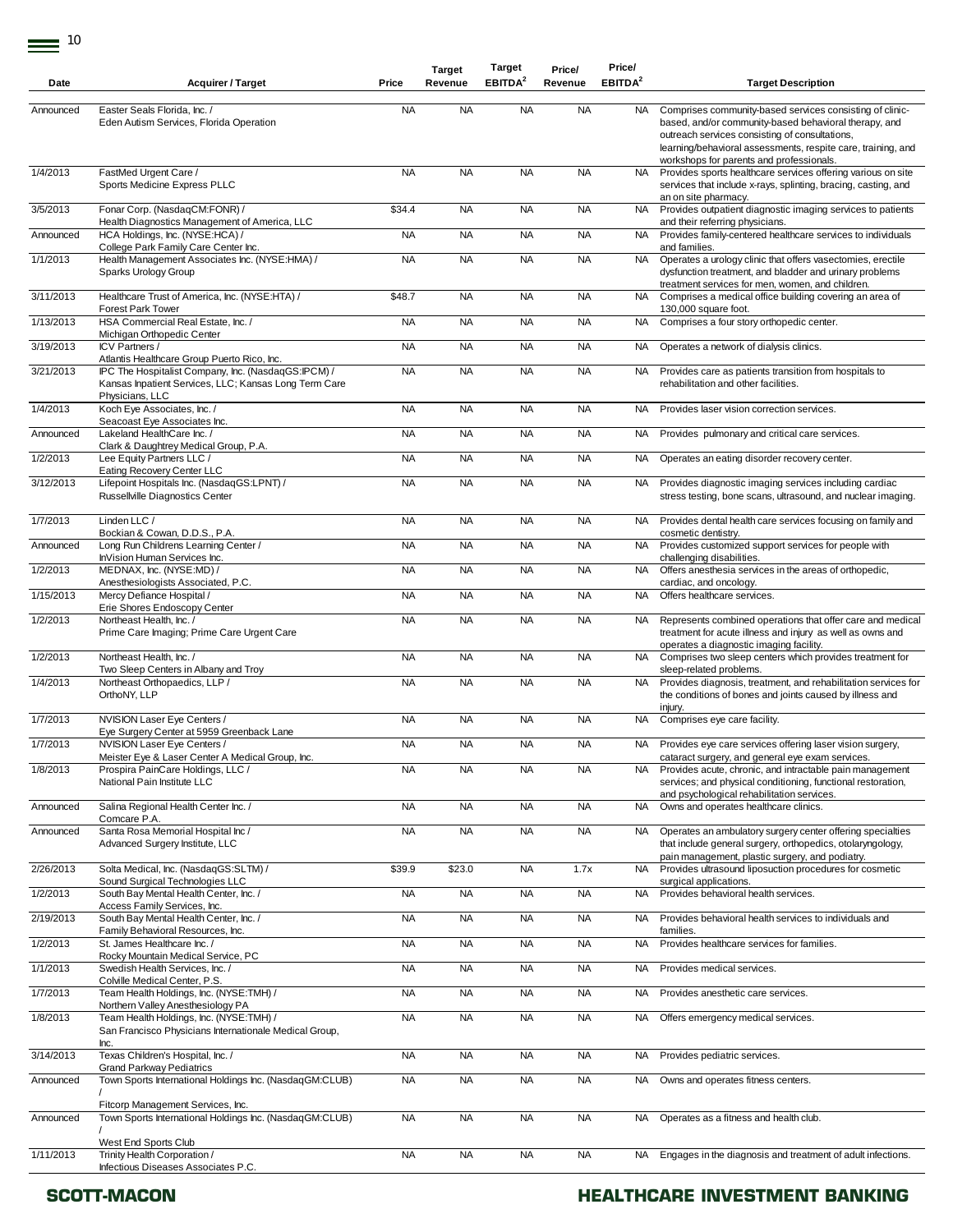| Date      | <b>Acquirer / Target</b>                                                                                                                                    | Price     | <b>Target</b><br>Revenue | <b>Target</b><br>EBITDA <sup>2</sup> | Price/<br>Revenue | Price/<br>EBITDA <sup>2</sup> | <b>Target Description</b>                                                                                                                                                                                                                                                       |
|-----------|-------------------------------------------------------------------------------------------------------------------------------------------------------------|-----------|--------------------------|--------------------------------------|-------------------|-------------------------------|---------------------------------------------------------------------------------------------------------------------------------------------------------------------------------------------------------------------------------------------------------------------------------|
|           |                                                                                                                                                             |           |                          |                                      |                   |                               |                                                                                                                                                                                                                                                                                 |
| Announced | Easter Seals Florida, Inc. /<br>Eden Autism Services, Florida Operation                                                                                     | <b>NA</b> | <b>NA</b>                | <b>NA</b>                            | <b>NA</b>         | NA.                           | Comprises community-based services consisting of clinic-<br>based, and/or community-based behavioral therapy, and<br>outreach services consisting of consultations,<br>learning/behavioral assessments, respite care, training, and<br>workshops for parents and professionals. |
| 1/4/2013  | FastMed Urgent Care /<br>Sports Medicine Express PLLC                                                                                                       | <b>NA</b> | <b>NA</b>                | <b>NA</b>                            | <b>NA</b>         | <b>NA</b>                     | Provides sports healthcare services offering various on site<br>services that include x-rays, splinting, bracing, casting, and<br>an on site pharmacy.                                                                                                                          |
| 3/5/2013  | Fonar Corp. (NasdaqCM:FONR) /<br>Health Diagnostics Management of America, LLC                                                                              | \$34.4    | <b>NA</b>                | <b>NA</b>                            | <b>NA</b>         | NA.                           | Provides outpatient diagnostic imaging services to patients<br>and their referring physicians.                                                                                                                                                                                  |
| Announced | HCA Holdings, Inc. (NYSE:HCA) /<br>College Park Family Care Center Inc.                                                                                     | <b>NA</b> | <b>NA</b>                | <b>NA</b>                            | <b>NA</b>         | NA.                           | Provides family-centered healthcare services to individuals<br>and families.                                                                                                                                                                                                    |
| 1/1/2013  | Health Management Associates Inc. (NYSE:HMA) /<br>Sparks Urology Group                                                                                      | <b>NA</b> | <b>NA</b>                | <b>NA</b>                            | <b>NA</b>         | <b>NA</b>                     | Operates a urology clinic that offers vasectomies, erectile<br>dysfunction treatment, and bladder and urinary problems                                                                                                                                                          |
| 3/11/2013 | Healthcare Trust of America, Inc. (NYSE:HTA) /<br>Forest Park Tower                                                                                         | \$48.7    | <b>NA</b>                | <b>NA</b>                            | <b>NA</b>         | <b>NA</b>                     | treatment services for men, women, and children.<br>Comprises a medical office building covering an area of<br>130,000 square foot.                                                                                                                                             |
| 1/13/2013 | HSA Commercial Real Estate, Inc. /<br>Michigan Orthopedic Center                                                                                            | <b>NA</b> | <b>NA</b>                | <b>NA</b>                            | <b>NA</b>         | <b>NA</b>                     | Comprises a four story orthopedic center.                                                                                                                                                                                                                                       |
| 3/19/2013 | ICV Partners /                                                                                                                                              | <b>NA</b> | <b>NA</b>                | <b>NA</b>                            | <b>NA</b>         | <b>NA</b>                     | Operates a network of dialysis clinics.                                                                                                                                                                                                                                         |
| 3/21/2013 | Atlantis Healthcare Group Puerto Rico, Inc.<br>IPC The Hospitalist Company, Inc. (NasdaqGS:IPCM) /<br>Kansas Inpatient Services, LLC; Kansas Long Term Care | <b>NA</b> | <b>NA</b>                | <b>NA</b>                            | <b>NA</b>         | NA                            | Provides care as patients transition from hospitals to<br>rehabilitation and other facilities.                                                                                                                                                                                  |
| 1/4/2013  | Physicians, LLC<br>Koch Eye Associates, Inc. /<br>Seacoast Eye Associates Inc.                                                                              | <b>NA</b> | <b>NA</b>                | <b>NA</b>                            | <b>NA</b>         | <b>NA</b>                     | Provides laser vision correction services.                                                                                                                                                                                                                                      |
| Announced | Lakeland HealthCare Inc.<br>Clark & Daughtrey Medical Group, P.A.                                                                                           | <b>NA</b> | <b>NA</b>                | <b>NA</b>                            | <b>NA</b>         | <b>NA</b>                     | Provides pulmonary and critical care services.                                                                                                                                                                                                                                  |
| 1/2/2013  | Lee Equity Partners LLC /<br>Eating Recovery Center LLC                                                                                                     | <b>NA</b> | <b>NA</b>                | <b>NA</b>                            | <b>NA</b>         | <b>NA</b>                     | Operates an eating disorder recovery center.                                                                                                                                                                                                                                    |
| 3/12/2013 | Lifepoint Hospitals Inc. (NasdaqGS:LPNT) /<br>Russellville Diagnostics Center                                                                               | <b>NA</b> | <b>NA</b>                | <b>NA</b>                            | <b>NA</b>         | NA                            | Provides diagnostic imaging services including cardiac<br>stress testing, bone scans, ultrasound, and nuclear imaging.                                                                                                                                                          |
| 1/7/2013  | Linden LLC /<br>Bockian & Cowan, D.D.S., P.A.                                                                                                               | <b>NA</b> | <b>NA</b>                | <b>NA</b>                            | <b>NA</b>         | NA                            | Provides dental health care services focusing on family and<br>cosmetic dentistry.                                                                                                                                                                                              |
| Announced | Long Run Childrens Learning Center /<br>InVision Human Services Inc.                                                                                        | <b>NA</b> | <b>NA</b>                | <b>NA</b>                            | <b>NA</b>         | <b>NA</b>                     | Provides customized support services for people with<br>challenging disabilities.                                                                                                                                                                                               |
| 1/2/2013  | MEDNAX, Inc. (NYSE:MD) /<br>Anesthesiologists Associated, P.C.                                                                                              | <b>NA</b> | <b>NA</b>                | <b>NA</b>                            | <b>NA</b>         | NA.                           | Offers anesthesia services in the areas of orthopedic,<br>cardiac, and oncology.                                                                                                                                                                                                |
| 1/15/2013 | Mercy Defiance Hospital /                                                                                                                                   | <b>NA</b> | <b>NA</b>                | <b>NA</b>                            | <b>NA</b>         | <b>NA</b>                     | Offers healthcare services.                                                                                                                                                                                                                                                     |
| 1/2/2013  | Erie Shores Endoscopy Center<br>Northeast Health, Inc. /<br>Prime Care Imaging; Prime Care Urgent Care                                                      | <b>NA</b> | <b>NA</b>                | <b>NA</b>                            | <b>NA</b>         | NA.                           | Represents combined operations that offer care and medical<br>treatment for acute illness and injury as well as owns and<br>operates a diagnostic imaging facility.                                                                                                             |
| 1/2/2013  | Northeast Health, Inc. /<br>Two Sleep Centers in Albany and Troy                                                                                            | <b>NA</b> | <b>NA</b>                | <b>NA</b>                            | <b>NA</b>         | NA                            | Comprises two sleep centers which provides treatment for<br>sleep-related problems.                                                                                                                                                                                             |
| 1/4/2013  | Northeast Orthopaedics, LLP /<br>OrthoNY, LLP                                                                                                               | <b>NA</b> | <b>NA</b>                | <b>NA</b>                            | <b>NA</b>         | <b>NA</b>                     | Provides diagnosis, treatment, and rehabilitation services for<br>the conditions of bones and joints caused by illness and<br>injury.                                                                                                                                           |
| 1/7/2013  | NVISION Laser Eye Centers /<br>Eye Surgery Center at 5959 Greenback Lane                                                                                    | <b>NA</b> | <b>NA</b>                | <b>NA</b>                            | <b>NA</b>         | NA                            | Comprises eye care facility.                                                                                                                                                                                                                                                    |
| 1/7/2013  | NVISION Laser Eye Centers /<br>Meister Eye & Laser Center A Medical Group, Inc.                                                                             | <b>NA</b> | <b>NA</b>                | <b>NA</b>                            | <b>NA</b>         |                               | NA Provides eye care services offering laser vision surgery,                                                                                                                                                                                                                    |
| 1/8/2013  | Prospira PainCare Holdings, LLC /<br>National Pain Institute LLC                                                                                            | <b>NA</b> | <b>NA</b>                | <b>NA</b>                            | <b>NA</b>         | NA.                           | cataract surgery, and general eye exam services.<br>Provides acute, chronic, and intractable pain management<br>services; and physical conditioning, functional restoration,<br>and psychological rehabilitation services.                                                      |
| Announced | Salina Regional Health Center Inc. /<br>Comcare P.A.                                                                                                        | <b>NA</b> | <b>NA</b>                | <b>NA</b>                            | <b>NA</b>         | <b>NA</b>                     | Owns and operates healthcare clinics.                                                                                                                                                                                                                                           |
| Announced | Santa Rosa Memorial Hospital Inc /<br>Advanced Surgery Institute, LLC                                                                                       | <b>NA</b> | <b>NA</b>                | <b>NA</b>                            | <b>NA</b>         | NA.                           | Operates an ambulatory surgery center offering specialties<br>that include general surgery, orthopedics, otolaryngology,<br>pain management, plastic surgery, and podiatry.                                                                                                     |
| 2/26/2013 | Solta Medical, Inc. (NasdaqGS:SLTM) /<br>Sound Surgical Technologies LLC                                                                                    | \$39.9    | \$23.0                   | <b>NA</b>                            | 1.7x              | <b>NA</b>                     | Provides ultrasound liposuction procedures for cosmetic<br>surgical applications.                                                                                                                                                                                               |
| 1/2/2013  | South Bay Mental Health Center, Inc. /<br>Access Family Services, Inc.                                                                                      | <b>NA</b> | <b>NA</b>                | <b>NA</b>                            | <b>NA</b>         | NA.                           | Provides behavioral health services.                                                                                                                                                                                                                                            |
| 2/19/2013 | South Bay Mental Health Center, Inc. /<br>Family Behavioral Resources, Inc.                                                                                 | <b>NA</b> | <b>NA</b>                | <b>NA</b>                            | <b>NA</b>         | NA.                           | Provides behavioral health services to individuals and<br>families.                                                                                                                                                                                                             |
| 1/2/2013  | St. James Healthcare Inc. /<br>Rocky Mountain Medical Service, PC                                                                                           | <b>NA</b> | <b>NA</b>                | <b>NA</b>                            | <b>NA</b>         | <b>NA</b>                     | Provides healthcare services for families.                                                                                                                                                                                                                                      |
| 1/1/2013  | Swedish Health Services, Inc. /<br>Colville Medical Center, P.S.                                                                                            | <b>NA</b> | <b>NA</b>                | <b>NA</b>                            | <b>NA</b>         | <b>NA</b>                     | Provides medical services.                                                                                                                                                                                                                                                      |
| 1/7/2013  | Team Health Holdings, Inc. (NYSE:TMH) /<br>Northern Valley Anesthesiology PA                                                                                | <b>NA</b> | <b>NA</b>                | <b>NA</b>                            | <b>NA</b>         | NA                            | Provides anesthetic care services.                                                                                                                                                                                                                                              |
| 1/8/2013  | Team Health Holdings, Inc. (NYSE:TMH) /<br>San Francisco Physicians Internationale Medical Group,                                                           | <b>NA</b> | <b>NA</b>                | <b>NA</b>                            | <b>NA</b>         | NA.                           | Offers emergency medical services.                                                                                                                                                                                                                                              |
| 3/14/2013 | Inc.<br>Texas Children's Hospital, Inc. /                                                                                                                   | <b>NA</b> | <b>NA</b>                | <b>NA</b>                            | <b>NA</b>         | <b>NA</b>                     | Provides pediatric services.                                                                                                                                                                                                                                                    |
| Announced | <b>Grand Parkway Pediatrics</b><br>Town Sports International Holdings Inc. (NasdaqGM:CLUB)                                                                  | <b>NA</b> | <b>NA</b>                | <b>NA</b>                            | <b>NA</b>         | <b>NA</b>                     | Owns and operates fitness centers.                                                                                                                                                                                                                                              |
| Announced | Fitcorp Management Services, Inc.<br>Town Sports International Holdings Inc. (NasdaqGM:CLUB)                                                                | <b>NA</b> | <b>NA</b>                | <b>NA</b>                            | <b>NA</b>         | <b>NA</b>                     | Operates as a fitness and health club.                                                                                                                                                                                                                                          |
| 1/11/2013 | West End Sports Club<br>Trinity Health Corporation /<br>Infectious Diseases Associates P.C.                                                                 | <b>NA</b> | <b>NA</b>                | <b>NA</b>                            | <b>NA</b>         |                               | NA Engages in the diagnosis and treatment of adult infections.                                                                                                                                                                                                                  |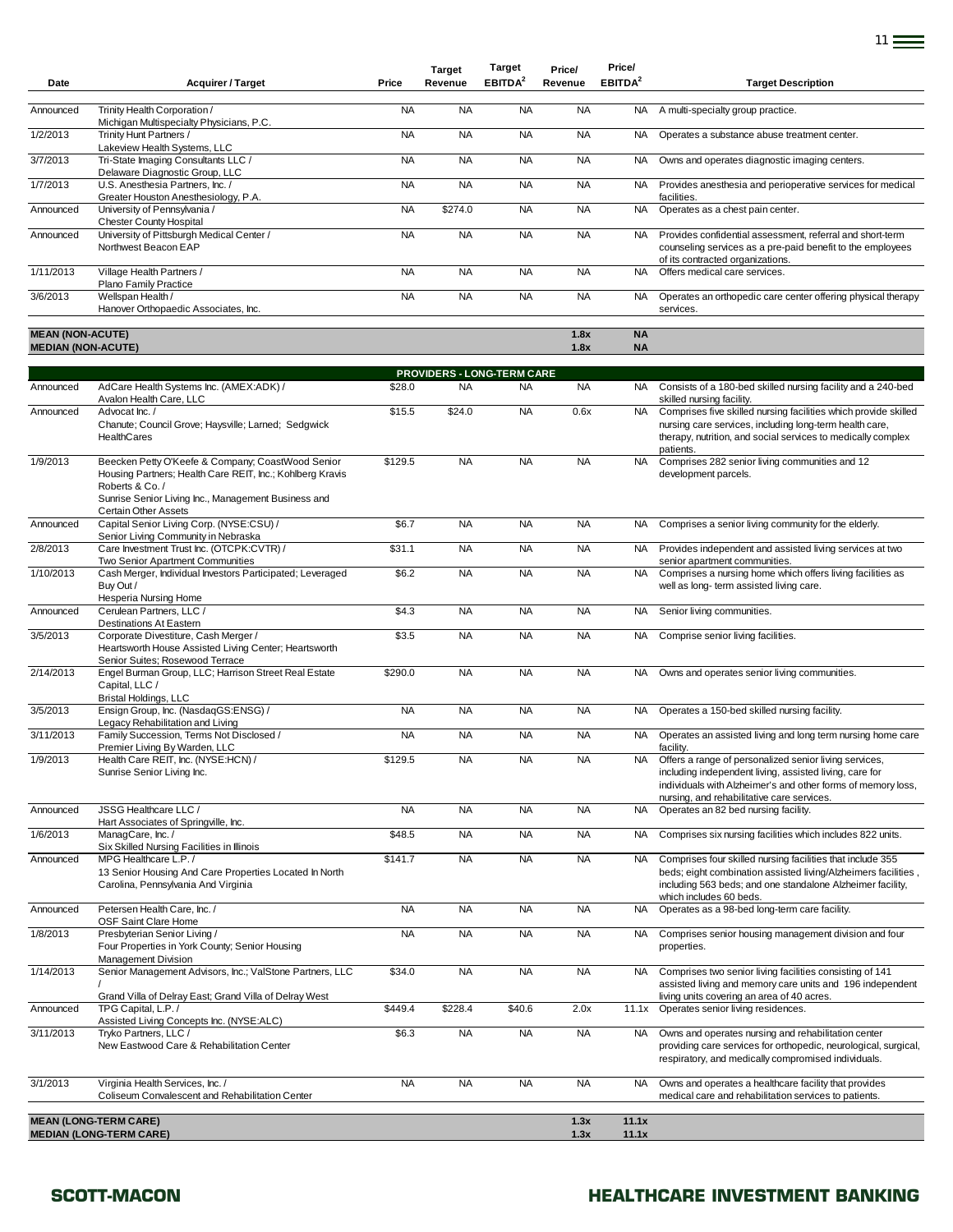| Date                      | <b>Acquirer / Target</b>                                                                                                                                                                | Price     | <b>Target</b><br>Revenue   | Target<br>EBITDA <sup>2</sup> | Price/<br>Revenue | Price/<br>EBITDA <sup>2</sup> | <b>Target Description</b>                                                                                                                                                                                                       |
|---------------------------|-----------------------------------------------------------------------------------------------------------------------------------------------------------------------------------------|-----------|----------------------------|-------------------------------|-------------------|-------------------------------|---------------------------------------------------------------------------------------------------------------------------------------------------------------------------------------------------------------------------------|
| Announced                 | Trinity Health Corporation /                                                                                                                                                            | <b>NA</b> | <b>NA</b>                  | <b>NA</b>                     | <b>NA</b>         | NA                            | A multi-specialty group practice.                                                                                                                                                                                               |
| 1/2/2013                  | Michigan Multispecialty Physicians, P.C.<br>Trinity Hunt Partners /                                                                                                                     | <b>NA</b> | <b>NA</b>                  | <b>NA</b>                     | <b>NA</b>         | <b>NA</b>                     | Operates a substance abuse treatment center.                                                                                                                                                                                    |
| 3/7/2013                  | Lakeview Health Systems, LLC<br>Tri-State Imaging Consultants LLC /                                                                                                                     | <b>NA</b> | <b>NA</b>                  | <b>NA</b>                     | <b>NA</b>         | NA                            | Owns and operates diagnostic imaging centers.                                                                                                                                                                                   |
| 1/7/2013                  | Delaware Diagnostic Group, LLC<br>U.S. Anesthesia Partners, Inc. /                                                                                                                      | <b>NA</b> | <b>NA</b>                  | <b>NA</b>                     | <b>NA</b>         | <b>NA</b>                     | Provides anesthesia and perioperative services for medical<br>facilities.                                                                                                                                                       |
| Announced                 | Greater Houston Anesthesiology, P.A.<br>University of Pennsylvania /<br><b>Chester County Hospital</b>                                                                                  | <b>NA</b> | \$274.0                    | <b>NA</b>                     | <b>NA</b>         | <b>NA</b>                     | Operates as a chest pain center.                                                                                                                                                                                                |
| Announced                 | University of Pittsburgh Medical Center /<br>Northwest Beacon EAP                                                                                                                       | <b>NA</b> | <b>NA</b>                  | <b>NA</b>                     | <b>NA</b>         | NA.                           | Provides confidential assessment, referral and short-term<br>counseling services as a pre-paid benefit to the employees<br>of its contracted organizations.                                                                     |
| 1/11/2013                 | Village Health Partners /<br>Plano Family Practice                                                                                                                                      | <b>NA</b> | <b>NA</b>                  | <b>NA</b>                     | <b>NA</b>         | <b>NA</b>                     | Offers medical care services.                                                                                                                                                                                                   |
| 3/6/2013                  | Wellspan Health /<br>Hanover Orthopaedic Associates, Inc.                                                                                                                               | <b>NA</b> | <b>NA</b>                  | <b>NA</b>                     | <b>NA</b>         | <b>NA</b>                     | Operates an orthopedic care center offering physical therapy<br>services.                                                                                                                                                       |
| <b>MEAN (NON-ACUTE)</b>   |                                                                                                                                                                                         |           |                            |                               | 1.8x              | <b>NA</b>                     |                                                                                                                                                                                                                                 |
| <b>MEDIAN (NON-ACUTE)</b> |                                                                                                                                                                                         |           |                            |                               | 1.8x              | <b>NA</b>                     |                                                                                                                                                                                                                                 |
|                           |                                                                                                                                                                                         |           | PROVIDERS - LONG-TERM CARE |                               |                   |                               |                                                                                                                                                                                                                                 |
| Announced                 | AdCare Health Systems Inc. (AMEX:ADK) /<br>Avalon Health Care, LLC                                                                                                                      | \$28.0    | <b>NA</b>                  | <b>NA</b>                     | <b>NA</b>         |                               | NA Consists of a 180-bed skilled nursing facility and a 240-bed<br>skilled nursing facility.                                                                                                                                    |
| Announced                 | Advocat Inc. /<br>Chanute; Council Grove; Haysville; Larned; Sedgwick<br>HealthCares                                                                                                    | \$15.5    | \$24.0                     | <b>NA</b>                     | 0.6x              | <b>NA</b>                     | Comprises five skilled nursing facilities which provide skilled<br>nursing care services, including long-term health care,<br>therapy, nutrition, and social services to medically complex<br>patients.                         |
| 1/9/2013                  | Beecken Petty O'Keefe & Company; CoastWood Senior<br>Housing Partners; Health Care REIT, Inc.; Kohlberg Kravis<br>Roberts & Co./<br>Sunrise Senior Living Inc., Management Business and | \$129.5   | <b>NA</b>                  | <b>NA</b>                     | <b>NA</b>         | <b>NA</b>                     | Comprises 282 senior living communities and 12<br>development parcels.                                                                                                                                                          |
| Announced                 | <b>Certain Other Assets</b><br>Capital Senior Living Corp. (NYSE:CSU) /<br>Senior Living Community in Nebraska                                                                          | \$6.7     | <b>NA</b>                  | <b>NA</b>                     | <b>NA</b>         | NA.                           | Comprises a senior living community for the elderly.                                                                                                                                                                            |
| 2/8/2013                  | Care Investment Trust Inc. (OTCPK:CVTR) /<br>Two Senior Apartment Communities                                                                                                           | \$31.1    | <b>NA</b>                  | <b>NA</b>                     | <b>NA</b>         | <b>NA</b>                     | Provides independent and assisted living services at two<br>senior apartment communities.                                                                                                                                       |
| 1/10/2013                 | Cash Merger, Individual Investors Participated; Leveraged<br>Buy Out /<br>Hesperia Nursing Home                                                                                         | \$6.2     | <b>NA</b>                  | <b>NA</b>                     | <b>NA</b>         | <b>NA</b>                     | Comprises a nursing home which offers living facilities as<br>well as long-term assisted living care.                                                                                                                           |
| Announced                 | Cerulean Partners, LLC /<br><b>Destinations At Eastern</b>                                                                                                                              | \$4.3     | <b>NA</b>                  | <b>NA</b>                     | <b>NA</b>         | NA                            | Senior living communities.                                                                                                                                                                                                      |
| 3/5/2013                  | Corporate Divestiture, Cash Merger /<br>Heartsworth House Assisted Living Center; Heartsworth<br>Senior Suites; Rosewood Terrace                                                        | \$3.5     | <b>NA</b>                  | <b>NA</b>                     | <b>NA</b>         | NA.                           | Comprise senior living facilities.                                                                                                                                                                                              |
| 2/14/2013                 | Engel Burman Group, LLC; Harrison Street Real Estate<br>Capital, LLC /<br><b>Bristal Holdings, LLC</b>                                                                                  | \$290.0   | <b>NA</b>                  | <b>NA</b>                     | <b>NA</b>         | NA.                           | Owns and operates senior living communities.                                                                                                                                                                                    |
| 3/5/2013                  | Ensign Group, Inc. (NasdaqGS:ENSG) /<br>Legacy Rehabilitation and Living                                                                                                                | <b>NA</b> | <b>NA</b>                  | <b>NA</b>                     | <b>NA</b>         | NA.                           | Operates a 150-bed skilled nursing facility.                                                                                                                                                                                    |
| 3/11/2013                 | Family Succession, Terms Not Disclosed /<br>Premier Living By Warden, LLC                                                                                                               | <b>NA</b> | <b>NA</b>                  | <b>NA</b>                     | <b>NA</b>         | <b>NA</b>                     | Operates an assisted living and long term nursing home care<br>facility.                                                                                                                                                        |
| 1/9/2013                  | Health Care REIT, Inc. (NYSE:HCN) /<br>Sunrise Senior Living Inc.                                                                                                                       | \$129.5   | <b>NA</b>                  | <b>NA</b>                     | <b>NA</b>         | NA.                           | Offers a range of personalized senior living services,<br>including independent living, assisted living, care for<br>individuals with Alzheimer's and other forms of memory loss,<br>nursing, and rehabilitative care services. |
| Announced                 | JSSG Healthcare LLC /<br>Hart Associates of Springville, Inc.                                                                                                                           | <b>NA</b> | <b>NA</b>                  | <b>NA</b>                     | <b>NA</b>         | <b>NA</b>                     | Operates an 82 bed nursing facility.                                                                                                                                                                                            |
| 1/6/2013                  | ManagCare, Inc./<br>Six Skilled Nursing Facilities in Illinois                                                                                                                          | \$48.5    | <b>NA</b>                  | <b>NA</b>                     | <b>NA</b>         | NA                            | Comprises six nursing facilities which includes 822 units.                                                                                                                                                                      |
| Announced                 | MPG Healthcare L.P. /<br>13 Senior Housing And Care Properties Located In North<br>Carolina, Pennsylvania And Virginia                                                                  | \$141.7   | <b>NA</b>                  | <b>NA</b>                     | <b>NA</b>         | NA.                           | Comprises four skilled nursing facilities that include 355<br>beds; eight combination assisted living/Alzheimers facilities,<br>including 563 beds; and one standalone Alzheimer facility,<br>which includes 60 beds.           |
| Announced                 | Petersen Health Care, Inc. /<br>OSF Saint Clare Home                                                                                                                                    | <b>NA</b> | <b>NA</b>                  | <b>NA</b>                     | <b>NA</b>         | <b>NA</b>                     | Operates as a 98-bed long-term care facility.                                                                                                                                                                                   |
| 1/8/2013                  | Presbyterian Senior Living /<br>Four Properties in York County; Senior Housing<br>Management Division                                                                                   | <b>NA</b> | <b>NA</b>                  | <b>NA</b>                     | <b>NA</b>         | NA.                           | Comprises senior housing management division and four<br>properties.                                                                                                                                                            |
| 1/14/2013                 | Senior Management Advisors, Inc.; ValStone Partners, LLC<br>Grand Villa of Delray East; Grand Villa of Delray West                                                                      | \$34.0    | <b>NA</b>                  | <b>NA</b>                     | <b>NA</b>         | NA.                           | Comprises two senior living facilities consisting of 141<br>assisted living and memory care units and 196 independent<br>living units covering an area of 40 acres.                                                             |
| Announced                 | TPG Capital, L.P./<br>Assisted Living Concepts Inc. (NYSE:ALC)                                                                                                                          | \$449.4   | \$228.4                    | \$40.6                        | 2.0x              | 11.1x                         | Operates senior living residences.                                                                                                                                                                                              |
| 3/11/2013                 | Tryko Partners, LLC /<br>New Eastwood Care & Rehabilitation Center                                                                                                                      | \$6.3     | <b>NA</b>                  | <b>NA</b>                     | <b>NA</b>         | <b>NA</b>                     | Owns and operates nursing and rehabilitation center<br>providing care services for orthopedic, neurological, surgical,                                                                                                          |

**MEAN (LONG-TERM CARE) 1.3x** 11.1x **MEDIAN (LONG-TERM CARE) 1.3x 11.1x**

Coliseum Convalescent and Rehabilitation Center

3/1/2013 Virginia Health Services, Inc. /

### **SCOTT-MACON HEALTHCARE INVESTMENT BANKING**

respiratory, and medically compromised individuals.

medical care and rehabilitation services to patients.

NA NA NA NA NA NA NA Owns and operates a healthcare facility that provides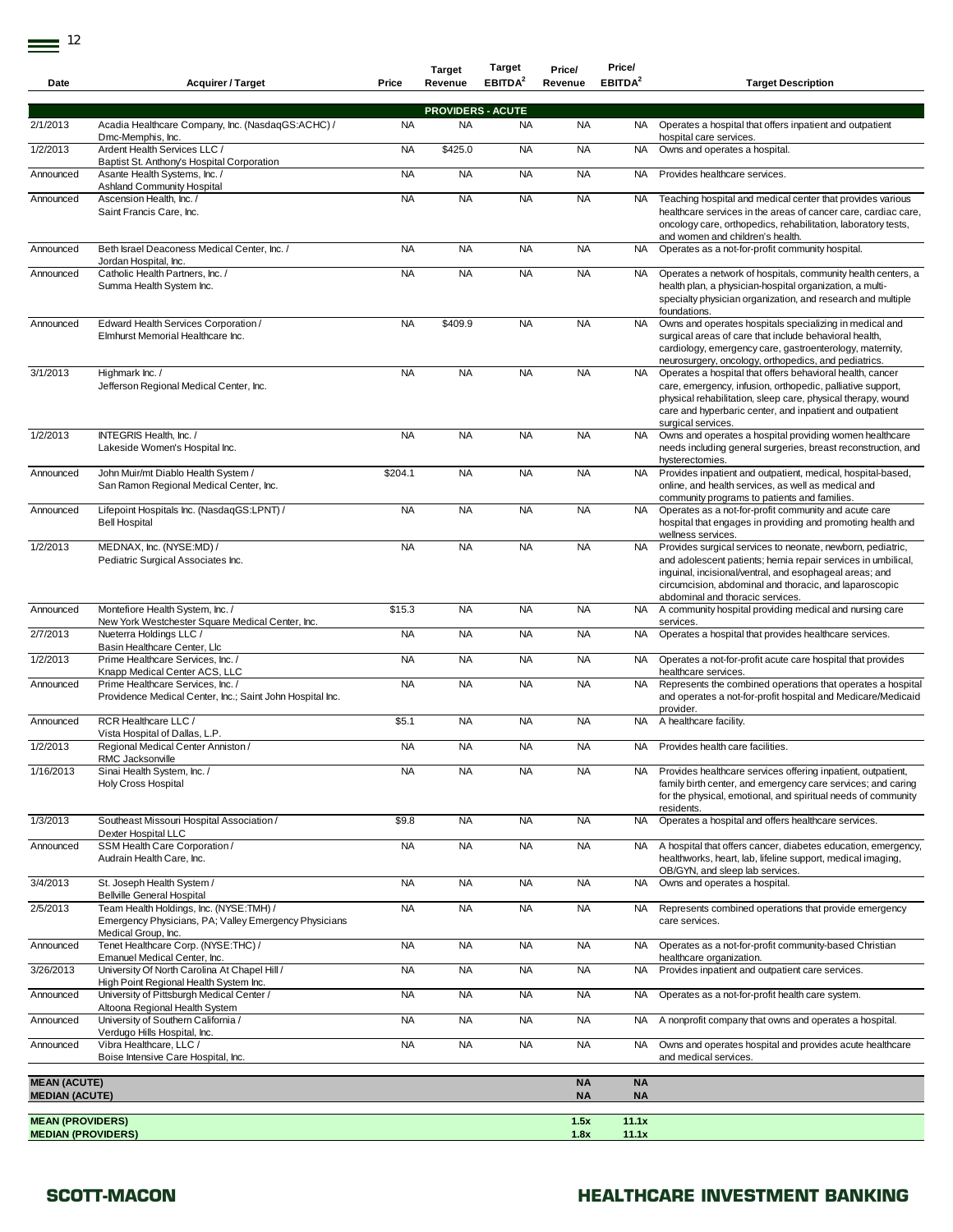| Date                                                 | <b>Acquirer / Target</b>                                                                                                | Price     | <b>Target</b><br>Revenue | <b>Target</b><br>EBITDA <sup>2</sup>  | Price/<br>Revenue      | Price/<br>EBITDA <sup>2</sup> | <b>Target Description</b>                                                                                                                                                                                                                                                            |
|------------------------------------------------------|-------------------------------------------------------------------------------------------------------------------------|-----------|--------------------------|---------------------------------------|------------------------|-------------------------------|--------------------------------------------------------------------------------------------------------------------------------------------------------------------------------------------------------------------------------------------------------------------------------------|
|                                                      |                                                                                                                         |           |                          |                                       |                        |                               |                                                                                                                                                                                                                                                                                      |
| 2/1/2013                                             | Acadia Healthcare Company, Inc. (NasdaqGS:ACHC) /                                                                       | <b>NA</b> | <b>NA</b>                | <b>PROVIDERS - ACUTE</b><br><b>NA</b> | <b>NA</b>              | NA.                           | Operates a hospital that offers inpatient and outpatient                                                                                                                                                                                                                             |
| 1/2/2013                                             | Dmc-Memphis, Inc.<br>Ardent Health Services LLC /                                                                       | <b>NA</b> | \$425.0                  | <b>NA</b>                             | <b>NA</b>              | <b>NA</b>                     | hospital care services.<br>Owns and operates a hospital.                                                                                                                                                                                                                             |
| Announced                                            | Baptist St. Anthony's Hospital Corporation<br>Asante Health Systems, Inc. /<br><b>Ashland Community Hospital</b>        | <b>NA</b> | <b>NA</b>                | <b>NA</b>                             | <b>NA</b>              | <b>NA</b>                     | Provides healthcare services.                                                                                                                                                                                                                                                        |
| Announced                                            | Ascension Health, Inc. /<br>Saint Francis Care, Inc.                                                                    | <b>NA</b> | <b>NA</b>                | <b>NA</b>                             | <b>NA</b>              | NA.                           | Teaching hospital and medical center that provides various<br>healthcare services in the areas of cancer care, cardiac care,<br>oncology care, orthopedics, rehabilitation, laboratory tests,                                                                                        |
| Announced                                            | Beth Israel Deaconess Medical Center, Inc. /                                                                            | <b>NA</b> | <b>NA</b>                | <b>NA</b>                             | <b>NA</b>              | <b>NA</b>                     | and women and children's health.<br>Operates as a not-for-profit community hospital.                                                                                                                                                                                                 |
| Announced                                            | Jordan Hospital, Inc.<br>Catholic Health Partners, Inc. /<br>Summa Health System Inc.                                   | <b>NA</b> | <b>NA</b>                | <b>NA</b>                             | <b>NA</b>              | <b>NA</b>                     | Operates a network of hospitals, community health centers, a<br>health plan, a physician-hospital organization, a multi-<br>specialty physician organization, and research and multiple<br>foundations.                                                                              |
| Announced                                            | Edward Health Services Corporation /<br>Elmhurst Memorial Healthcare Inc.                                               | <b>NA</b> | \$409.9                  | <b>NA</b>                             | <b>NA</b>              | NA.                           | Owns and operates hospitals specializing in medical and<br>surgical areas of care that include behavioral health,<br>cardiology, emergency care, gastroenterology, maternity,<br>neurosurgery, oncology, orthopedics, and pediatrics.                                                |
| 3/1/2013                                             | Highmark Inc. /<br>Jefferson Regional Medical Center, Inc.                                                              | <b>NA</b> | <b>NA</b>                | <b>NA</b>                             | <b>NA</b>              | <b>NA</b>                     | Operates a hospital that offers behavioral health, cancer<br>care, emergency, infusion, orthopedic, palliative support,<br>physical rehabilitation, sleep care, physical therapy, wound<br>care and hyperbaric center, and inpatient and outpatient<br>surgical services.            |
| 1/2/2013                                             | INTEGRIS Health, Inc. /<br>Lakeside Women's Hospital Inc.                                                               | <b>NA</b> | <b>NA</b>                | <b>NA</b>                             | <b>NA</b>              | <b>NA</b>                     | Owns and operates a hospital providing women healthcare<br>needs including general surgeries, breast reconstruction, and<br>hysterectomies.                                                                                                                                          |
| Announced                                            | John Muir/mt Diablo Health System /<br>San Ramon Regional Medical Center, Inc.                                          | \$204.1   | <b>NA</b>                | <b>NA</b>                             | <b>NA</b>              | <b>NA</b>                     | Provides inpatient and outpatient, medical, hospital-based,<br>online, and health services, as well as medical and<br>community programs to patients and families.                                                                                                                   |
| Announced                                            | Lifepoint Hospitals Inc. (NasdaqGS:LPNT) /<br><b>Bell Hospital</b>                                                      | <b>NA</b> | <b>NA</b>                | <b>NA</b>                             | <b>NA</b>              | <b>NA</b>                     | Operates as a not-for-profit community and acute care<br>hospital that engages in providing and promoting health and<br>wellness services.                                                                                                                                           |
| 1/2/2013                                             | MEDNAX, Inc. (NYSE:MD) /<br>Pediatric Surgical Associates Inc.                                                          | <b>NA</b> | <b>NA</b>                | <b>NA</b>                             | <b>NA</b>              | <b>NA</b>                     | Provides surgical services to neonate, newborn, pediatric,<br>and adolescent patients; hernia repair services in umbilical,<br>inguinal, incisional/ventral, and esophageal areas; and<br>circumcision, abdominal and thoracic, and laparoscopic<br>abdominal and thoracic services. |
| Announced                                            | Montefiore Health System, Inc. /<br>New York Westchester Square Medical Center, Inc.                                    | \$15.3    | <b>NA</b>                | <b>NA</b>                             | <b>NA</b>              | <b>NA</b>                     | A community hospital providing medical and nursing care<br>services.                                                                                                                                                                                                                 |
| 2/7/2013                                             | Nueterra Holdings LLC /<br>Basin Healthcare Center, Llc                                                                 | <b>NA</b> | <b>NA</b>                | <b>NA</b>                             | <b>NA</b>              | <b>NA</b>                     | Operates a hospital that provides healthcare services.                                                                                                                                                                                                                               |
| 1/2/2013                                             | Prime Healthcare Services, Inc. /<br>Knapp Medical Center ACS, LLC                                                      | <b>NA</b> | <b>NA</b>                | <b>NA</b>                             | <b>NA</b>              | <b>NA</b>                     | Operates a not-for-profit acute care hospital that provides<br>healthcare services.                                                                                                                                                                                                  |
| Announced                                            | Prime Healthcare Services, Inc. /<br>Providence Medical Center, Inc.; Saint John Hospital Inc.                          | <b>NA</b> | <b>NA</b>                | <b>NA</b>                             | <b>NA</b>              | <b>NA</b>                     | Represents the combined operations that operates a hospital<br>and operates a not-for-profit hospital and Medicare/Medicaid<br>provider.                                                                                                                                             |
| Announced                                            | RCR Healthcare LLC /<br>Vista Hospital of Dallas, L.P.                                                                  | \$5.1     | <b>NA</b>                | <b>NA</b>                             | <b>NA</b>              | <b>NA</b>                     | A healthcare facility.                                                                                                                                                                                                                                                               |
| 1/2/2013                                             | Regional Medical Center Anniston /<br>RMC Jacksonville                                                                  | <b>NA</b> | <b>NA</b>                | <b>NA</b>                             | <b>NA</b>              | <b>NA</b>                     | Provides health care facilities.                                                                                                                                                                                                                                                     |
| 1/16/2013                                            | Sinai Health System, Inc. /<br><b>Holy Cross Hospital</b>                                                               | <b>NA</b> | <b>NA</b>                | <b>NA</b>                             | <b>NA</b>              | NA.                           | Provides healthcare services offering inpatient, outpatient,<br>family birth center, and emergency care services; and caring<br>for the physical, emotional, and spiritual needs of community<br>residents.                                                                          |
| 1/3/2013                                             | Southeast Missouri Hospital Association /<br>Dexter Hospital LLC                                                        | \$9.8     | <b>NA</b>                | <b>NA</b>                             | <b>NA</b>              | NA.                           | Operates a hospital and offers healthcare services.                                                                                                                                                                                                                                  |
| Announced                                            | SSM Health Care Corporation /<br>Audrain Health Care, Inc.                                                              | <b>NA</b> | <b>NA</b>                | <b>NA</b>                             | <b>NA</b>              | <b>NA</b>                     | A hospital that offers cancer, diabetes education, emergency,<br>healthworks, heart, lab, lifeline support, medical imaging,<br>OB/GYN, and sleep lab services.                                                                                                                      |
| 3/4/2013                                             | St. Joseph Health System /<br><b>Bellville General Hospital</b>                                                         | <b>NA</b> | <b>NA</b>                | <b>NA</b>                             | <b>NA</b>              | <b>NA</b>                     | Owns and operates a hospital.                                                                                                                                                                                                                                                        |
| 2/5/2013                                             | Team Health Holdings, Inc. (NYSE:TMH) /<br>Emergency Physicians, PA; Valley Emergency Physicians<br>Medical Group, Inc. | <b>NA</b> | <b>NA</b>                | <b>NA</b>                             | <b>NA</b>              | <b>NA</b>                     | Represents combined operations that provide emergency<br>care services.                                                                                                                                                                                                              |
| Announced                                            | Tenet Healthcare Corp. (NYSE:THC) /<br>Emanuel Medical Center, Inc.                                                     | <b>NA</b> | <b>NA</b>                | <b>NA</b>                             | <b>NA</b>              | <b>NA</b>                     | Operates as a not-for-profit community-based Christian<br>healthcare organization.                                                                                                                                                                                                   |
| 3/26/2013                                            | University Of North Carolina At Chapel Hill /<br>High Point Regional Health System Inc.                                 | <b>NA</b> | <b>NA</b>                | <b>NA</b>                             | <b>NA</b>              | NA                            | Provides inpatient and outpatient care services.                                                                                                                                                                                                                                     |
| Announced                                            | University of Pittsburgh Medical Center /<br>Altoona Regional Health System                                             | <b>NA</b> | <b>NA</b>                | <b>NA</b>                             | <b>NA</b>              | NA                            | Operates as a not-for-profit health care system.                                                                                                                                                                                                                                     |
| Announced                                            | University of Southern California /<br>Verdugo Hills Hospital, Inc.                                                     | <b>NA</b> | <b>NA</b>                | <b>NA</b>                             | <b>NA</b>              | NA                            | A nonprofit company that owns and operates a hospital.                                                                                                                                                                                                                               |
| Announced                                            | Vibra Healthcare, LLC /<br>Boise Intensive Care Hospital, Inc.                                                          | <b>NA</b> | <b>NA</b>                | <b>NA</b>                             | <b>NA</b>              | <b>NA</b>                     | Owns and operates hospital and provides acute healthcare<br>and medical services.                                                                                                                                                                                                    |
| <b>MEAN (ACUTE)</b><br><b>MEDIAN (ACUTE)</b>         |                                                                                                                         |           |                          |                                       | <b>NA</b><br><b>NA</b> | <b>NA</b><br><b>NA</b>        |                                                                                                                                                                                                                                                                                      |
| <b>MEAN (PROVIDERS)</b><br><b>MEDIAN (PROVIDERS)</b> |                                                                                                                         |           |                          |                                       | 1.5x<br>1.8x           | 11.1x<br>11.1x                |                                                                                                                                                                                                                                                                                      |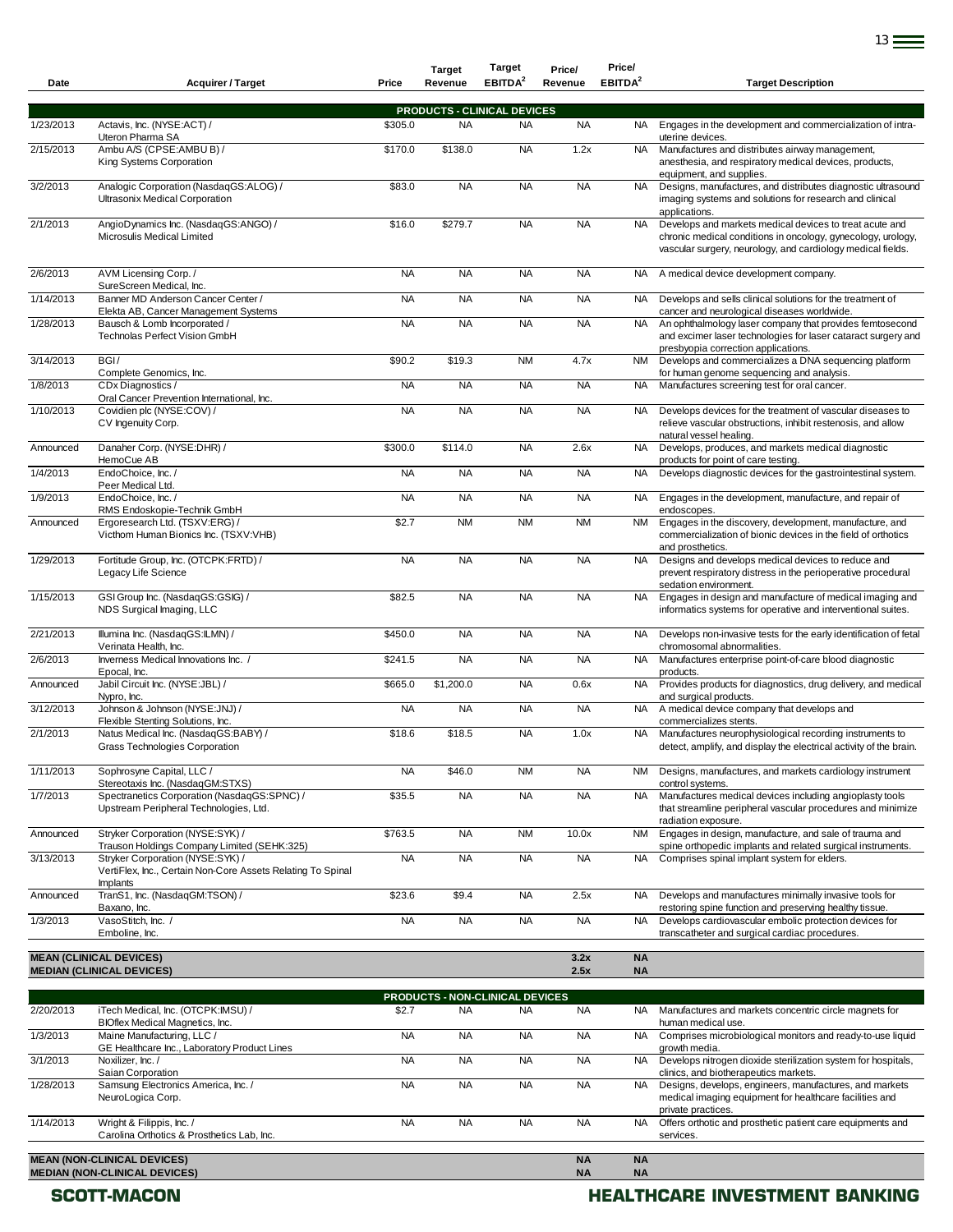| Date      | <b>Acquirer / Target</b>                                                                                    | Price     | <b>Target</b><br>Revenue | <b>Target</b><br>EBITDA <sup>2</sup> | Price/<br>Revenue      | Price/<br>EBITDA <sup>2</sup> | <b>Target Description</b>                                                                                                                                                              |
|-----------|-------------------------------------------------------------------------------------------------------------|-----------|--------------------------|--------------------------------------|------------------------|-------------------------------|----------------------------------------------------------------------------------------------------------------------------------------------------------------------------------------|
|           |                                                                                                             |           |                          | <b>PRODUCTS - CLINICAL DEVICES</b>   |                        |                               |                                                                                                                                                                                        |
| 1/23/2013 | Actavis, Inc. (NYSE:ACT) /<br>Uteron Pharma SA                                                              | \$305.0   | <b>NA</b>                | <b>NA</b>                            | <b>NA</b>              | NA.                           | Engages in the development and commercialization of intra-<br>uterine devices.                                                                                                         |
| 2/15/2013 | Ambu A/S (CPSE:AMBU B) /<br>King Systems Corporation                                                        | \$170.0   | \$138.0                  | <b>NA</b>                            | 1.2x                   | <b>NA</b>                     | Manufactures and distributes airway management,<br>anesthesia, and respiratory medical devices, products,<br>equipment, and supplies.                                                  |
| 3/2/2013  | Analogic Corporation (NasdaqGS:ALOG) /<br>Ultrasonix Medical Corporation                                    | \$83.0    | <b>NA</b>                | <b>NA</b>                            | <b>NA</b>              | <b>NA</b>                     | Designs, manufactures, and distributes diagnostic ultrasound<br>imaging systems and solutions for research and clinical<br>applications.                                               |
| 2/1/2013  | AngioDynamics Inc. (NasdaqGS:ANGO) /<br>Microsulis Medical Limited                                          | \$16.0    | \$279.7                  | <b>NA</b>                            | <b>NA</b>              | <b>NA</b>                     | Develops and markets medical devices to treat acute and<br>chronic medical conditions in oncology, gynecology, urology,<br>vascular surgery, neurology, and cardiology medical fields. |
| 2/6/2013  | AVM Licensing Corp./<br>SureScreen Medical, Inc.                                                            | <b>NA</b> | <b>NA</b>                | <b>NA</b>                            | <b>NA</b>              | NA.                           | A medical device development company.                                                                                                                                                  |
| 1/14/2013 | Banner MD Anderson Cancer Center /<br>Elekta AB, Cancer Management Systems                                  | <b>NA</b> | <b>NA</b>                | <b>NA</b>                            | <b>NA</b>              | NA                            | Develops and sells clinical solutions for the treatment of<br>cancer and neurological diseases worldwide.                                                                              |
| 1/28/2013 | Bausch & Lomb Incorporated /<br>Technolas Perfect Vision GmbH                                               | <b>NA</b> | <b>NA</b>                | <b>NA</b>                            | <b>NA</b>              | <b>NA</b>                     | An ophthalmology laser company that provides femtosecond<br>and excimer laser technologies for laser cataract surgery and<br>presbyopia correction applications.                       |
| 3/14/2013 | BGI/<br>Complete Genomics, Inc.                                                                             | \$90.2    | \$19.3                   | <b>NM</b>                            | 4.7x                   | <b>NM</b>                     | Develops and commercializes a DNA sequencing platform<br>for human genome sequencing and analysis.                                                                                     |
| 1/8/2013  | CDx Diagnostics /<br>Oral Cancer Prevention International, Inc.                                             | <b>NA</b> | <b>NA</b>                | <b>NA</b>                            | <b>NA</b>              | <b>NA</b>                     | Manufactures screening test for oral cancer.                                                                                                                                           |
| 1/10/2013 | Covidien plc (NYSE:COV) /<br>CV Ingenuity Corp.                                                             | <b>NA</b> | <b>NA</b>                | <b>NA</b>                            | <b>NA</b>              | NA                            | Develops devices for the treatment of vascular diseases to<br>relieve vascular obstructions, inhibit restenosis, and allow<br>natural vessel healing.                                  |
| Announced | Danaher Corp. (NYSE:DHR) /<br>HemoCue AB                                                                    | \$300.0   | \$114.0                  | <b>NA</b>                            | 2.6x                   | <b>NA</b>                     | Develops, produces, and markets medical diagnostic<br>products for point of care testing.                                                                                              |
| 1/4/2013  | EndoChoice, Inc. /<br>Peer Medical Ltd.                                                                     | <b>NA</b> | <b>NA</b>                | <b>NA</b>                            | <b>NA</b>              | NA                            | Develops diagnostic devices for the gastrointestinal system.                                                                                                                           |
| 1/9/2013  | EndoChoice, Inc. /<br>RMS Endoskopie-Technik GmbH                                                           | <b>NA</b> | <b>NA</b>                | <b>NA</b>                            | <b>NA</b>              | <b>NA</b>                     | Engages in the development, manufacture, and repair of<br>endoscopes.                                                                                                                  |
| Announced | Ergoresearch Ltd. (TSXV:ERG) /<br>Victhom Human Bionics Inc. (TSXV:VHB)                                     | \$2.7     | <b>NM</b>                | <b>NM</b>                            | <b>NM</b>              | NM                            | Engages in the discovery, development, manufacture, and<br>commercialization of bionic devices in the field of orthotics<br>and prosthetics.                                           |
| 1/29/2013 | Fortitude Group, Inc. (OTCPK:FRTD) /<br>Legacy Life Science                                                 | <b>NA</b> | <b>NA</b>                | <b>NA</b>                            | <b>NA</b>              | <b>NA</b>                     | Designs and develops medical devices to reduce and<br>prevent respiratory distress in the perioperative procedural<br>sedation environment.                                            |
| 1/15/2013 | GSI Group Inc. (NasdaqGS:GSIG) /<br>NDS Surgical Imaging, LLC                                               | \$82.5    | <b>NA</b>                | <b>NA</b>                            | <b>NA</b>              | <b>NA</b>                     | Engages in design and manufacture of medical imaging and<br>informatics systems for operative and interventional suites.                                                               |
| 2/21/2013 | Illumina Inc. (NasdaqGS:ILMN) /<br>Verinata Health, Inc.                                                    | \$450.0   | <b>NA</b>                | <b>NA</b>                            | <b>NA</b>              | NA                            | Develops non-invasive tests for the early identification of fetal<br>chromosomal abnormalities.                                                                                        |
| 2/6/2013  | Inverness Medical Innovations Inc. /<br>Epocal, Inc.                                                        | \$241.5   | <b>NA</b>                | <b>NA</b>                            | <b>NA</b>              | <b>NA</b>                     | Manufactures enterprise point-of-care blood diagnostic<br>products.                                                                                                                    |
| Announced | Jabil Circuit Inc. (NYSE:JBL) /<br>Nypro, Inc.                                                              | \$665.0   | \$1,200.0                | <b>NA</b>                            | 0.6x                   | <b>NA</b>                     | Provides products for diagnostics, drug delivery, and medical<br>and surgical products.                                                                                                |
| 3/12/2013 | Johnson & Johnson (NYSE:JNJ) /<br>Flexible Stenting Solutions, Inc.                                         | <b>NA</b> | <b>NA</b>                | <b>NA</b>                            | <b>NA</b>              | <b>NA</b>                     | A medical device company that develops and<br>commercializes stents.                                                                                                                   |
| 2/1/2013  | Natus Medical Inc. (NasdaqGS:BABY) /<br>Grass Technologies Corporation                                      | \$18.6    | \$18.5                   | <b>NA</b>                            | 1.0x                   | NA                            | Manufactures neurophysiological recording instruments to<br>detect, amplify, and display the electrical activity of the brain.                                                         |
| 1/11/2013 | Sophrosyne Capital, LLC /<br>Stereotaxis Inc. (NasdaqGM:STXS)                                               | <b>NA</b> | \$46.0                   | <b>NM</b>                            | <b>NA</b>              | <b>NM</b>                     | Designs, manufactures, and markets cardiology instrument<br>control systems.                                                                                                           |
| 1/7/2013  | Spectranetics Corporation (NasdaqGS:SPNC) /<br>Upstream Peripheral Technologies, Ltd.                       | \$35.5    | <b>NA</b>                | <b>NA</b>                            | <b>NA</b>              | <b>NA</b>                     | Manufactures medical devices including angioplasty tools<br>that streamline peripheral vascular procedures and minimize<br>radiation exposure.                                         |
| Announced | Stryker Corporation (NYSE:SYK) /<br>Trauson Holdings Company Limited (SEHK:325)                             | \$763.5   | <b>NA</b>                | <b>NM</b>                            | 10.0x                  | <b>NM</b>                     | Engages in design, manufacture, and sale of trauma and<br>spine orthopedic implants and related surgical instruments.                                                                  |
| 3/13/2013 | Stryker Corporation (NYSE:SYK) /<br>VertiFlex, Inc., Certain Non-Core Assets Relating To Spinal<br>Implants | <b>NA</b> | <b>NA</b>                | <b>NA</b>                            | <b>NA</b>              | <b>NA</b>                     | Comprises spinal implant system for elders.                                                                                                                                            |
| Announced | TranS1, Inc. (NasdaqGM:TSON) /<br>Baxano, Inc.                                                              | \$23.6    | \$9.4                    | <b>NA</b>                            | 2.5x                   | NA                            | Develops and manufactures minimally invasive tools for<br>restoring spine function and preserving healthy tissue.                                                                      |
| 1/3/2013  | VasoStitch, Inc. /<br>Emboline, Inc.                                                                        | <b>NA</b> | <b>NA</b>                | <b>NA</b>                            | <b>NA</b>              | <b>NA</b>                     | Develops cardiovascular embolic protection devices for<br>transcatheter and surgical cardiac procedures.                                                                               |
|           | <b>MEAN (CLINICAL DEVICES)</b><br><b>MEDIAN (CLINICAL DEVICES)</b>                                          |           |                          |                                      | 3.2x<br>2.5x           | <b>NA</b><br><b>NA</b>        |                                                                                                                                                                                        |
|           |                                                                                                             |           |                          | PRODUCTS - NON-CLINICAL DEVICES      |                        |                               |                                                                                                                                                                                        |
| 2/20/2013 | iTech Medical, Inc. (OTCPK:IMSU) /<br>BIOflex Medical Magnetics, Inc.                                       | \$2.7     | <b>NA</b>                | <b>NA</b>                            | <b>NA</b>              | NA                            | Manufactures and markets concentric circle magnets for<br>human medical use.                                                                                                           |
| 1/3/2013  | Maine Manufacturing, LLC /<br>GE Healthcare Inc., Laboratory Product Lines                                  | <b>NA</b> | <b>NA</b>                | <b>NA</b>                            | <b>NA</b>              | <b>NA</b>                     | Comprises microbiological monitors and ready-to-use liquid<br>growth media.                                                                                                            |
| 3/1/2013  | Noxilizer, Inc. /<br>Saian Corporation                                                                      | <b>NA</b> | <b>NA</b>                | <b>NA</b>                            | <b>NA</b>              | <b>NA</b>                     | Develops nitrogen dioxide sterilization system for hospitals,<br>clinics, and biotherapeutics markets.                                                                                 |
| 1/28/2013 | Samsung Electronics America, Inc. /<br>NeuroLogica Corp.                                                    | <b>NA</b> | <b>NA</b>                | <b>NA</b>                            | <b>NA</b>              | <b>NA</b>                     | Designs, develops, engineers, manufactures, and markets<br>medical imaging equipment for healthcare facilities and<br>private practices.                                               |
| 1/14/2013 | Wright & Filippis, Inc. /<br>Carolina Orthotics & Prosthetics Lab, Inc.                                     | <b>NA</b> | <b>NA</b>                | <b>NA</b>                            | <b>NA</b>              | <b>NA</b>                     | Offers orthotic and prosthetic patient care equipments and<br>services.                                                                                                                |
|           | <b>MEAN (NON-CLINICAL DEVICES)</b><br><b>MEDIAN (NON-CLINICAL DEVICES)</b>                                  |           |                          |                                      | <b>NA</b><br><b>NA</b> | <b>NA</b><br><b>NA</b>        |                                                                                                                                                                                        |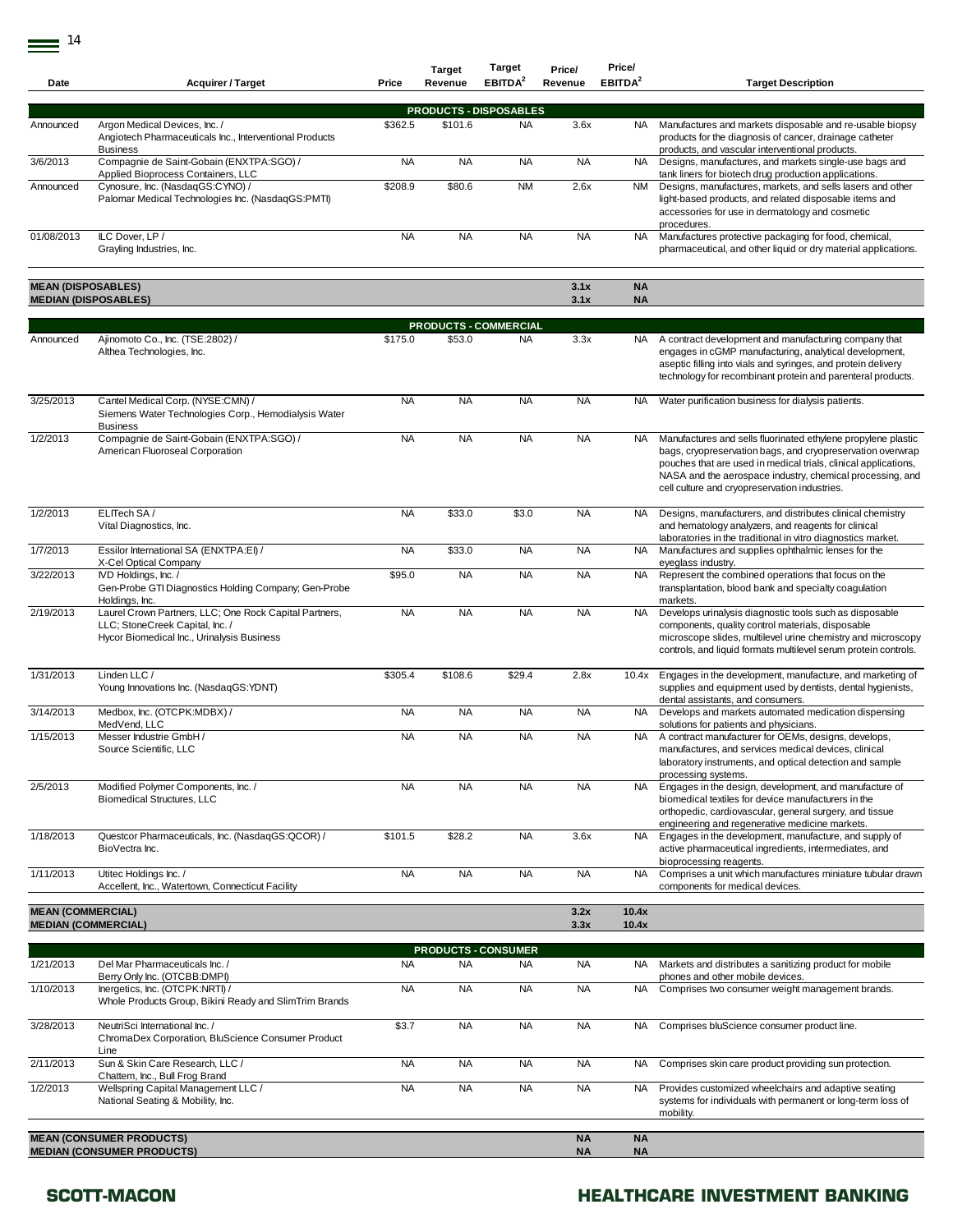| Date                                                   | <b>Acquirer / Target</b>                                                                                                                | Price     | <b>Target</b><br>Revenue | <b>Target</b><br>EBITDA <sup>2</sup> | Price/<br>Revenue | Price/<br>EBITDA <sup>2</sup> | <b>Target Description</b>                                                                                                                                                                                                                                                                                    |
|--------------------------------------------------------|-----------------------------------------------------------------------------------------------------------------------------------------|-----------|--------------------------|--------------------------------------|-------------------|-------------------------------|--------------------------------------------------------------------------------------------------------------------------------------------------------------------------------------------------------------------------------------------------------------------------------------------------------------|
|                                                        |                                                                                                                                         |           |                          |                                      |                   |                               |                                                                                                                                                                                                                                                                                                              |
|                                                        |                                                                                                                                         |           |                          | <b>PRODUCTS - DISPOSABLES</b>        |                   |                               |                                                                                                                                                                                                                                                                                                              |
| Announced                                              | Argon Medical Devices, Inc. /<br>Angiotech Pharmaceuticals Inc., Interventional Products<br><b>Business</b>                             | \$362.5   | \$101.6                  | <b>NA</b>                            | 3.6x              | NA.                           | Manufactures and markets disposable and re-usable biopsy<br>products for the diagnosis of cancer, drainage catheter<br>products, and vascular interventional products.                                                                                                                                       |
| 3/6/2013                                               | Compagnie de Saint-Gobain (ENXTPA:SGO) /                                                                                                | <b>NA</b> | <b>NA</b>                | <b>NA</b>                            | <b>NA</b>         | <b>NA</b>                     | Designs, manufactures, and markets single-use bags and                                                                                                                                                                                                                                                       |
| Announced                                              | Applied Bioprocess Containers, LLC<br>Cynosure, Inc. (NasdaqGS:CYNO) /<br>Palomar Medical Technologies Inc. (NasdaqGS:PMTI)             | \$208.9   | \$80.6                   | <b>NM</b>                            | 2.6x              | NM                            | tank liners for biotech drug production applications.<br>Designs, manufactures, markets, and sells lasers and other<br>light-based products, and related disposable items and<br>accessories for use in dermatology and cosmetic<br>procedures.                                                              |
| 01/08/2013                                             | ILC Dover, LP /<br>Grayling Industries, Inc.                                                                                            | <b>NA</b> | <b>NA</b>                | <b>NA</b>                            | <b>NA</b>         | <b>NA</b>                     | Manufactures protective packaging for food, chemical,<br>pharmaceutical, and other liquid or dry material applications.                                                                                                                                                                                      |
| <b>MEAN (DISPOSABLES)</b>                              |                                                                                                                                         |           |                          |                                      | 3.1x              | <b>NA</b>                     |                                                                                                                                                                                                                                                                                                              |
|                                                        | <b>MEDIAN (DISPOSABLES)</b>                                                                                                             |           |                          |                                      | 3.1x              | <b>NA</b>                     |                                                                                                                                                                                                                                                                                                              |
|                                                        |                                                                                                                                         |           |                          | <b>PRODUCTS - COMMERCIAL</b>         |                   |                               |                                                                                                                                                                                                                                                                                                              |
| Announced                                              | Ajinomoto Co., Inc. (TSE:2802) /<br>Althea Technologies, Inc.                                                                           | \$175.0   | \$53.0                   | <b>NA</b>                            | 3.3x              | NA .                          | A contract development and manufacturing company that<br>engages in cGMP manufacturing, analytical development,<br>aseptic filling into vials and syringes, and protein delivery<br>technology for recombinant protein and parenteral products.                                                              |
| 3/25/2013                                              | Cantel Medical Corp. (NYSE:CMN) /<br>Siemens Water Technologies Corp., Hemodialysis Water<br><b>Business</b>                            | <b>NA</b> | <b>NA</b>                | <b>NA</b>                            | <b>NA</b>         | <b>NA</b>                     | Water purification business for dialysis patients.                                                                                                                                                                                                                                                           |
| 1/2/2013                                               | Compagnie de Saint-Gobain (ENXTPA:SGO) /<br>American Fluoroseal Corporation                                                             | <b>NA</b> | <b>NA</b>                | <b>NA</b>                            | <b>NA</b>         | <b>NA</b>                     | Manufactures and sells fluorinated ethylene propylene plastic<br>bags, cryopreservation bags, and cryopreservation overwrap<br>pouches that are used in medical trials, clinical applications,<br>NASA and the aerospace industry, chemical processing, and<br>cell culture and cryopreservation industries. |
| 1/2/2013                                               | ELITech SA /<br>Vital Diagnostics, Inc.                                                                                                 | <b>NA</b> | \$33.0                   | \$3.0                                | <b>NA</b>         | <b>NA</b>                     | Designs, manufacturers, and distributes clinical chemistry<br>and hematology analyzers, and reagents for clinical<br>laboratories in the traditional in vitro diagnostics market.                                                                                                                            |
| 1/7/2013                                               | Essilor International SA (ENXTPA:EI) /<br>X-Cel Optical Company                                                                         | <b>NA</b> | \$33.0                   | <b>NA</b>                            | <b>NA</b>         | <b>NA</b>                     | Manufactures and supplies ophthalmic lenses for the<br>eyeglass industry.                                                                                                                                                                                                                                    |
| 3/22/2013                                              | IVD Holdings, Inc. /<br>Gen-Probe GTI Diagnostics Holding Company; Gen-Probe<br>Holdings, Inc.                                          | \$95.0    | <b>NA</b>                | <b>NA</b>                            | <b>NA</b>         | <b>NA</b>                     | Represent the combined operations that focus on the<br>transplantation, blood bank and specialty coagulation<br>markets.                                                                                                                                                                                     |
| 2/19/2013                                              | Laurel Crown Partners, LLC; One Rock Capital Partners,<br>LLC; StoneCreek Capital, Inc. /<br>Hycor Biomedical Inc., Urinalysis Business | <b>NA</b> | <b>NA</b>                | <b>NA</b>                            | <b>NA</b>         | <b>NA</b>                     | Develops urinalysis diagnostic tools such as disposable<br>components, quality control materials, disposable<br>microscope slides, multilevel urine chemistry and microscopy<br>controls, and liquid formats multilevel serum protein controls.                                                              |
| 1/31/2013                                              | Linden LLC /<br>Young Innovations Inc. (NasdaqGS:YDNT)                                                                                  | \$305.4   | \$108.6                  | \$29.4                               | 2.8x              | 10.4x                         | Engages in the development, manufacture, and marketing of<br>supplies and equipment used by dentists, dental hygienists,<br>dental assistants, and consumers.                                                                                                                                                |
| 3/14/2013                                              | Medbox, Inc. (OTCPK:MDBX) /<br>MedVend, LLC                                                                                             | <b>NA</b> | <b>NA</b>                | <b>NA</b>                            | <b>NA</b>         | <b>NA</b>                     | Develops and markets automated medication dispensing<br>solutions for patients and physicians.                                                                                                                                                                                                               |
| 1/15/2013                                              | Messer Industrie GmbH /<br>Source Scientific. LLC                                                                                       | <b>NA</b> | <b>NA</b>                | <b>NA</b>                            | <b>NA</b>         | <b>NA</b>                     | A contract manufacturer for OEMs, designs, develops,<br>manufactures, and services medical devices, clinical<br>laboratory instruments, and optical detection and sample<br>processing systems.                                                                                                              |
| 2/5/2013                                               | Modified Polymer Components, Inc. /<br><b>Biomedical Structures, LLC</b>                                                                | <b>NA</b> | <b>NA</b>                | <b>NA</b>                            | <b>NA</b>         | NA.                           | Engages in the design, development, and manufacture of<br>biomedical textiles for device manufacturers in the<br>orthopedic, cardiovascular, general surgery, and tissue<br>engineering and regenerative medicine markets.                                                                                   |
| 1/18/2013                                              | Questcor Pharmaceuticals, Inc. (NasdaqGS:QCOR) /<br>BioVectra Inc.                                                                      | \$101.5   | \$28.2                   | <b>NA</b>                            | 3.6x              | <b>NA</b>                     | Engages in the development, manufacture, and supply of<br>active pharmaceutical ingredients, intermediates, and<br>bioprocessing reagents.                                                                                                                                                                   |
| 1/11/2013                                              | Utitec Holdings Inc. /<br>Accellent, Inc., Watertown, Connecticut Facility                                                              | <b>NA</b> | <b>NA</b>                | <b>NA</b>                            | <b>NA</b>         | <b>NA</b>                     | Comprises a unit which manufactures miniature tubular drawn<br>components for medical devices.                                                                                                                                                                                                               |
| <b>MEAN (COMMERCIAL)</b><br><b>MEDIAN (COMMERCIAL)</b> |                                                                                                                                         |           |                          |                                      | 3.2x<br>3.3x      | 10.4x<br>10.4x                |                                                                                                                                                                                                                                                                                                              |
|                                                        |                                                                                                                                         |           |                          | <b>PRODUCTS - CONSUMER</b>           |                   |                               |                                                                                                                                                                                                                                                                                                              |
| 1/21/2013                                              | Del Mar Pharmaceuticals Inc. /<br>Berry Only Inc. (OTCBB:DMPI)                                                                          | <b>NA</b> | <b>NA</b>                | <b>NA</b>                            | <b>NA</b>         | NA.                           | Markets and distributes a sanitizing product for mobile<br>phones and other mobile devices.                                                                                                                                                                                                                  |
| 1/10/2013                                              | Inergetics, Inc. (OTCPK:NRTI) /<br>Whole Products Group, Bikini Ready and SlimTrim Brands                                               | <b>NA</b> | <b>NA</b>                | <b>NA</b>                            | <b>NA</b>         | <b>NA</b>                     | Comprises two consumer weight management brands.                                                                                                                                                                                                                                                             |
| 3/28/2013                                              | NeutriSci International Inc. /<br>ChromaDex Corporation, BluScience Consumer Product<br>Line                                            | \$3.7     | <b>NA</b>                | <b>NA</b>                            | <b>NA</b>         | <b>NA</b>                     | Comprises bluScience consumer product line.                                                                                                                                                                                                                                                                  |
| 2/11/2013                                              | Sun & Skin Care Research, LLC /<br>Chattem, Inc., Bull Frog Brand                                                                       | <b>NA</b> | <b>NA</b>                | <b>NA</b>                            | <b>NA</b>         | <b>NA</b>                     | Comprises skin care product providing sun protection.                                                                                                                                                                                                                                                        |
| 1/2/2013                                               | Wellspring Capital Management LLC /<br>National Seating & Mobility, Inc.                                                                | <b>NA</b> | <b>NA</b>                | <b>NA</b>                            | <b>NA</b>         | <b>NA</b>                     | Provides customized wheelchairs and adaptive seating<br>systems for individuals with permanent or long-term loss of<br>mobility.                                                                                                                                                                             |

**MEAN (CONSUMER PRODUCTS) NA NA MEDIAN (CONSUMER PRODUCTS) NA NA**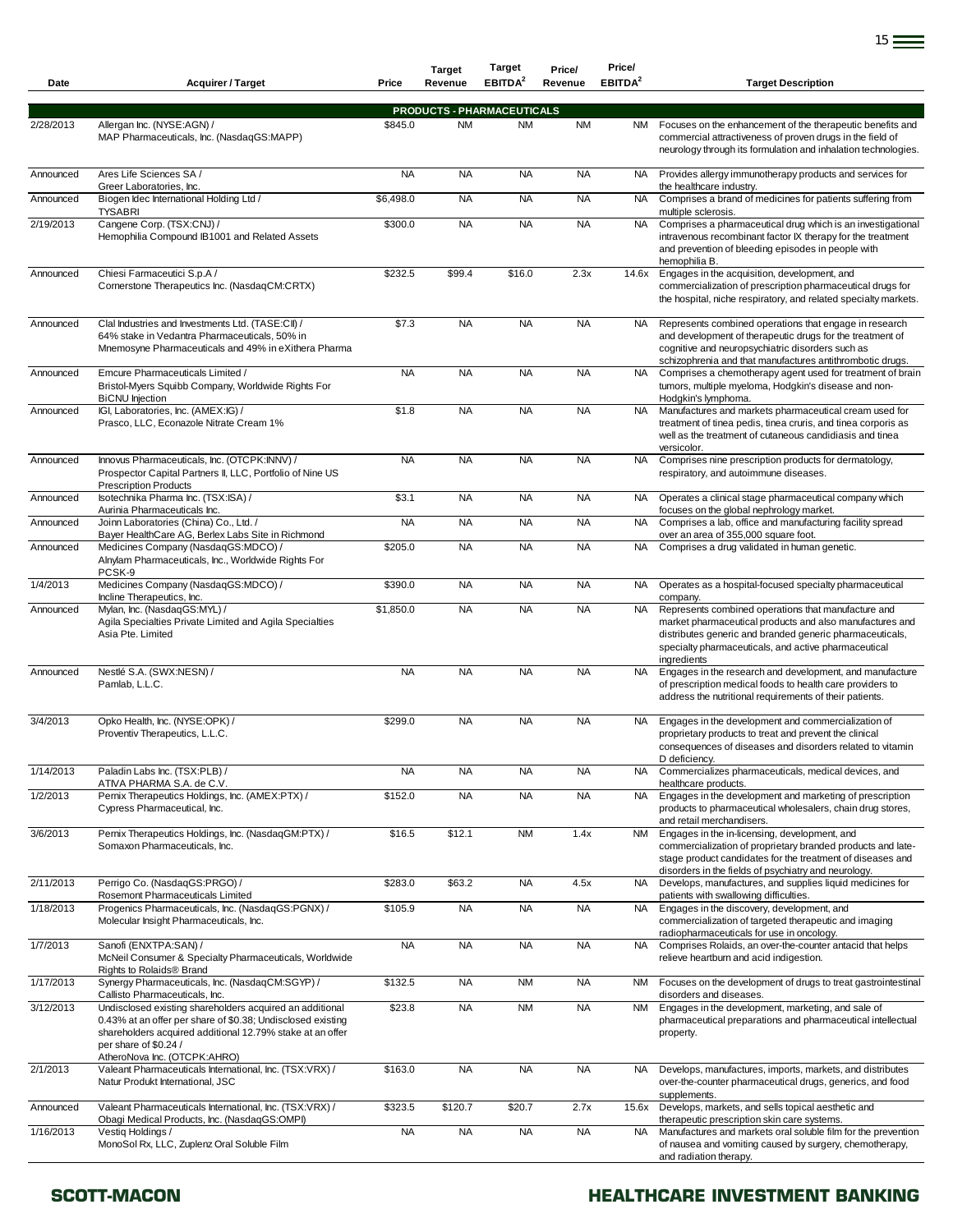| Date      | <b>Acquirer / Target</b>                                                                                                                                                                                                                      | Price     | <b>Target</b><br>Revenue | <b>Target</b><br>EBITDA <sup>2</sup>           | Price/<br>Revenue | Price/<br>EBITDA <sup>2</sup> | <b>Target Description</b>                                                                                                                                                                                                                          |
|-----------|-----------------------------------------------------------------------------------------------------------------------------------------------------------------------------------------------------------------------------------------------|-----------|--------------------------|------------------------------------------------|-------------------|-------------------------------|----------------------------------------------------------------------------------------------------------------------------------------------------------------------------------------------------------------------------------------------------|
|           |                                                                                                                                                                                                                                               |           |                          |                                                |                   |                               |                                                                                                                                                                                                                                                    |
| 2/28/2013 | Allergan Inc. (NYSE:AGN) /<br>MAP Pharmaceuticals, Inc. (NasdaqGS:MAPP)                                                                                                                                                                       | \$845.0   | <b>NM</b>                | <b>PRODUCTS - PHARMACEUTICALS</b><br><b>NM</b> | <b>NM</b>         |                               | NM Focuses on the enhancement of the therapeutic benefits and<br>commercial attractiveness of proven drugs in the field of<br>neurology through its formulation and inhalation technologies.                                                       |
| Announced | Ares Life Sciences SA /<br>Greer Laboratories, Inc.                                                                                                                                                                                           | <b>NA</b> | <b>NA</b>                | <b>NA</b>                                      | <b>NA</b>         | <b>NA</b>                     | Provides allergy immunotherapy products and services for<br>the healthcare industry.                                                                                                                                                               |
| Announced | Biogen Idec International Holding Ltd /<br><b>TYSABRI</b>                                                                                                                                                                                     | \$6,498.0 | <b>NA</b>                | <b>NA</b>                                      | <b>NA</b>         | <b>NA</b>                     | Comprises a brand of medicines for patients suffering from<br>multiple sclerosis.                                                                                                                                                                  |
| 2/19/2013 | Cangene Corp. (TSX:CNJ) /<br>Hemophilia Compound IB1001 and Related Assets                                                                                                                                                                    | \$300.0   | <b>NA</b>                | <b>NA</b>                                      | <b>NA</b>         | <b>NA</b>                     | Comprises a pharmaceutical drug which is an investigational<br>intravenous recombinant factor IX therapy for the treatment<br>and prevention of bleeding episodes in people with<br>hemophilia B.                                                  |
| Announced | Chiesi Farmaceutici S.p.A /<br>Cornerstone Therapeutics Inc. (NasdaqCM:CRTX)                                                                                                                                                                  | \$232.5   | \$99.4                   | \$16.0                                         | 2.3x              | 14.6x                         | Engages in the acquisition, development, and<br>commercialization of prescription pharmaceutical drugs for<br>the hospital, niche respiratory, and related specialty markets.                                                                      |
| Announced | Clal Industries and Investments Ltd. (TASE:CII) /<br>64% stake in Vedantra Pharmaceuticals, 50% in<br>Mnemosyne Pharmaceuticals and 49% in eXithera Pharma                                                                                    | \$7.3     | <b>NA</b>                | <b>NA</b>                                      | <b>NA</b>         | <b>NA</b>                     | Represents combined operations that engage in research<br>and development of therapeutic drugs for the treatment of<br>cognitive and neuropsychiatric disorders such as<br>schizophrenia and that manufactures antithrombotic drugs.               |
| Announced | Emcure Pharmaceuticals Limited /<br>Bristol-Myers Squibb Company, Worldwide Rights For<br><b>BiCNU</b> Injection                                                                                                                              | <b>NA</b> | <b>NA</b>                | <b>NA</b>                                      | <b>NA</b>         | <b>NA</b>                     | Comprises a chemotherapy agent used for treatment of brain<br>tumors, multiple myeloma, Hodgkin's disease and non-<br>Hodgkin's lymphoma.                                                                                                          |
| Announced | IGI, Laboratories, Inc. (AMEX:IG) /<br>Prasco, LLC, Econazole Nitrate Cream 1%                                                                                                                                                                | \$1.8     | <b>NA</b>                | <b>NA</b>                                      | <b>NA</b>         | <b>NA</b>                     | Manufactures and markets pharmaceutical cream used for<br>treatment of tinea pedis, tinea cruris, and tinea corporis as<br>well as the treatment of cutaneous candidiasis and tinea<br>versicolor.                                                 |
| Announced | Innovus Pharmaceuticals, Inc. (OTCPK:INNV) /<br>Prospector Capital Partners II, LLC, Portfolio of Nine US<br><b>Prescription Products</b>                                                                                                     | <b>NA</b> | <b>NA</b>                | <b>NA</b>                                      | <b>NA</b>         | <b>NA</b>                     | Comprises nine prescription products for dermatology,<br>respiratory, and autoimmune diseases.                                                                                                                                                     |
| Announced | Isotechnika Pharma Inc. (TSX:ISA) /<br>Aurinia Pharmaceuticals Inc.                                                                                                                                                                           | \$3.1     | <b>NA</b>                | <b>NA</b>                                      | <b>NA</b>         | NA.                           | Operates a clinical stage pharmaceutical company which<br>focuses on the global nephrology market.                                                                                                                                                 |
| Announced | Joinn Laboratories (China) Co., Ltd. /<br>Bayer HealthCare AG, Berlex Labs Site in Richmond                                                                                                                                                   | <b>NA</b> | <b>NA</b>                | <b>NA</b>                                      | <b>NA</b>         | <b>NA</b>                     | Comprises a lab, office and manufacturing facility spread<br>over an area of 355,000 square foot.                                                                                                                                                  |
| Announced | Medicines Company (NasdaqGS:MDCO) /<br>Alnylam Pharmaceuticals, Inc., Worldwide Rights For<br>PCSK-9                                                                                                                                          | \$205.0   | <b>NA</b>                | <b>NA</b>                                      | <b>NA</b>         | <b>NA</b>                     | Comprises a drug validated in human genetic.                                                                                                                                                                                                       |
| 1/4/2013  | Medicines Company (NasdaqGS:MDCO) /<br>Incline Therapeutics, Inc.                                                                                                                                                                             | \$390.0   | <b>NA</b>                | <b>NA</b>                                      | <b>NA</b>         | NA.                           | Operates as a hospital-focused specialty pharmaceutical<br>company.                                                                                                                                                                                |
| Announced | Mylan, Inc. (NasdaqGS:MYL) /<br>Agila Specialties Private Limited and Agila Specialties<br>Asia Pte. Limited                                                                                                                                  | \$1,850.0 | <b>NA</b>                | <b>NA</b>                                      | <b>NA</b>         | <b>NA</b>                     | Represents combined operations that manufacture and<br>market pharmaceutical products and also manufactures and<br>distributes generic and branded generic pharmaceuticals,<br>specialty pharmaceuticals, and active pharmaceutical<br>ingredients |
| Announced | Nestlé S.A. (SWX:NESN) /<br>Pamlab, L.L.C.                                                                                                                                                                                                    | <b>NA</b> | <b>NA</b>                | <b>NA</b>                                      | <b>NA</b>         | NA                            | Engages in the research and development, and manufacture<br>of prescription medical foods to health care providers to<br>address the nutritional requirements of their patients.                                                                   |
| 3/4/2013  | Opko Health, Inc. (NYSE:OPK) /<br>Proventiv Therapeutics, L.L.C.                                                                                                                                                                              | \$299.0   | <b>NA</b>                | <b>NA</b>                                      | <b>NA</b>         | NA.                           | Engages in the development and commercialization of<br>proprietary products to treat and prevent the clinical<br>consequences of diseases and disorders related to vitamin<br>D deficiency.                                                        |
| 1/14/2013 | Paladin Labs Inc. (TSX:PLB) /<br>ATIVA PHARMA S.A. de C.V.                                                                                                                                                                                    | <b>NA</b> | <b>NA</b>                | <b>NA</b>                                      | <b>NA</b>         | NA                            | Commercializes pharmaceuticals, medical devices, and<br>healthcare products.                                                                                                                                                                       |
| 1/2/2013  | Pernix Therapeutics Holdings, Inc. (AMEX:PTX) /<br>Cypress Pharmaceutical, Inc.                                                                                                                                                               | \$152.0   | <b>NA</b>                | <b>NA</b>                                      | <b>NA</b>         | <b>NA</b>                     | Engages in the development and marketing of prescription<br>products to pharmaceutical wholesalers, chain drug stores,<br>and retail merchandisers.                                                                                                |
| 3/6/2013  | Pernix Therapeutics Holdings, Inc. (NasdaqGM:PTX) /<br>Somaxon Pharmaceuticals, Inc.                                                                                                                                                          | \$16.5    | \$12.1                   | <b>NM</b>                                      | 1.4x              | <b>NM</b>                     | Engages in the in-licensing, development, and<br>commercialization of proprietary branded products and late-<br>stage product candidates for the treatment of diseases and<br>disorders in the fields of psychiatry and neurology.                 |
| 2/11/2013 | Perrigo Co. (NasdaqGS:PRGO) /<br>Rosemont Pharmaceuticals Limited                                                                                                                                                                             | \$283.0   | \$63.2                   | <b>NA</b>                                      | 4.5x              | NA                            | Develops, manufactures, and supplies liquid medicines for<br>patients with swallowing difficulties.                                                                                                                                                |
| 1/18/2013 | Progenics Pharmaceuticals, Inc. (NasdaqGS:PGNX) /<br>Molecular Insight Pharmaceuticals, Inc.                                                                                                                                                  | \$105.9   | <b>NA</b>                | <b>NA</b>                                      | <b>NA</b>         | <b>NA</b>                     | Engages in the discovery, development, and<br>commercialization of targeted therapeutic and imaging<br>radiopharmaceuticals for use in oncology.                                                                                                   |
| 1/7/2013  | Sanofi (ENXTPA:SAN) /<br>McNeil Consumer & Specialty Pharmaceuticals, Worldwide<br>Rights to Rolaids® Brand                                                                                                                                   | <b>NA</b> | <b>NA</b>                | <b>NA</b>                                      | <b>NA</b>         | <b>NA</b>                     | Comprises Rolaids, an over-the-counter antacid that helps<br>relieve heartburn and acid indigestion.                                                                                                                                               |
| 1/17/2013 | Synergy Pharmaceuticals, Inc. (NasdaqCM:SGYP) /<br>Callisto Pharmaceuticals, Inc.                                                                                                                                                             | \$132.5   | <b>NA</b>                | <b>NM</b>                                      | <b>NA</b>         | NM                            | Focuses on the development of drugs to treat gastrointestinal<br>disorders and diseases.                                                                                                                                                           |
| 3/12/2013 | Undisclosed existing shareholders acquired an additional<br>0.43% at an offer per share of \$0.38; Undisclosed existing<br>shareholders acquired additional 12.79% stake at an offer<br>per share of \$0.24 /<br>AtheroNova Inc. (OTCPK:AHRO) | \$23.8    | <b>NA</b>                | <b>NM</b>                                      | <b>NA</b>         | NM                            | Engages in the development, marketing, and sale of<br>pharmaceutical preparations and pharmaceutical intellectual<br>property.                                                                                                                     |
| 2/1/2013  | Valeant Pharmaceuticals International, Inc. (TSX:VRX) /<br>Natur Produkt International, JSC                                                                                                                                                   | \$163.0   | <b>NA</b>                | <b>NA</b>                                      | <b>NA</b>         | <b>NA</b>                     | Develops, manufactures, imports, markets, and distributes<br>over-the-counter pharmaceutical drugs, generics, and food<br>supplements.                                                                                                             |
| Announced | Valeant Pharmaceuticals International, Inc. (TSX:VRX) /<br>Obagi Medical Products, Inc. (NasdaqGS:OMPI)                                                                                                                                       | \$323.5   | \$120.7                  | \$20.7                                         | 2.7x              | 15.6x                         | Develops, markets, and sells topical aesthetic and<br>therapeutic prescription skin care systems.                                                                                                                                                  |
| 1/16/2013 | Vestig Holdings /<br>MonoSol Rx, LLC, Zuplenz Oral Soluble Film                                                                                                                                                                               | <b>NA</b> | <b>NA</b>                | <b>NA</b>                                      | <b>NA</b>         | <b>NA</b>                     | Manufactures and markets oral soluble film for the prevention<br>of nausea and vomiting caused by surgery, chemotherapy,<br>and radiation therapy.                                                                                                 |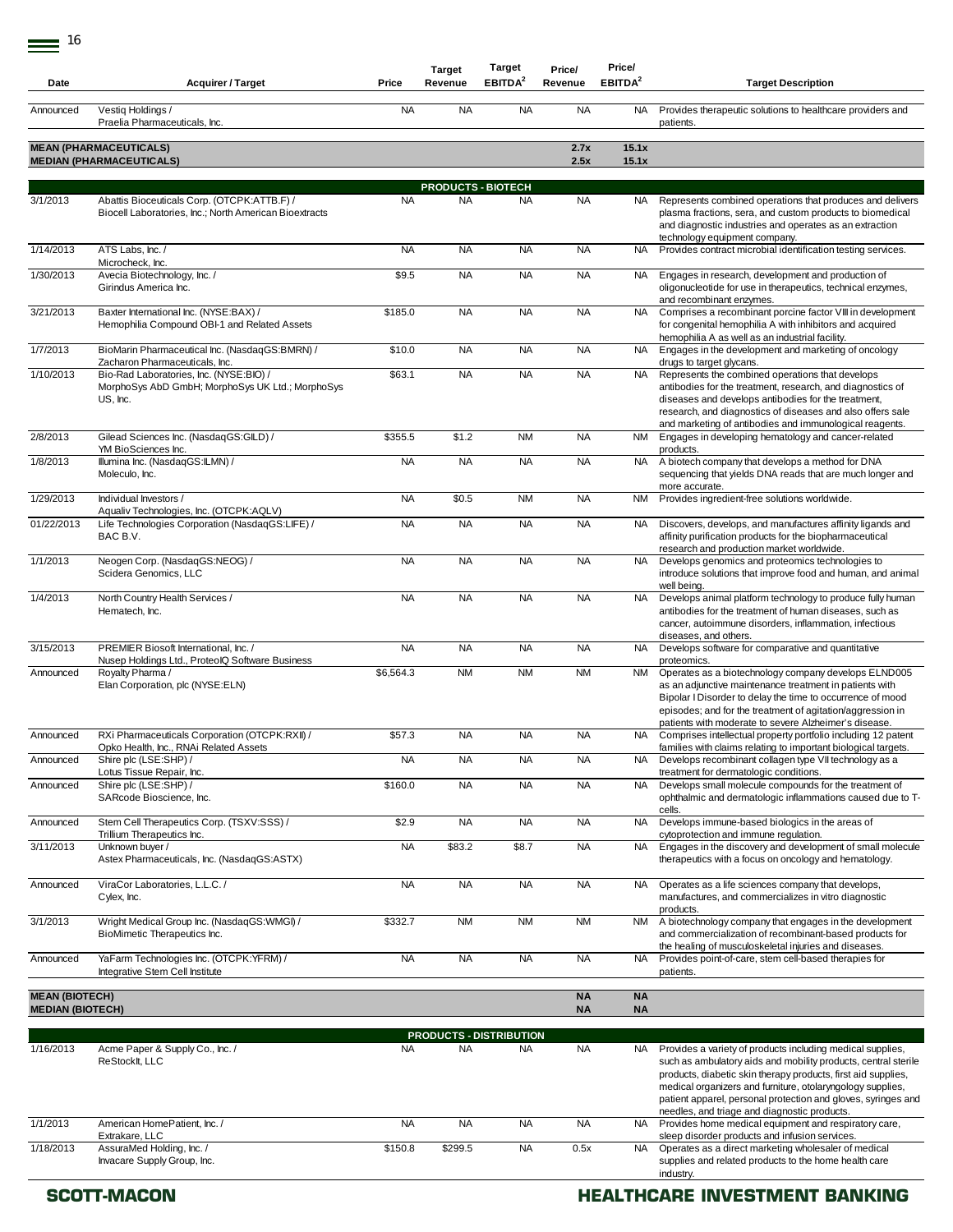| Date                                             | <b>Acquirer / Target</b>                                                                                | Price     | <b>Target</b><br>Revenue  | Target<br>EBITDA <sup>2</sup>  | Price/<br>Revenue      | Price/<br>EBITDA <sup>2</sup> | <b>Target Description</b>                                                                                                                                                                                                                                                                                                                                                    |
|--------------------------------------------------|---------------------------------------------------------------------------------------------------------|-----------|---------------------------|--------------------------------|------------------------|-------------------------------|------------------------------------------------------------------------------------------------------------------------------------------------------------------------------------------------------------------------------------------------------------------------------------------------------------------------------------------------------------------------------|
| Announced                                        | Vestig Holdings /<br>Praelia Pharmaceuticals, Inc.                                                      | <b>NA</b> | <b>NA</b>                 | <b>NA</b>                      | <b>NA</b>              | NA                            | Provides therapeutic solutions to healthcare providers and<br>patients.                                                                                                                                                                                                                                                                                                      |
|                                                  | <b>MEAN (PHARMACEUTICALS)</b><br><b>MEDIAN (PHARMACEUTICALS)</b>                                        |           |                           |                                | 2.7x<br>2.5x           | 15.1x<br>15.1x                |                                                                                                                                                                                                                                                                                                                                                                              |
|                                                  |                                                                                                         |           | <b>PRODUCTS - BIOTECH</b> |                                |                        |                               |                                                                                                                                                                                                                                                                                                                                                                              |
| 3/1/2013                                         | Abattis Bioceuticals Corp. (OTCPK:ATTB.F) /<br>Biocell Laboratories, Inc.; North American Bioextracts   | <b>NA</b> | <b>NA</b>                 | <b>NA</b>                      | <b>NA</b>              | NA.                           | Represents combined operations that produces and delivers<br>plasma fractions, sera, and custom products to biomedical<br>and diagnostic industries and operates as an extraction<br>technology equipment company.                                                                                                                                                           |
| 1/14/2013                                        | ATS Labs. Inc. /<br>Microcheck, Inc.                                                                    | <b>NA</b> | <b>NA</b>                 | <b>NA</b>                      | <b>NA</b>              | NA.                           | Provides contract microbial identification testing services.                                                                                                                                                                                                                                                                                                                 |
| 1/30/2013                                        | Avecia Biotechnology, Inc. /<br>Girindus America Inc.                                                   | \$9.5     | <b>NA</b>                 | <b>NA</b>                      | <b>NA</b>              | NA                            | Engages in research, development and production of<br>oligonucleotide for use in therapeutics, technical enzymes,<br>and recombinant enzymes.                                                                                                                                                                                                                                |
| 3/21/2013                                        | Baxter International Inc. (NYSE:BAX) /<br>Hemophilia Compound OBI-1 and Related Assets                  | \$185.0   | <b>NA</b>                 | <b>NA</b>                      | <b>NA</b>              | NA                            | Comprises a recombinant porcine factor VIII in development<br>for congenital hemophilia A with inhibitors and acquired<br>hemophilia A as well as an industrial facility.                                                                                                                                                                                                    |
| 1/7/2013                                         | BioMarin Pharmaceutical Inc. (NasdaqGS:BMRN) /<br>Zacharon Pharmaceuticals, Inc.                        | \$10.0    | <b>NA</b>                 | <b>NA</b>                      | <b>NA</b>              | NA.                           | Engages in the development and marketing of oncology<br>drugs to target glycans.                                                                                                                                                                                                                                                                                             |
| 1/10/2013                                        | Bio-Rad Laboratories, Inc. (NYSE:BIO) /<br>MorphoSys AbD GmbH; MorphoSys UK Ltd.; MorphoSys<br>US, Inc. | \$63.1    | <b>NA</b>                 | <b>NA</b>                      | <b>NA</b>              | <b>NA</b>                     | Represents the combined operations that develops<br>antibodies for the treatment, research, and diagnostics of<br>diseases and develops antibodies for the treatment,<br>research, and diagnostics of diseases and also offers sale<br>and marketing of antibodies and immunological reagents.                                                                               |
| 2/8/2013                                         | Gilead Sciences Inc. (NasdaqGS:GILD) /<br>YM BioSciences Inc.                                           | \$355.5   | \$1.2                     | <b>NM</b>                      | <b>NA</b>              | <b>NM</b>                     | Engages in developing hematology and cancer-related<br>products.                                                                                                                                                                                                                                                                                                             |
| 1/8/2013                                         | Illumina Inc. (NasdaqGS:ILMN) /<br>Moleculo, Inc.                                                       | <b>NA</b> | <b>NA</b>                 | <b>NA</b>                      | <b>NA</b>              | NA.                           | A biotech company that develops a method for DNA<br>sequencing that yields DNA reads that are much longer and<br>more accurate.                                                                                                                                                                                                                                              |
| 1/29/2013                                        | Individual Investors /<br>Aqualiv Technologies, Inc. (OTCPK:AQLV)                                       | <b>NA</b> | \$0.5                     | <b>NM</b>                      | <b>NA</b>              | NM                            | Provides ingredient-free solutions worldwide.                                                                                                                                                                                                                                                                                                                                |
| 01/22/2013                                       | Life Technologies Corporation (NasdaqGS:LIFE) /<br>BAC B.V.                                             | <b>NA</b> | <b>NA</b>                 | <b>NA</b>                      | <b>NA</b>              | <b>NA</b>                     | Discovers, develops, and manufactures affinity ligands and<br>affinity purification products for the biopharmaceutical<br>research and production market worldwide.                                                                                                                                                                                                          |
| 1/1/2013                                         | Neogen Corp. (NasdaqGS:NEOG) /<br>Scidera Genomics, LLC                                                 | <b>NA</b> | <b>NA</b>                 | <b>NA</b>                      | <b>NA</b>              | <b>NA</b>                     | Develops genomics and proteomics technologies to<br>introduce solutions that improve food and human, and animal<br>well being.                                                                                                                                                                                                                                               |
| 1/4/2013                                         | North Country Health Services /<br>Hematech, Inc.                                                       | <b>NA</b> | <b>NA</b>                 | <b>NA</b>                      | <b>NA</b>              | <b>NA</b>                     | Develops animal platform technology to produce fully human<br>antibodies for the treatment of human diseases, such as<br>cancer, autoimmune disorders, inflammation, infectious<br>diseases, and others.                                                                                                                                                                     |
| 3/15/2013                                        | PREMIER Biosoft International, Inc. /<br>Nusep Holdings Ltd., ProteolQ Software Business                | <b>NA</b> | <b>NA</b>                 | <b>NA</b>                      | <b>NA</b>              | <b>NA</b>                     | Develops software for comparative and quantitative<br>proteomics.                                                                                                                                                                                                                                                                                                            |
| Announced                                        | Royalty Pharma /<br>Elan Corporation, plc (NYSE:ELN)                                                    | \$6,564.3 | <b>NM</b>                 | <b>NM</b>                      | <b>NM</b>              | NM                            | Operates as a biotechnology company develops ELND005<br>as an adjunctive maintenance treatment in patients with<br>Bipolar I Disorder to delay the time to occurrence of mood<br>episodes; and for the treatment of agitation/aggression in<br>patients with moderate to severe Alzheimer's disease.                                                                         |
| Announced                                        | RXi Pharmaceuticals Corporation (OTCPK:RXII) /<br>Opko Health, Inc., RNAi Related Assets                | \$57.3    | <b>NA</b>                 | <b>NA</b>                      | <b>NA</b>              | <b>NA</b>                     | Comprises intellectual property portfolio including 12 patent<br>families with claims relating to important biological targets.                                                                                                                                                                                                                                              |
| Announced                                        | Shire plc (LSE:SHP) /<br>Lotus Tissue Repair, Inc.                                                      | <b>NA</b> | <b>NA</b>                 | <b>NA</b>                      | <b>NA</b>              | NA .                          | Develops recombinant collagen type VII technology as a<br>treatment for dermatologic conditions.                                                                                                                                                                                                                                                                             |
| Announced                                        | Shire plc (LSE:SHP) /<br>SARcode Bioscience, Inc.                                                       | \$160.0   | <b>NA</b>                 | <b>NA</b>                      | <b>NA</b>              | <b>NA</b>                     | Develops small molecule compounds for the treatment of<br>ophthalmic and dermatologic inflammations caused due to T-<br>cells.                                                                                                                                                                                                                                               |
| Announced                                        | Stem Cell Therapeutics Corp. (TSXV:SSS) /<br>Trillium Therapeutics Inc.                                 | \$2.9     | <b>NA</b>                 | <b>NA</b>                      | <b>NA</b>              | <b>NA</b>                     | Develops immune-based biologics in the areas of<br>cytoprotection and immune regulation.                                                                                                                                                                                                                                                                                     |
| 3/11/2013                                        | Unknown buyer /<br>Astex Pharmaceuticals, Inc. (NasdaqGS:ASTX)                                          | <b>NA</b> | \$83.2                    | \$8.7                          | <b>NA</b>              | <b>NA</b>                     | Engages in the discovery and development of small molecule<br>therapeutics with a focus on oncology and hematology.                                                                                                                                                                                                                                                          |
| Announced                                        | ViraCor Laboratories, L.L.C. /<br>Cylex, Inc.                                                           | <b>NA</b> | <b>NA</b>                 | <b>NA</b>                      | <b>NA</b>              | NA                            | Operates as a life sciences company that develops,<br>manufactures, and commercializes in vitro diagnostic<br>products.                                                                                                                                                                                                                                                      |
| 3/1/2013                                         | Wright Medical Group Inc. (NasdaqGS:WMGI) /<br>BioMimetic Therapeutics Inc.                             | \$332.7   | <b>NM</b>                 | <b>NM</b>                      | <b>NM</b>              | <b>NM</b>                     | A biotechnology company that engages in the development<br>and commercialization of recombinant-based products for<br>the healing of musculoskeletal injuries and diseases.                                                                                                                                                                                                  |
| Announced                                        | YaFarm Technologies Inc. (OTCPK:YFRM) /<br>Integrative Stem Cell Institute                              | <b>NA</b> | <b>NA</b>                 | <b>NA</b>                      | <b>NA</b>              | <b>NA</b>                     | Provides point-of-care, stem cell-based therapies for<br>patients.                                                                                                                                                                                                                                                                                                           |
| <b>MEAN (BIOTECH)</b><br><b>MEDIAN (BIOTECH)</b> |                                                                                                         |           |                           |                                | <b>NA</b><br><b>NA</b> | <b>NA</b><br><b>NA</b>        |                                                                                                                                                                                                                                                                                                                                                                              |
|                                                  |                                                                                                         |           |                           | <b>PRODUCTS - DISTRIBUTION</b> |                        |                               |                                                                                                                                                                                                                                                                                                                                                                              |
| 1/16/2013                                        | Acme Paper & Supply Co., Inc. /<br>ReStocklt, LLC                                                       | <b>NA</b> | <b>NA</b>                 | <b>NA</b>                      | <b>NA</b>              | NA.                           | Provides a variety of products including medical supplies,<br>such as ambulatory aids and mobility products, central sterile<br>products, diabetic skin therapy products, first aid supplies,<br>medical organizers and furniture, otolaryngology supplies,<br>patient apparel, personal protection and gloves, syringes and<br>needles, and triage and diagnostic products. |
| 1/1/2013                                         | American HomePatient, Inc. /<br>Extrakare, LLC                                                          | <b>NA</b> | <b>NA</b>                 | <b>NA</b>                      | <b>NA</b>              | NA.                           | Provides home medical equipment and respiratory care,<br>sleep disorder products and infusion services.                                                                                                                                                                                                                                                                      |
| 1/18/2013                                        | AssuraMed Holding, Inc. /<br>Invacare Supply Group, Inc.                                                | \$150.8   | \$299.5                   | <b>NA</b>                      | 0.5x                   | <b>NA</b>                     | Operates as a direct marketing wholesaler of medical<br>supplies and related products to the home health care<br>industry.                                                                                                                                                                                                                                                   |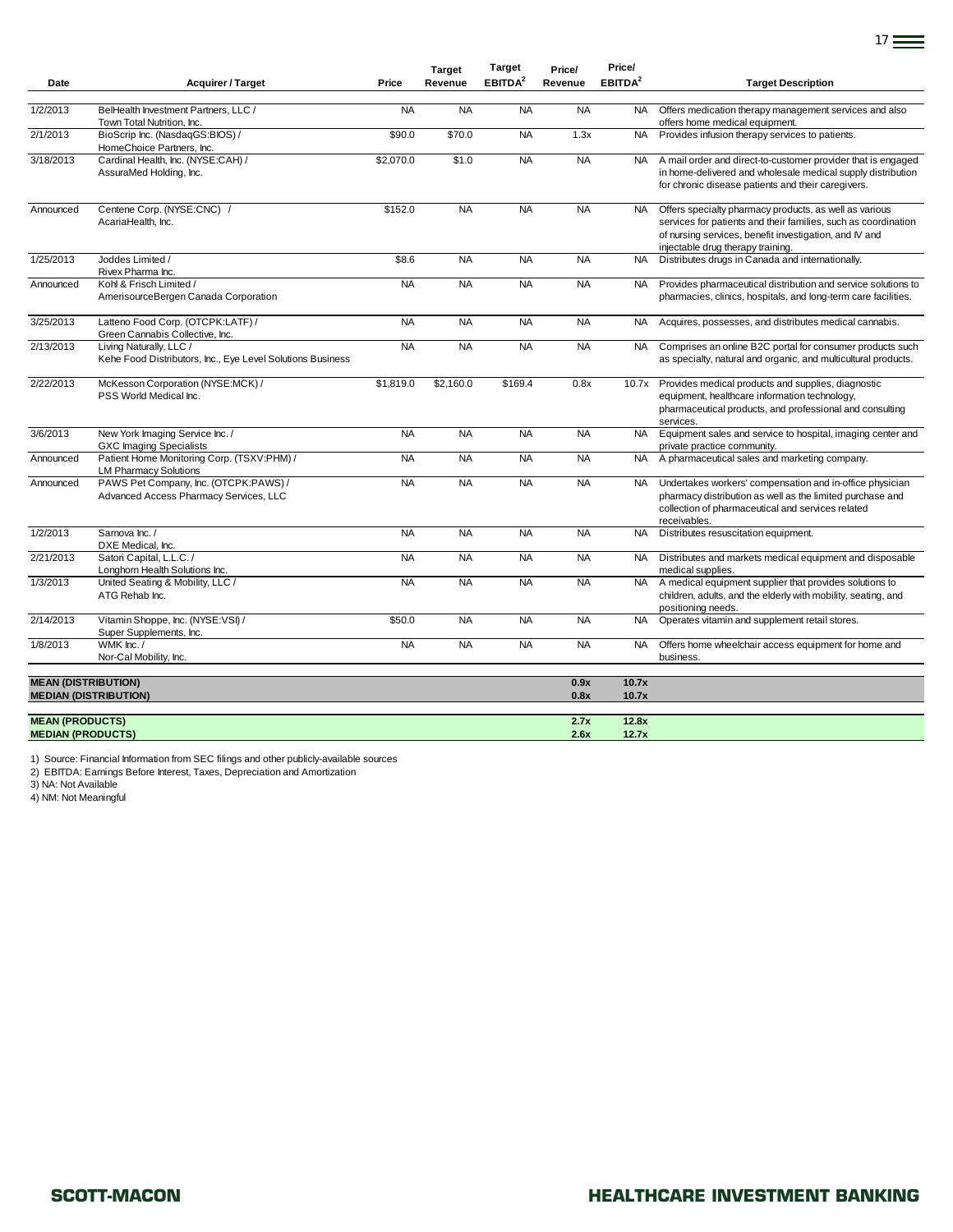|                                                    |                                                                                       |           | <b>Target</b> | <b>Target</b>       | Price/       | Price/              |                                                                                                                                                                                                                         |
|----------------------------------------------------|---------------------------------------------------------------------------------------|-----------|---------------|---------------------|--------------|---------------------|-------------------------------------------------------------------------------------------------------------------------------------------------------------------------------------------------------------------------|
| Date                                               | <b>Acquirer / Target</b>                                                              | Price     | Revenue       | EBITDA <sup>2</sup> | Revenue      | EBITDA <sup>2</sup> | <b>Target Description</b>                                                                                                                                                                                               |
| 1/2/2013                                           | BelHealth Investment Partners, LLC /<br>Town Total Nutrition, Inc.                    | <b>NA</b> | <b>NA</b>     | <b>NA</b>           | <b>NA</b>    | NA .                | Offers medication therapy management services and also<br>offers home medical equipment.                                                                                                                                |
| 2/1/2013                                           | BioScrip Inc. (NasdaqGS:BIOS) /<br>HomeChoice Partners, Inc.                          | \$90.0    | \$70.0        | <b>NA</b>           | 1.3x         | <b>NA</b>           | Provides infusion therapy services to patients.                                                                                                                                                                         |
| 3/18/2013                                          | Cardinal Health, Inc. (NYSE:CAH) /<br>AssuraMed Holding, Inc.                         | \$2,070.0 | \$1.0         | <b>NA</b>           | <b>NA</b>    | <b>NA</b>           | A mail order and direct-to-customer provider that is engaged<br>in home-delivered and wholesale medical supply distribution<br>for chronic disease patients and their caregivers.                                       |
| Announced                                          | Centene Corp. (NYSE:CNC) /<br>AcariaHealth, Inc.                                      | \$152.0   | <b>NA</b>     | <b>NA</b>           | <b>NA</b>    | <b>NA</b>           | Offers specialty pharmacy products, as well as various<br>services for patients and their families, such as coordination<br>of nursing services, benefit investigation, and IV and<br>injectable drug therapy training. |
| 1/25/2013                                          | Joddes Limited /<br>Rivex Pharma Inc.                                                 | \$8.6     | <b>NA</b>     | <b>NA</b>           | <b>NA</b>    | <b>NA</b>           | Distributes drugs in Canada and internationally.                                                                                                                                                                        |
| Announced                                          | Kohl & Frisch Limited /<br>AmerisourceBergen Canada Corporation                       | <b>NA</b> | <b>NA</b>     | <b>NA</b>           | <b>NA</b>    | <b>NA</b>           | Provides pharmaceutical distribution and service solutions to<br>pharmacies, clinics, hospitals, and long-term care facilities.                                                                                         |
| 3/25/2013                                          | Latteno Food Corp. (OTCPK:LATF) /<br>Green Cannabis Collective, Inc.                  | <b>NA</b> | <b>NA</b>     | <b>NA</b>           | <b>NA</b>    | <b>NA</b>           | Acquires, possesses, and distributes medical cannabis.                                                                                                                                                                  |
| 2/13/2013                                          | Living Naturally, LLC /<br>Kehe Food Distributors, Inc., Eye Level Solutions Business | <b>NA</b> | <b>NA</b>     | <b>NA</b>           | <b>NA</b>    | <b>NA</b>           | Comprises an online B2C portal for consumer products such<br>as specialty, natural and organic, and multicultural products.                                                                                             |
| 2/22/2013                                          | McKesson Corporation (NYSE:MCK) /<br>PSS World Medical Inc.                           | \$1,819.0 | \$2,160.0     | \$169.4             | 0.8x         | 10.7x               | Provides medical products and supplies, diagnostic<br>equipment, healthcare information technology,<br>pharmaceutical products, and professional and consulting<br>services.                                            |
| 3/6/2013                                           | New York Imaging Service Inc. /<br><b>GXC Imaging Specialists</b>                     | <b>NA</b> | <b>NA</b>     | <b>NA</b>           | <b>NA</b>    | <b>NA</b>           | Equipment sales and service to hospital, imaging center and<br>private practice community.                                                                                                                              |
| Announced                                          | Patient Home Monitoring Corp. (TSXV:PHM) /<br><b>LM Pharmacy Solutions</b>            | <b>NA</b> | <b>NA</b>     | <b>NA</b>           | <b>NA</b>    | <b>NA</b>           | A pharmaceutical sales and marketing company.                                                                                                                                                                           |
| Announced                                          | PAWS Pet Company, Inc. (OTCPK:PAWS) /<br>Advanced Access Pharmacy Services, LLC       | <b>NA</b> | <b>NA</b>     | <b>NA</b>           | <b>NA</b>    | <b>NA</b>           | Undertakes workers' compensation and in-office physician<br>pharmacy distribution as well as the limited purchase and<br>collection of pharmaceutical and services related<br>receivables.                              |
| 1/2/2013                                           | Sarnova Inc. /<br>DXE Medical, Inc.                                                   | <b>NA</b> | <b>NA</b>     | <b>NA</b>           | <b>NA</b>    | <b>NA</b>           | Distributes resuscitation equipment.                                                                                                                                                                                    |
| 2/21/2013                                          | Satori Capital, L.L.C. /<br>Longhorn Health Solutions Inc.                            | <b>NA</b> | <b>NA</b>     | <b>NA</b>           | <b>NA</b>    | <b>NA</b>           | Distributes and markets medical equipment and disposable<br>medical supplies.                                                                                                                                           |
| 1/3/2013                                           | United Seating & Mobility, LLC /<br>ATG Rehab Inc.                                    | <b>NA</b> | <b>NA</b>     | <b>NA</b>           | <b>NA</b>    | <b>NA</b>           | A medical equipment supplier that provides solutions to<br>children, adults, and the elderly with mobility, seating, and<br>positioning needs.                                                                          |
| 2/14/2013                                          | Vitamin Shoppe, Inc. (NYSE:VSI) /<br>Super Supplements, Inc.                          | \$50.0    | <b>NA</b>     | <b>NA</b>           | <b>NA</b>    | <b>NA</b>           | Operates vitamin and supplement retail stores.                                                                                                                                                                          |
| 1/8/2013                                           | WMK Inc./<br>Nor-Cal Mobility, Inc.                                                   | <b>NA</b> | <b>NA</b>     | <b>NA</b>           | <b>NA</b>    | <b>NA</b>           | Offers home wheelchair access equipment for home and<br>business.                                                                                                                                                       |
| <b>MEAN (DISTRIBUTION)</b>                         |                                                                                       |           |               |                     | 0.9x         | 10.7x               |                                                                                                                                                                                                                         |
|                                                    | <b>MEDIAN (DISTRIBUTION)</b>                                                          |           |               |                     | 0.8x         | 10.7x               |                                                                                                                                                                                                                         |
| <b>MEAN (PRODUCTS)</b><br><b>MEDIAN (PRODUCTS)</b> |                                                                                       |           |               |                     | 2.7x<br>2.6x | 12.8x<br>12.7x      |                                                                                                                                                                                                                         |

1) Source: Financial Information from SEC filings and other publicly-available sources 2) EBITDA: Earnings Before Interest, Taxes, Depreciation and Amortization

3) NA: Not Available

4) NM: Not Meaningful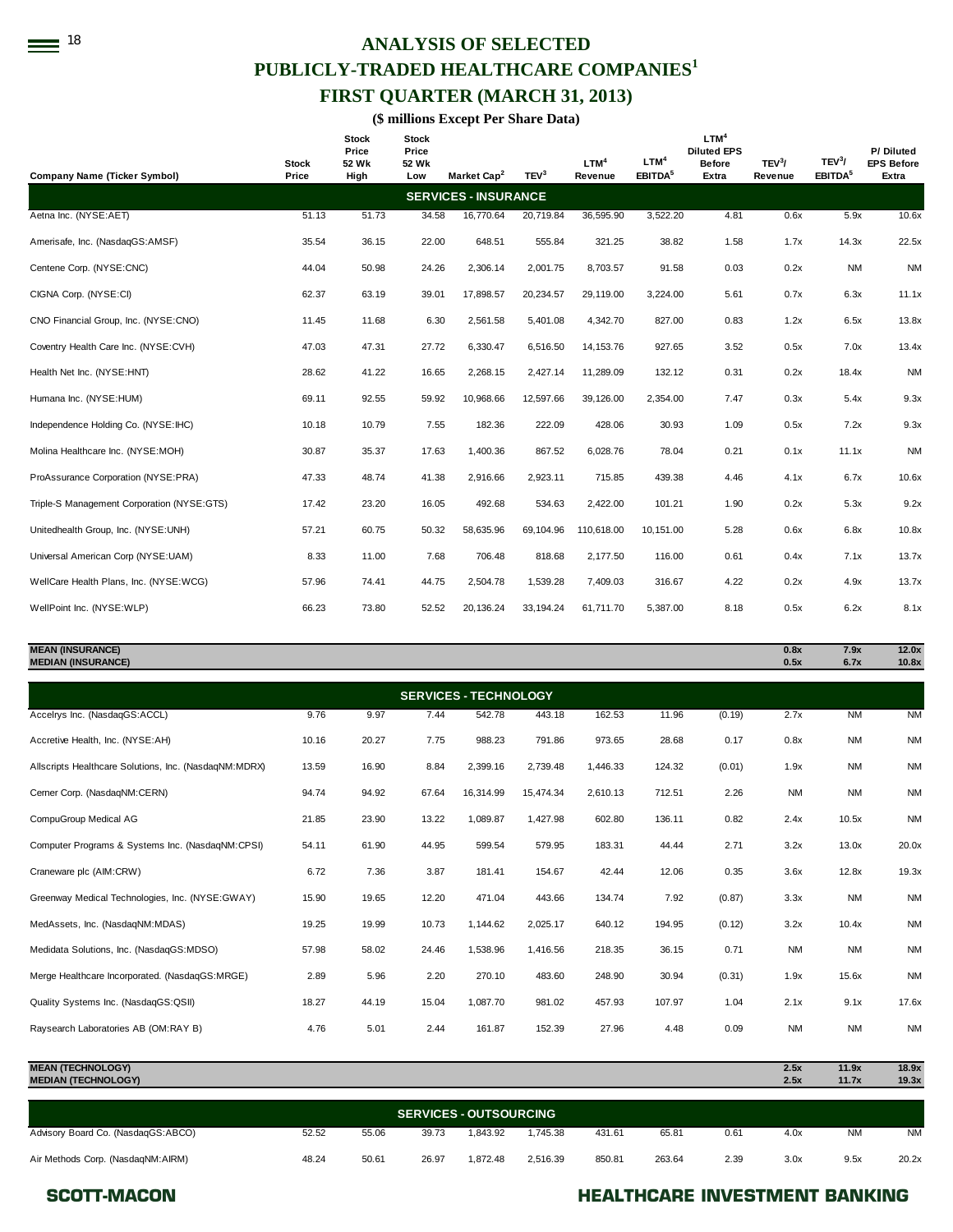# **18**<sup>18</sup> ANALYSIS OF SELECTED **PUBLICLY-TRADED HEALTHCARE COMPANIES<sup>1</sup> FIRST QUARTER (MARCH 31, 2013)**

**(\$ millions Except Per Share Data)** 

| <b>Company Name (Ticker Symbol)</b>        | Stock<br>Price | <b>Stock</b><br>Price<br>52 Wk<br>High | <b>Stock</b><br>Price<br>52 Wk<br>Low | Market Cap <sup>2</sup>     | TEV <sup>3</sup> | LTM <sup>4</sup><br>Revenue | LTM <sup>4</sup><br>EBITDA <sup>5</sup> | LTM <sup>4</sup><br><b>Diluted EPS</b><br><b>Before</b><br>Extra | TEV <sup>3</sup> /<br>Revenue | TEV <sup>3</sup> /<br>EBITDA <sup>5</sup> | P/Diluted<br><b>EPS Before</b><br>Extra |
|--------------------------------------------|----------------|----------------------------------------|---------------------------------------|-----------------------------|------------------|-----------------------------|-----------------------------------------|------------------------------------------------------------------|-------------------------------|-------------------------------------------|-----------------------------------------|
|                                            |                |                                        |                                       | <b>SERVICES - INSURANCE</b> |                  |                             |                                         |                                                                  |                               |                                           |                                         |
| Aetna Inc. (NYSE:AET)                      | 51.13          | 51.73                                  | 34.58                                 | 16,770.64                   | 20,719.84        | 36,595.90                   | 3,522.20                                | 4.81                                                             | 0.6x                          | 5.9x                                      | 10.6x                                   |
| Amerisafe, Inc. (NasdaqGS:AMSF)            | 35.54          | 36.15                                  | 22.00                                 | 648.51                      | 555.84           | 321.25                      | 38.82                                   | 1.58                                                             | 1.7x                          | 14.3x                                     | 22.5x                                   |
| Centene Corp. (NYSE:CNC)                   | 44.04          | 50.98                                  | 24.26                                 | 2,306.14                    | 2,001.75         | 8,703.57                    | 91.58                                   | 0.03                                                             | 0.2x                          | <b>NM</b>                                 | <b>NM</b>                               |
| CIGNA Corp. (NYSE:CI)                      | 62.37          | 63.19                                  | 39.01                                 | 17,898.57                   | 20,234.57        | 29,119.00                   | 3,224.00                                | 5.61                                                             | 0.7x                          | 6.3x                                      | 11.1x                                   |
| CNO Financial Group, Inc. (NYSE:CNO)       | 11.45          | 11.68                                  | 6.30                                  | 2,561.58                    | 5,401.08         | 4,342.70                    | 827.00                                  | 0.83                                                             | 1.2x                          | 6.5x                                      | 13.8x                                   |
| Coventry Health Care Inc. (NYSE:CVH)       | 47.03          | 47.31                                  | 27.72                                 | 6,330.47                    | 6,516.50         | 14, 153.76                  | 927.65                                  | 3.52                                                             | 0.5x                          | 7.0x                                      | 13.4x                                   |
| Health Net Inc. (NYSE:HNT)                 | 28.62          | 41.22                                  | 16.65                                 | 2,268.15                    | 2,427.14         | 11,289.09                   | 132.12                                  | 0.31                                                             | 0.2x                          | 18.4x                                     | <b>NM</b>                               |
| Humana Inc. (NYSE:HUM)                     | 69.11          | 92.55                                  | 59.92                                 | 10,968.66                   | 12,597.66        | 39.126.00                   | 2,354.00                                | 7.47                                                             | 0.3x                          | 5.4x                                      | 9.3x                                    |
| Independence Holding Co. (NYSE:IHC)        | 10.18          | 10.79                                  | 7.55                                  | 182.36                      | 222.09           | 428.06                      | 30.93                                   | 1.09                                                             | 0.5x                          | 7.2x                                      | 9.3x                                    |
| Molina Healthcare Inc. (NYSE:MOH)          | 30.87          | 35.37                                  | 17.63                                 | 1,400.36                    | 867.52           | 6,028.76                    | 78.04                                   | 0.21                                                             | 0.1x                          | 11.1x                                     | <b>NM</b>                               |
| ProAssurance Corporation (NYSE:PRA)        | 47.33          | 48.74                                  | 41.38                                 | 2,916.66                    | 2,923.11         | 715.85                      | 439.38                                  | 4.46                                                             | 4.1x                          | 6.7x                                      | 10.6x                                   |
| Triple-S Management Corporation (NYSE:GTS) | 17.42          | 23.20                                  | 16.05                                 | 492.68                      | 534.63           | 2,422.00                    | 101.21                                  | 1.90                                                             | 0.2x                          | 5.3x                                      | 9.2x                                    |
| Unitedhealth Group, Inc. (NYSE:UNH)        | 57.21          | 60.75                                  | 50.32                                 | 58,635.96                   | 69,104.96        | 110,618.00                  | 10.151.00                               | 5.28                                                             | 0.6x                          | 6.8x                                      | 10.8x                                   |
| Universal American Corp (NYSE:UAM)         | 8.33           | 11.00                                  | 7.68                                  | 706.48                      | 818.68           | 2.177.50                    | 116.00                                  | 0.61                                                             | 0.4x                          | 7.1x                                      | 13.7x                                   |
| WellCare Health Plans, Inc. (NYSE:WCG)     | 57.96          | 74.41                                  | 44.75                                 | 2,504.78                    | 1,539.28         | 7,409.03                    | 316.67                                  | 4.22                                                             | 0.2x                          | 4.9x                                      | 13.7x                                   |
| WellPoint Inc. (NYSE:WLP)                  | 66.23          | 73.80                                  | 52.52                                 | 20, 136.24                  | 33,194.24        | 61.711.70                   | 5,387.00                                | 8.18                                                             | 0.5x                          | 6.2x                                      | 8.1x                                    |

#### **MEAN (INSURANCE) 0.8x 7.9x 12.0x MEDIAN (INSURANCE)**

| <b>SERVICES - TECHNOLOGY</b>                          |       |       |       |           |           |          |        |        |           |           |           |
|-------------------------------------------------------|-------|-------|-------|-----------|-----------|----------|--------|--------|-----------|-----------|-----------|
| Accelrys Inc. (NasdaqGS:ACCL)                         | 9.76  | 9.97  | 7.44  | 542.78    | 443.18    | 162.53   | 11.96  | (0.19) | 2.7x      | <b>NM</b> | <b>NM</b> |
| Accretive Health, Inc. (NYSE:AH)                      | 10.16 | 20.27 | 7.75  | 988.23    | 791.86    | 973.65   | 28.68  | 0.17   | 0.8x      | <b>NM</b> | <b>NM</b> |
| Allscripts Healthcare Solutions, Inc. (NasdaqNM:MDRX) | 13.59 | 16.90 | 8.84  | 2,399.16  | 2,739.48  | 1,446.33 | 124.32 | (0.01) | 1.9x      | <b>NM</b> | <b>NM</b> |
| Cerner Corp. (NasdaqNM:CERN)                          | 94.74 | 94.92 | 67.64 | 16,314.99 | 15,474.34 | 2,610.13 | 712.51 | 2.26   | <b>NM</b> | <b>NM</b> | <b>NM</b> |
| CompuGroup Medical AG                                 | 21.85 | 23.90 | 13.22 | 1,089.87  | 1,427.98  | 602.80   | 136.11 | 0.82   | 2.4x      | 10.5x     | <b>NM</b> |
| Computer Programs & Systems Inc. (NasdagNM:CPSI)      | 54.11 | 61.90 | 44.95 | 599.54    | 579.95    | 183.31   | 44.44  | 2.71   | 3.2x      | 13.0x     | 20.0x     |
| Craneware plc (AIM:CRW)                               | 6.72  | 7.36  | 3.87  | 181.41    | 154.67    | 42.44    | 12.06  | 0.35   | 3.6x      | 12.8x     | 19.3x     |
| Greenway Medical Technologies, Inc. (NYSE:GWAY)       | 15.90 | 19.65 | 12.20 | 471.04    | 443.66    | 134.74   | 7.92   | (0.87) | 3.3x      | <b>NM</b> | <b>NM</b> |
| MedAssets, Inc. (NasdaqNM:MDAS)                       | 19.25 | 19.99 | 10.73 | 1,144.62  | 2,025.17  | 640.12   | 194.95 | (0.12) | 3.2x      | 10.4x     | <b>NM</b> |
| Medidata Solutions, Inc. (NasdaqGS:MDSO)              | 57.98 | 58.02 | 24.46 | 1,538.96  | 1,416.56  | 218.35   | 36.15  | 0.71   | <b>NM</b> | <b>NM</b> | <b>NM</b> |
| Merge Healthcare Incorporated. (NasdaqGS:MRGE)        | 2.89  | 5.96  | 2.20  | 270.10    | 483.60    | 248.90   | 30.94  | (0.31) | 1.9x      | 15.6x     | <b>NM</b> |
| Quality Systems Inc. (NasdaqGS:QSII)                  | 18.27 | 44.19 | 15.04 | 1,087.70  | 981.02    | 457.93   | 107.97 | 1.04   | 2.1x      | 9.1x      | 17.6x     |
| Raysearch Laboratories AB (OM:RAY B)                  | 4.76  | 5.01  | 2.44  | 161.87    | 152.39    | 27.96    | 4.48   | 0.09   | <b>NM</b> | <b>NM</b> | <b>NM</b> |
| <b>MEAN (TECHNOLOGY)</b>                              |       |       |       |           |           |          |        |        | 2.5x      | 11.9x     | 18.9x     |

| <b>MEDIAN (TECHNOLOGY)</b>         |       |       |       |                               |          |        |        |               | 2.5x | 11.7x     | 19.3x     |
|------------------------------------|-------|-------|-------|-------------------------------|----------|--------|--------|---------------|------|-----------|-----------|
|                                    |       |       |       | <b>SERVICES - OUTSOURCING</b> |          |        |        |               |      |           |           |
| Advisory Board Co. (NasdaqGS:ABCO) | 52.52 | 55.06 | 39.73 | 1.843.92                      | 1.745.38 | 431.61 | 65.81  | $0.6^{\circ}$ | 4.0x | <b>NM</b> | <b>NM</b> |
| Air Methods Corp. (NasdaqNM:AIRM)  | 48.24 | 50.61 | 26.97 | 1.872.48                      | 2,516.39 | 850.81 | 263.64 | 2.39          | 3.0x | 9.5x      | 20.2x     |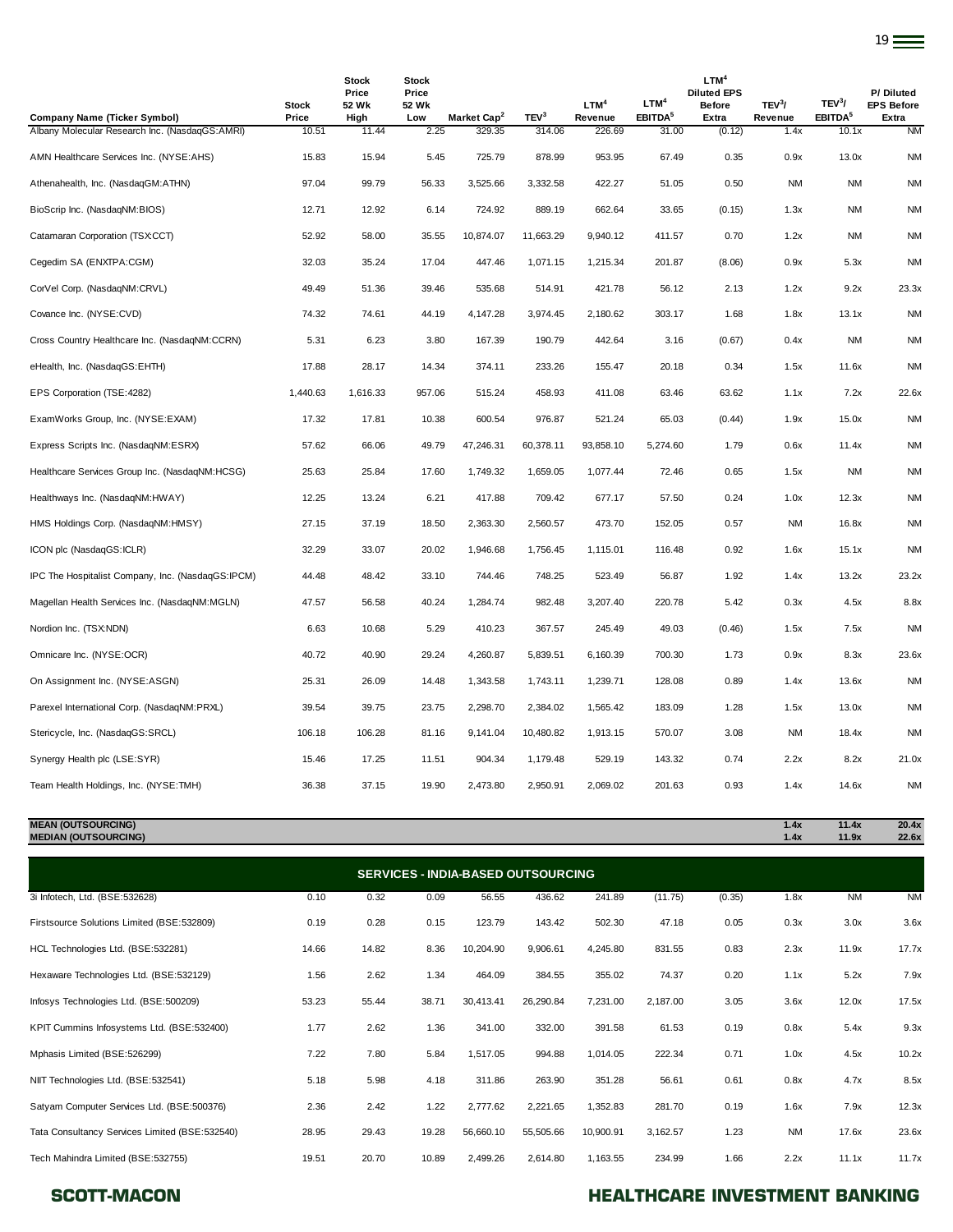| <b>Company Name (Ticker Symbol)</b>               | <b>Stock</b><br>Price | <b>Stock</b><br>Price<br>52 Wk<br>High | <b>Stock</b><br>Price<br>52 Wk<br>Low | Market Cap <sup>2</sup> | TEV <sup>3</sup> | LTM <sup>4</sup><br>Revenue | LTM <sup>4</sup><br>EBITDA <sup>5</sup> | LTM <sup>4</sup><br><b>Diluted EPS</b><br><b>Before</b><br>Extra | TEV <sup>3</sup> /<br>Revenue | TEV <sup>3</sup> /<br>EBITDA <sup>5</sup> | P/Diluted<br><b>EPS Before</b><br>Extra |
|---------------------------------------------------|-----------------------|----------------------------------------|---------------------------------------|-------------------------|------------------|-----------------------------|-----------------------------------------|------------------------------------------------------------------|-------------------------------|-------------------------------------------|-----------------------------------------|
| Albany Molecular Research Inc. (NasdaqGS:AMRI)    | 10.51                 | 11.44                                  | 2.25                                  | 329.35                  | 314.06           | 226.69                      | 31.00                                   | (0.12)                                                           | 1.4x                          | 10.1x                                     | <b>NM</b>                               |
| AMN Healthcare Services Inc. (NYSE:AHS)           | 15.83                 | 15.94                                  | 5.45                                  | 725.79                  | 878.99           | 953.95                      | 67.49                                   | 0.35                                                             | 0.9x                          | 13.0x                                     | <b>NM</b>                               |
| Athenahealth, Inc. (NasdaqGM:ATHN)                | 97.04                 | 99.79                                  | 56.33                                 | 3,525.66                | 3,332.58         | 422.27                      | 51.05                                   | 0.50                                                             | <b>NM</b>                     | <b>NM</b>                                 | <b>NM</b>                               |
| BioScrip Inc. (NasdaqNM:BIOS)                     | 12.71                 | 12.92                                  | 6.14                                  | 724.92                  | 889.19           | 662.64                      | 33.65                                   | (0.15)                                                           | 1.3x                          | ΝM                                        | ΝM                                      |
| Catamaran Corporation (TSX:CCT)                   | 52.92                 | 58.00                                  | 35.55                                 | 10,874.07               | 11,663.29        | 9,940.12                    | 411.57                                  | 0.70                                                             | 1.2x                          | <b>NM</b>                                 | <b>NM</b>                               |
| Cegedim SA (ENXTPA:CGM)                           | 32.03                 | 35.24                                  | 17.04                                 | 447.46                  | 1,071.15         | 1,215.34                    | 201.87                                  | (8.06)                                                           | 0.9x                          | 5.3x                                      | <b>NM</b>                               |
| CorVel Corp. (NasdaqNM:CRVL)                      | 49.49                 | 51.36                                  | 39.46                                 | 535.68                  | 514.91           | 421.78                      | 56.12                                   | 2.13                                                             | 1.2x                          | 9.2x                                      | 23.3x                                   |
| Covance Inc. (NYSE:CVD)                           | 74.32                 | 74.61                                  | 44.19                                 | 4,147.28                | 3,974.45         | 2,180.62                    | 303.17                                  | 1.68                                                             | 1.8x                          | 13.1x                                     | <b>NM</b>                               |
| Cross Country Healthcare Inc. (NasdagNM:CCRN)     | 5.31                  | 6.23                                   | 3.80                                  | 167.39                  | 190.79           | 442.64                      | 3.16                                    | (0.67)                                                           | 0.4x                          | ΝM                                        | <b>NM</b>                               |
| eHealth, Inc. (NasdaqGS:EHTH)                     | 17.88                 | 28.17                                  | 14.34                                 | 374.11                  | 233.26           | 155.47                      | 20.18                                   | 0.34                                                             | 1.5x                          | 11.6x                                     | <b>NM</b>                               |
| EPS Corporation (TSE:4282)                        | 1,440.63              | 1,616.33                               | 957.06                                | 515.24                  | 458.93           | 411.08                      | 63.46                                   | 63.62                                                            | 1.1x                          | 7.2x                                      | 22.6x                                   |
| ExamWorks Group, Inc. (NYSE:EXAM)                 | 17.32                 | 17.81                                  | 10.38                                 | 600.54                  | 976.87           | 521.24                      | 65.03                                   | (0.44)                                                           | 1.9x                          | 15.0x                                     | <b>NM</b>                               |
| Express Scripts Inc. (NasdaqNM:ESRX)              | 57.62                 | 66.06                                  | 49.79                                 | 47,246.31               | 60,378.11        | 93,858.10                   | 5,274.60                                | 1.79                                                             | 0.6x                          | 11.4x                                     | <b>NM</b>                               |
| Healthcare Services Group Inc. (NasdagNM:HCSG)    | 25.63                 | 25.84                                  | 17.60                                 | 1,749.32                | 1,659.05         | 1,077.44                    | 72.46                                   | 0.65                                                             | 1.5x                          | <b>NM</b>                                 | <b>NM</b>                               |
| Healthways Inc. (NasdaqNM:HWAY)                   | 12.25                 | 13.24                                  | 6.21                                  | 417.88                  | 709.42           | 677.17                      | 57.50                                   | 0.24                                                             | 1.0x                          | 12.3x                                     | <b>NM</b>                               |
| HMS Holdings Corp. (NasdaqNM:HMSY)                | 27.15                 | 37.19                                  | 18.50                                 | 2,363.30                | 2,560.57         | 473.70                      | 152.05                                  | 0.57                                                             | <b>NM</b>                     | 16.8x                                     | <b>NM</b>                               |
| ICON plc (NasdaqGS:ICLR)                          | 32.29                 | 33.07                                  | 20.02                                 | 1,946.68                | 1,756.45         | 1,115.01                    | 116.48                                  | 0.92                                                             | 1.6x                          | 15.1x                                     | <b>NM</b>                               |
| IPC The Hospitalist Company, Inc. (NasdaqGS:IPCM) | 44.48                 | 48.42                                  | 33.10                                 | 744.46                  | 748.25           | 523.49                      | 56.87                                   | 1.92                                                             | 1.4x                          | 13.2x                                     | 23.2x                                   |
| Magellan Health Services Inc. (NasdagNM:MGLN)     | 47.57                 | 56.58                                  | 40.24                                 | 1,284.74                | 982.48           | 3,207.40                    | 220.78                                  | 5.42                                                             | 0.3x                          | 4.5x                                      | 8.8x                                    |
| Nordion Inc. (TSX:NDN)                            | 6.63                  | 10.68                                  | 5.29                                  | 410.23                  | 367.57           | 245.49                      | 49.03                                   | (0.46)                                                           | 1.5x                          | 7.5x                                      | <b>NM</b>                               |
| Omnicare Inc. (NYSE:OCR)                          | 40.72                 | 40.90                                  | 29.24                                 | 4,260.87                | 5,839.51         | 6,160.39                    | 700.30                                  | 1.73                                                             | 0.9x                          | 8.3x                                      | 23.6x                                   |
| On Assignment Inc. (NYSE:ASGN)                    | 25.31                 | 26.09                                  | 14.48                                 | 1,343.58                | 1,743.11         | 1,239.71                    | 128.08                                  | 0.89                                                             | 1.4x                          | 13.6x                                     | <b>NM</b>                               |
| Parexel International Corp. (NasdaqNM:PRXL)       | 39.54                 | 39.75                                  | 23.75                                 | 2,298.70                | 2,384.02         | 1,565.42                    | 183.09                                  | 1.28                                                             | 1.5x                          | 13.0x                                     | <b>NM</b>                               |
| Stericycle, Inc. (NasdaqGS:SRCL)                  | 106.18                | 106.28                                 | 81.16                                 | 9,141.04                | 10,480.82        | 1,913.15                    | 570.07                                  | 3.08                                                             | <b>NM</b>                     | 18.4x                                     | <b>NM</b>                               |
| Synergy Health plc (LSE:SYR)                      | 15.46                 | 17.25                                  | 11.51                                 | 904.34                  | 1,179.48         | 529.19                      | 143.32                                  | 0.74                                                             | 2.2x                          | 8.2x                                      | 21.0x                                   |
| Team Health Holdings, Inc. (NYSE:TMH)             | 36.38                 | 37.15                                  | 19.90                                 | 2,473.80                | 2,950.91         | 2,069.02                    | 201.63                                  | 0.93                                                             | 1.4x                          | 14.6x                                     | <b>NM</b>                               |

**MEAN (OUTSOURCING) 1.4x 11.4x 20.4x MEDIAN (OUTSOURCING) 1.4x 11.9x 22.6x**

|                                                | <b>SERVICES - INDIA-BASED OUTSOURCING</b> |       |       |           |           |           |          |        |           |           |           |  |
|------------------------------------------------|-------------------------------------------|-------|-------|-----------|-----------|-----------|----------|--------|-----------|-----------|-----------|--|
| 3i Infotech, Ltd. (BSE:532628)                 | 0.10                                      | 0.32  | 0.09  | 56.55     | 436.62    | 241.89    | (11.75)  | (0.35) | 1.8x      | <b>NM</b> | <b>NM</b> |  |
| Firstsource Solutions Limited (BSE:532809)     | 0.19                                      | 0.28  | 0.15  | 123.79    | 143.42    | 502.30    | 47.18    | 0.05   | 0.3x      | 3.0x      | 3.6x      |  |
| HCL Technologies Ltd. (BSE:532281)             | 14.66                                     | 14.82 | 8.36  | 10,204.90 | 9,906.61  | 4,245.80  | 831.55   | 0.83   | 2.3x      | 11.9x     | 17.7x     |  |
| Hexaware Technologies Ltd. (BSE:532129)        | 1.56                                      | 2.62  | 1.34  | 464.09    | 384.55    | 355.02    | 74.37    | 0.20   | 1.1x      | 5.2x      | 7.9x      |  |
| Infosys Technologies Ltd. (BSE:500209)         | 53.23                                     | 55.44 | 38.71 | 30,413.41 | 26,290.84 | 7,231.00  | 2,187.00 | 3.05   | 3.6x      | 12.0x     | 17.5x     |  |
| KPIT Cummins Infosystems Ltd. (BSE:532400)     | 1.77                                      | 2.62  | 1.36  | 341.00    | 332.00    | 391.58    | 61.53    | 0.19   | 0.8x      | 5.4x      | 9.3x      |  |
| Mphasis Limited (BSE:526299)                   | 7.22                                      | 7.80  | 5.84  | 1,517.05  | 994.88    | 1,014.05  | 222.34   | 0.71   | 1.0x      | 4.5x      | 10.2x     |  |
| NIIT Technologies Ltd. (BSE:532541)            | 5.18                                      | 5.98  | 4.18  | 311.86    | 263.90    | 351.28    | 56.61    | 0.61   | 0.8x      | 4.7x      | 8.5x      |  |
| Satyam Computer Services Ltd. (BSE:500376)     | 2.36                                      | 2.42  | 1.22  | 2,777.62  | 2,221.65  | 1,352.83  | 281.70   | 0.19   | 1.6x      | 7.9x      | 12.3x     |  |
| Tata Consultancy Services Limited (BSE:532540) | 28.95                                     | 29.43 | 19.28 | 56,660.10 | 55,505.66 | 10,900.91 | 3,162.57 | 1.23   | <b>NM</b> | 17.6x     | 23.6x     |  |
| Tech Mahindra Limited (BSE:532755)             | 19.51                                     | 20.70 | 10.89 | 2,499.26  | 2,614.80  | 1,163.55  | 234.99   | 1.66   | 2.2x      | 11.1x     | 11.7x     |  |

# SCOTT-MACON **SCOTT-MACON HEALTHCARE INVESTMENT BANKING**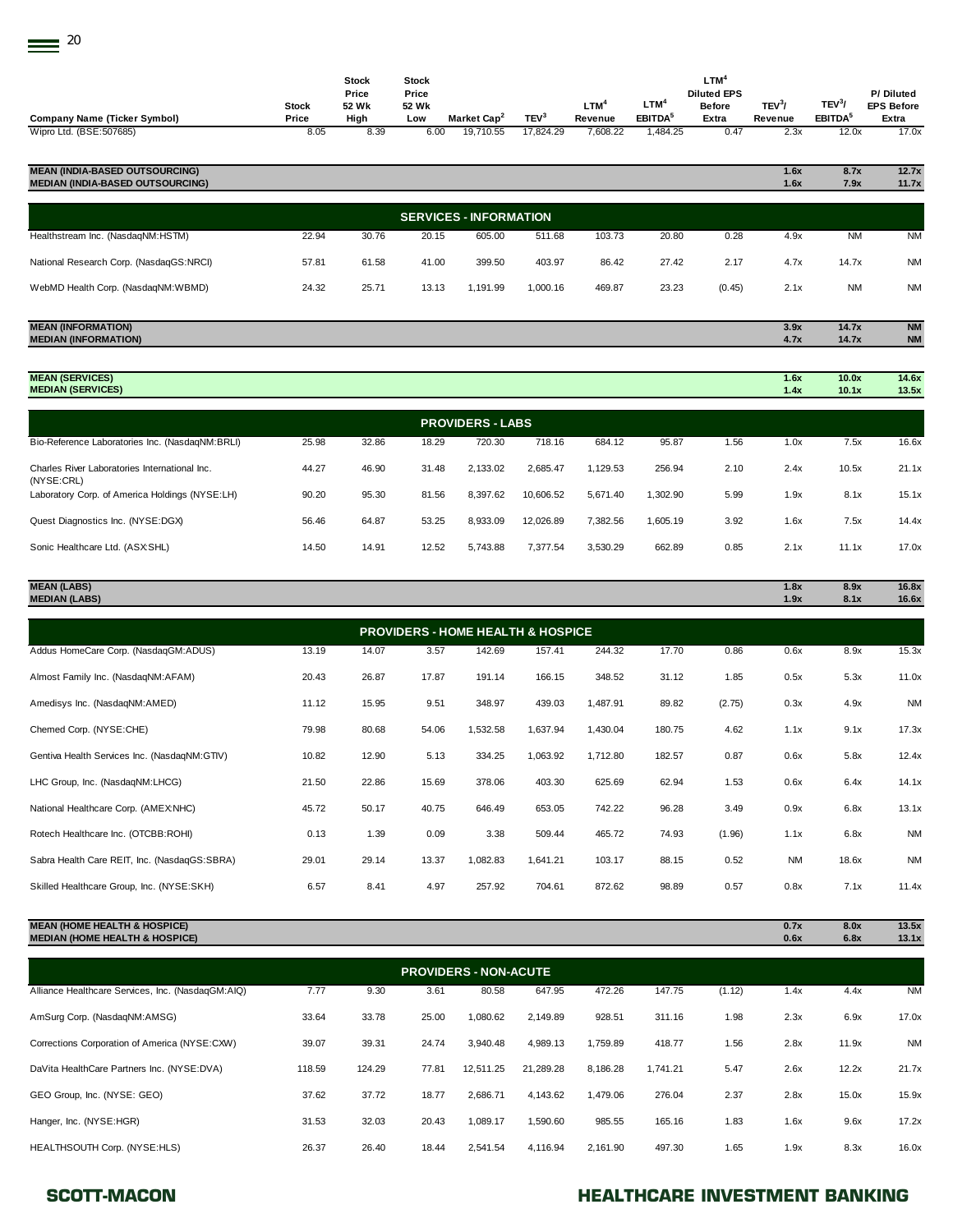| <b>Company Name (Ticker Symbol)</b>                                              | <b>Stock</b><br>Price | <b>Stock</b><br>Price<br>52 Wk<br>High | <b>Stock</b><br>Price<br>52 Wk<br>Low | Market Cap <sup>2</sup>                      | TEV <sup>3</sup> | LTM <sup>4</sup><br>Revenue | LTM <sup>4</sup><br>EBITDA <sup>5</sup> | LTM <sup>4</sup><br><b>Diluted EPS</b><br><b>Before</b><br>Extra | TEV <sup>3</sup> /<br>Revenue | TEV <sup>3</sup> /<br>EBITDA <sup>5</sup> | P/ Diluted<br><b>EPS Before</b><br>Extra |
|----------------------------------------------------------------------------------|-----------------------|----------------------------------------|---------------------------------------|----------------------------------------------|------------------|-----------------------------|-----------------------------------------|------------------------------------------------------------------|-------------------------------|-------------------------------------------|------------------------------------------|
| Wipro Ltd. (BSE:507685)                                                          | 8.05                  | 8.39                                   | 6.00                                  | 19,710.55                                    | 17,824.29        | 7,608.22                    | 1,484.25                                | 0.47                                                             | 2.3x                          | 12.0x                                     | 17.0x                                    |
| <b>MEAN (INDIA-BASED OUTSOURCING)</b><br><b>MEDIAN (INDIA-BASED OUTSOURCING)</b> |                       |                                        |                                       |                                              |                  |                             |                                         |                                                                  | 1.6x<br>1.6x                  | 8.7x<br>7.9x                              | 12.7x<br>11.7x                           |
|                                                                                  |                       |                                        |                                       | <b>SERVICES - INFORMATION</b>                |                  |                             |                                         |                                                                  |                               |                                           |                                          |
| Healthstream Inc. (NasdaqNM:HSTM)                                                | 22.94                 | 30.76                                  | 20.15                                 | 605.00                                       | 511.68           | 103.73                      | 20.80                                   | 0.28                                                             | 4.9x                          | <b>NM</b>                                 | <b>NM</b>                                |
| National Research Corp. (NasdaqGS:NRCI)                                          | 57.81                 | 61.58                                  | 41.00                                 | 399.50                                       | 403.97           | 86.42                       | 27.42                                   | 2.17                                                             | 4.7x                          | 14.7x                                     | <b>NM</b>                                |
| WebMD Health Corp. (NasdaqNM:WBMD)                                               | 24.32                 | 25.71                                  | 13.13                                 | 1,191.99                                     | 1,000.16         | 469.87                      | 23.23                                   | (0.45)                                                           | 2.1x                          | <b>NM</b>                                 | <b>NM</b>                                |
| <b>MEAN (INFORMATION)</b><br><b>MEDIAN (INFORMATION)</b>                         |                       |                                        |                                       |                                              |                  |                             |                                         |                                                                  | 3.9x<br>4.7x                  | 14.7x<br>14.7x                            | <b>NM</b><br><b>NM</b>                   |
| <b>MEAN (SERVICES)</b><br><b>MEDIAN (SERVICES)</b>                               |                       |                                        |                                       |                                              |                  |                             |                                         |                                                                  | 1.6x<br>1.4x                  | 10.0x<br>10.1x                            | 14.6x<br>13.5x                           |
|                                                                                  |                       |                                        |                                       | <b>PROVIDERS - LABS</b>                      |                  |                             |                                         |                                                                  |                               |                                           |                                          |
| Bio-Reference Laboratories Inc. (NasdaqNM:BRLI)                                  | 25.98                 | 32.86                                  | 18.29                                 | 720.30                                       | 718.16           | 684.12                      | 95.87                                   | 1.56                                                             | 1.0x                          | 7.5x                                      | 16.6x                                    |
| Charles River Laboratories International Inc.                                    | 44.27                 | 46.90                                  | 31.48                                 | 2,133.02                                     | 2,685.47         | 1,129.53                    | 256.94                                  | 2.10                                                             | 2.4x                          | 10.5x                                     | 21.1x                                    |
| (NYSE:CRL)<br>Laboratory Corp. of America Holdings (NYSE:LH)                     | 90.20                 | 95.30                                  | 81.56                                 | 8,397.62                                     | 10,606.52        | 5,671.40                    | 1,302.90                                | 5.99                                                             | 1.9x                          | 8.1x                                      | 15.1x                                    |
| Quest Diagnostics Inc. (NYSE:DGX)                                                | 56.46                 | 64.87                                  | 53.25                                 | 8,933.09                                     | 12,026.89        | 7,382.56                    | 1,605.19                                | 3.92                                                             | 1.6x                          | 7.5x                                      | 14.4x                                    |
| Sonic Healthcare Ltd. (ASX:SHL)                                                  | 14.50                 | 14.91                                  | 12.52                                 | 5,743.88                                     | 7,377.54         | 3,530.29                    | 662.89                                  | 0.85                                                             | 2.1x                          | 11.1x                                     | 17.0x                                    |
| <b>MEAN (LABS)</b><br><b>MEDIAN (LABS)</b>                                       |                       |                                        |                                       |                                              |                  |                             |                                         |                                                                  | 1.8x<br>1.9x                  | 8.9x<br>8.1x                              | 16.8x<br>16.6x                           |
|                                                                                  |                       |                                        |                                       | <b>PROVIDERS - HOME HEALTH &amp; HOSPICE</b> |                  |                             |                                         |                                                                  |                               |                                           |                                          |
| Addus HomeCare Corp. (NasdaqGM:ADUS)                                             | 13.19                 | 14.07                                  | 3.57                                  | 142.69                                       | 157.41           | 244.32                      | 17.70                                   | 0.86                                                             | 0.6x                          | 8.9x                                      | 15.3x                                    |
| Almost Family Inc. (NasdaqNM:AFAM)                                               | 20.43                 | 26.87                                  | 17.87                                 | 191.14                                       | 166.15           | 348.52                      | 31.12                                   | 1.85                                                             | 0.5x                          | 5.3x                                      | 11.0x                                    |
| Amedisys Inc. (NasdaqNM:AMED)                                                    | 11.12                 | 15.95                                  | 9.51                                  | 348.97                                       | 439.03           | 1,487.91                    | 89.82                                   | (2.75)                                                           | 0.3x                          | 4.9x                                      | <b>NM</b>                                |
| Chemed Corp. (NYSE:CHE)                                                          | 79.98                 | 80.68                                  | 54.06                                 | 1,532.58                                     | 1,637.94         | 1,430.04                    | 180.75                                  | 4.62                                                             | 1.1x                          | 9.1x                                      | 17.3x                                    |
| Gentiva Health Services Inc. (NasdaqNM:GTIV)                                     | 10.82                 | 12.90                                  | 5.13                                  | 334.25                                       | 1,063.92         | 1,712.80                    | 182.57                                  | 0.87                                                             | 0.6x                          | 5.8x                                      | 12.4x                                    |
| LHC Group, Inc. (NasdaqNM:LHCG)                                                  | 21.50                 | 22.86                                  | 15.69                                 | 378.06                                       | 403.30           | 625.69                      | 62.94                                   | 1.53                                                             | 0.6x                          | 6.4x                                      | 14.1x                                    |
| National Healthcare Corp. (AMEX:NHC)                                             | 45.72                 | 50.17                                  | 40.75                                 | 646.49                                       | 653.05           | 742.22                      | 96.28                                   | 3.49                                                             | 0.9x                          | 6.8x                                      | 13.1x                                    |
| Rotech Healthcare Inc. (OTCBB:ROHI)                                              | 0.13                  | 1.39                                   | 0.09                                  | 3.38                                         | 509.44           | 465.72                      | 74.93                                   | (1.96)                                                           | 1.1x                          | 6.8x                                      | <b>NM</b>                                |
| Sabra Health Care REIT, Inc. (NasdaqGS:SBRA)                                     | 29.01                 | 29.14                                  | 13.37                                 | 1,082.83                                     | 1,641.21         | 103.17                      | 88.15                                   | 0.52                                                             | <b>NM</b>                     | 18.6x                                     | <b>NM</b>                                |

## **MEAN (HOME HEALTH & HOSPICE) 0.7x 8.0x 13.5x MEDIAN (HOME HEALTH & HOSPICE) 0.6x 6.8x 13.1x**

| <b>PROVIDERS - NON-ACUTE</b>                      |        |        |       |           |           |          |          |        |      |       |           |
|---------------------------------------------------|--------|--------|-------|-----------|-----------|----------|----------|--------|------|-------|-----------|
| Alliance Healthcare Services, Inc. (NasdaqGM:AIQ) | 7.77   | 9.30   | 3.61  | 80.58     | 647.95    | 472.26   | 147.75   | (1.12) | 1.4x | 4.4x  | <b>NM</b> |
| AmSurg Corp. (NasdaqNM:AMSG)                      | 33.64  | 33.78  | 25.00 | 1,080.62  | 2,149.89  | 928.51   | 311.16   | 1.98   | 2.3x | 6.9x  | 17.0x     |
| Corrections Corporation of America (NYSE:CXW)     | 39.07  | 39.31  | 24.74 | 3.940.48  | 4,989.13  | 1,759.89 | 418.77   | 1.56   | 2.8x | 11.9x | <b>NM</b> |
| DaVita HealthCare Partners Inc. (NYSE:DVA)        | 118.59 | 124.29 | 77.81 | 12.511.25 | 21,289.28 | 8,186.28 | 1,741.21 | 5.47   | 2.6x | 12.2x | 21.7x     |
| GEO Group, Inc. (NYSE: GEO)                       | 37.62  | 37.72  | 18.77 | 2,686.71  | 4,143.62  | 1,479.06 | 276.04   | 2.37   | 2.8x | 15.0x | 15.9x     |
| Hanger, Inc. (NYSE:HGR)                           | 31.53  | 32.03  | 20.43 | 1,089.17  | 1,590.60  | 985.55   | 165.16   | 1.83   | 1.6x | 9.6x  | 17.2x     |
| HEALTHSOUTH Corp. (NYSE:HLS)                      | 26.37  | 26.40  | 18.44 | 2.541.54  | 4.116.94  | 2.161.90 | 497.30   | 1.65   | 1.9x | 8.3x  | 16.0x     |

Skilled Healthcare Group, Inc. (NYSE:SKH) 6.57 8.41 4.97 257.92 704.61 872.62 98.89 0.57 0.8x 7.1x 11.4x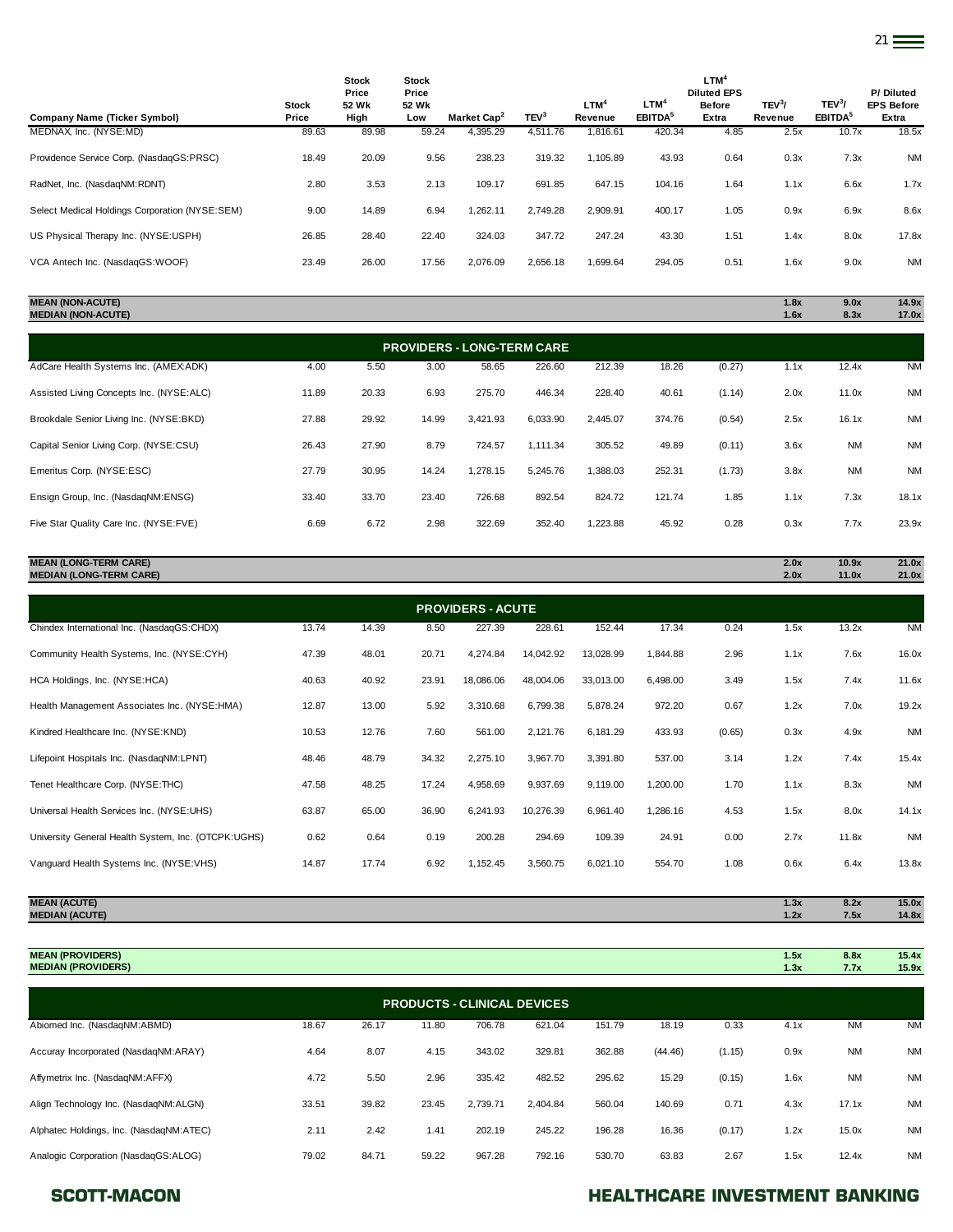| <b>Company Name (Ticker Symbol)</b>            | Stock<br>Price | Stock<br>Price<br>52 Wk<br>High | <b>Stock</b><br>Price<br>52 Wk<br>Low | Market Cap <sup>2</sup> | TEV <sup>3</sup> | LTM <sup>4</sup><br>Revenue | $LTM^4$<br>EBITDA <sup>5</sup> | LTM <sup>4</sup><br><b>Diluted EPS</b><br><b>Before</b><br>Extra | TEV <sup>3</sup> /<br>Revenue | TEV <sup>3</sup> /<br>EBITDA <sup>5</sup> | P/Diluted<br><b>EPS Before</b><br>Extra |
|------------------------------------------------|----------------|---------------------------------|---------------------------------------|-------------------------|------------------|-----------------------------|--------------------------------|------------------------------------------------------------------|-------------------------------|-------------------------------------------|-----------------------------------------|
| MEDNAX, Inc. (NYSE:MD)                         | 89.63          | 89.98                           | 59.24                                 | 4,395.29                | 4,511.76         | 1,816.61                    | 420.34                         | 4.85                                                             | 2.5x                          | 10.7x                                     | 18.5x                                   |
| Providence Service Corp. (NasdaqGS:PRSC)       | 18.49          | 20.09                           | 9.56                                  | 238.23                  | 319.32           | 1.105.89                    | 43.93                          | 0.64                                                             | 0.3x                          | 7.3x                                      | <b>NM</b>                               |
| RadNet, Inc. (NasdaqNM:RDNT)                   | 2.80           | 3.53                            | 2.13                                  | 109.17                  | 691.85           | 647.15                      | 104.16                         | 1.64                                                             | 1.1x                          | 6.6x                                      | 1.7x                                    |
| Select Medical Holdings Corporation (NYSE:SEM) | 9.00           | 14.89                           | 6.94                                  | 1.262.11                | 2.749.28         | 2.909.91                    | 400.17                         | 1.05                                                             | 0.9x                          | 6.9x                                      | 8.6x                                    |
| US Physical Therapy Inc. (NYSE:USPH)           | 26.85          | 28.40                           | 22.40                                 | 324.03                  | 347.72           | 247.24                      | 43.30                          | 1.51                                                             | 1.4x                          | 8.0x                                      | 17.8x                                   |
| VCA Antech Inc. (NasdaqGS:WOOF)                | 23.49          | 26.00                           | 17.56                                 | 2.076.09                | 2,656.18         | 1,699.64                    | 294.05                         | 0.51                                                             | 1.6x                          | 9.0x                                      | <b>NM</b>                               |

| <b>MEAN (NON-ACUTF)</b>   | ຶ<br>1.0X | 9.0x             | 14.9x |
|---------------------------|-----------|------------------|-------|
| <b>MEDIAN (NON-ACUTE)</b> | 1.6x      | 8.3 <sub>2</sub> | 17.0x |
|                           |           |                  |       |

| <b>PROVIDERS - LONG-TERM CARE</b>        |       |       |       |          |          |          |        |        |      |           |           |  |
|------------------------------------------|-------|-------|-------|----------|----------|----------|--------|--------|------|-----------|-----------|--|
| AdCare Health Systems Inc. (AMEXADK)     | 4.00  | 5.50  | 3.00  | 58.65    | 226.60   | 212.39   | 18.26  | (0.27) | 1.1x | 12.4x     | <b>NM</b> |  |
| Assisted Living Concepts Inc. (NYSE:ALC) | 11.89 | 20.33 | 6.93  | 275.70   | 446.34   | 228.40   | 40.61  | (1.14) | 2.0x | 11.0x     | <b>NM</b> |  |
| Brookdale Senior Living Inc. (NYSE:BKD)  | 27.88 | 29.92 | 14.99 | 3.421.93 | 6,033.90 | 2.445.07 | 374.76 | (0.54) | 2.5x | 16.1x     | <b>NM</b> |  |
| Capital Senior Living Corp. (NYSE:CSU)   | 26.43 | 27.90 | 8.79  | 724.57   | 1,111.34 | 305.52   | 49.89  | (0.11) | 3.6x | <b>NM</b> | <b>NM</b> |  |
| Emeritus Corp. (NYSE:ESC)                | 27.79 | 30.95 | 14.24 | 1.278.15 | 5,245.76 | 1.388.03 | 252.31 | (1.73) | 3.8x | <b>NM</b> | <b>NM</b> |  |
| Ensign Group, Inc. (NasdagNM:ENSG)       | 33.40 | 33.70 | 23.40 | 726.68   | 892.54   | 824.72   | 121.74 | 1.85   | 1.1x | 7.3x      | 18.1x     |  |
| Five Star Quality Care Inc. (NYSE:FVE)   | 6.69  | 6.72  | 2.98  | 322.69   | 352.40   | 1,223.88 | 45.92  | 0.28   | 0.3x | 7.7x      | 23.9x     |  |
|                                          |       |       |       |          |          |          |        |        |      |           |           |  |

| <b>MEAN (LONG-TERM CARE)</b><br><b>MEDIAN (LONG-TERM CARE)</b> |       |       |       |                          |           |           |          |        | 2.0x<br>2.0x | 10.9x<br>11.0x | 21.0x<br>21.0x |
|----------------------------------------------------------------|-------|-------|-------|--------------------------|-----------|-----------|----------|--------|--------------|----------------|----------------|
|                                                                |       |       |       | <b>PROVIDERS - ACUTE</b> |           |           |          |        |              |                |                |
| Chindex International Inc. (NasdaqGS:CHDX)                     | 13.74 | 14.39 | 8.50  | 227.39                   | 228.61    | 152.44    | 17.34    | 0.24   | 1.5x         | 13.2x          | <b>NM</b>      |
| Community Health Systems, Inc. (NYSE:CYH)                      | 47.39 | 48.01 | 20.71 | 4,274.84                 | 14,042.92 | 13,028.99 | 1,844.88 | 2.96   | 1.1x         | 7.6x           | 16.0x          |
| HCA Holdings, Inc. (NYSE:HCA)                                  | 40.63 | 40.92 | 23.91 | 18,086.06                | 48,004.06 | 33,013.00 | 6,498.00 | 3.49   | 1.5x         | 7.4x           | 11.6x          |
| Health Management Associates Inc. (NYSE:HMA)                   | 12.87 | 13.00 | 5.92  | 3,310.68                 | 6,799.38  | 5,878.24  | 972.20   | 0.67   | 1.2x         | 7.0x           | 19.2x          |
| Kindred Healthcare Inc. (NYSE:KND)                             | 10.53 | 12.76 | 7.60  | 561.00                   | 2,121.76  | 6,181.29  | 433.93   | (0.65) | 0.3x         | 4.9x           | <b>NM</b>      |
| Lifepoint Hospitals Inc. (NasdaqNM:LPNT)                       | 48.46 | 48.79 | 34.32 | 2,275.10                 | 3,967.70  | 3,391.80  | 537.00   | 3.14   | 1.2x         | 7.4x           | 15.4x          |
| Tenet Healthcare Corp. (NYSE:THC)                              | 47.58 | 48.25 | 17.24 | 4,958.69                 | 9,937.69  | 9,119.00  | 1,200.00 | 1.70   | 1.1x         | 8.3x           | <b>NM</b>      |
| Universal Health Services Inc. (NYSE:UHS)                      | 63.87 | 65.00 | 36.90 | 6.241.93                 | 10.276.39 | 6.961.40  | 1.286.16 | 4.53   | 1.5x         | 8.0x           | 14.1x          |

| Universal Health Services Inc. (NYSE:UHS)           | 63.87 | 65.00 | 36.90 | 6.241.93 | 10.276.39 | 6.961.40 | .286.16 | 4.53 | 1.5x | 8.0x  | 14.1x     |
|-----------------------------------------------------|-------|-------|-------|----------|-----------|----------|---------|------|------|-------|-----------|
| University General Health System, Inc. (OTCPK:UGHS) | 0.62  | 0.64  | 0.19  | 200.28   | 294.69    | 109.39   | 24.91   | 0.00 | 2.7x | 11.8x | <b>NM</b> |
| Vanquard Health Systems Inc. (NYSE:VHS)             | 14.87 | 17.74 | 6.92  | .152.45  | 3.560.75  | 6.021.10 | 554.70  | 1.08 | 0.6x | 6.4x  | 13.8x     |
|                                                     |       |       |       |          |           |          |         |      |      |       |           |

| <b>MEAN (ACUTE)</b>             | 1.3x | 8.2  | 15.0x |
|---------------------------------|------|------|-------|
| <b>JIACUTE</b><br><b>MEDIAN</b> | 1.2x | 7.5x | 14.8x |
|                                 |      |      |       |

**MEAN (PROVIDERS) 1.5x 8.8x 15.4x MEDIAN (PROVIDERS) 1.3x 7.7x 15.9x**

| <b>PRODUCTS - CLINICAL DEVICES</b>      |       |       |       |          |          |        |         |        |      |           |           |  |
|-----------------------------------------|-------|-------|-------|----------|----------|--------|---------|--------|------|-----------|-----------|--|
| Abiomed Inc. (NasdaqNM:ABMD)            | 18.67 | 26.17 | 11.80 | 706.78   | 621.04   | 151.79 | 18.19   | 0.33   | 4.1x | <b>NM</b> | <b>NM</b> |  |
| Accuray Incorporated (NasdaqNM:ARAY)    | 4.64  | 8.07  | 4.15  | 343.02   | 329.81   | 362.88 | (44.46) | (1.15) | 0.9x | <b>NM</b> | <b>NM</b> |  |
| Affymetrix Inc. (NasdaqNM:AFFX)         | 4.72  | 5.50  | 2.96  | 335.42   | 482.52   | 295.62 | 15.29   | (0.15) | 1.6x | <b>NM</b> | <b>NM</b> |  |
| Align Technology Inc. (NasdaqNM:ALGN)   | 33.51 | 39.82 | 23.45 | 2.739.71 | 2.404.84 | 560.04 | 140.69  | 0.71   | 4.3x | 17.1x     | <b>NM</b> |  |
| Alphatec Holdings, Inc. (NasdaqNM:ATEC) | 2.11  | 2.42  | 1.41  | 202.19   | 245.22   | 196.28 | 16.36   | (0.17) | 1.2x | 15.0x     | <b>NM</b> |  |
| Analogic Corporation (NasdaqGS:ALOG)    | 79.02 | 84.71 | 59.22 | 967.28   | 792.16   | 530.70 | 63.83   | 2.67   | 1.5x | 12.4x     | <b>NM</b> |  |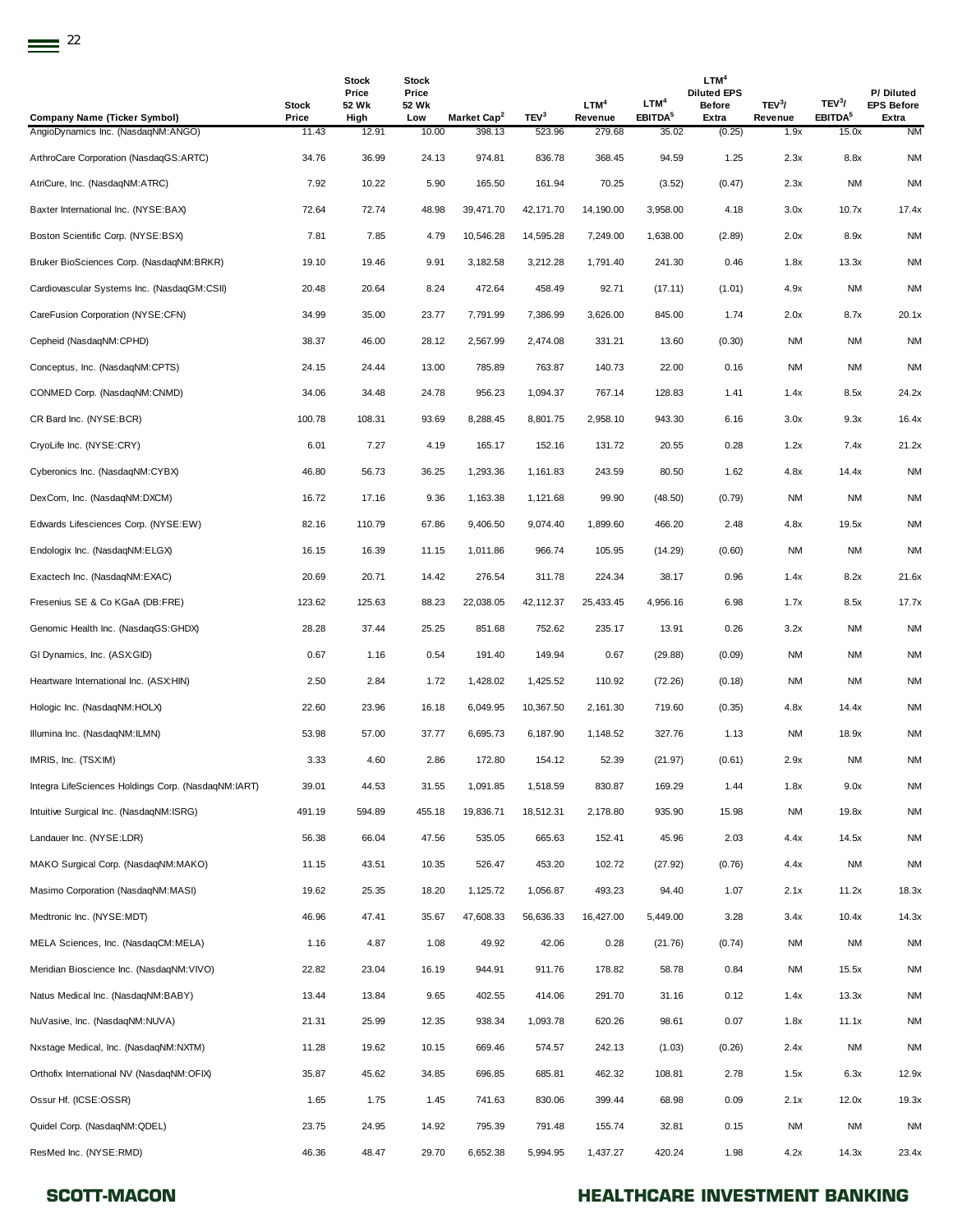| <b>Company Name (Ticker Symbol)</b>                 | Stock<br>Price | <b>Stock</b><br>Price<br>52 Wk<br>High | Stock<br>Price<br>52 Wk<br>Low | Market Cap <sup>2</sup> | TEV <sup>3</sup> | LTM <sup>4</sup><br>Revenue | LTM <sup>4</sup><br>EBITDA <sup>5</sup> | LTM <sup>4</sup><br><b>Diluted EPS</b><br><b>Before</b><br>Extra | TEV <sup>3</sup> /<br>Revenue | TEV <sup>3</sup> /<br>EBITDA <sup>5</sup> | P/Diluted<br><b>EPS Before</b><br>Extra |
|-----------------------------------------------------|----------------|----------------------------------------|--------------------------------|-------------------------|------------------|-----------------------------|-----------------------------------------|------------------------------------------------------------------|-------------------------------|-------------------------------------------|-----------------------------------------|
| AngioDynamics Inc. (NasdaqNM:ANGO)                  | 11.43          | 12.91                                  | 10.00                          | 398.13                  | 523.96           | 279.68                      | 35.02                                   | (0.25)                                                           | 1.9x                          | 15.0x                                     | <b>NM</b>                               |
| ArthroCare Corporation (NasdaqGS:ARTC)              | 34.76          | 36.99                                  | 24.13                          | 974.81                  | 836.78           | 368.45                      | 94.59                                   | 1.25                                                             | 2.3x                          | 8.8x                                      | <b>NM</b>                               |
| AtriCure, Inc. (NasdaqNM:ATRC)                      | 7.92           | 10.22                                  | 5.90                           | 165.50                  | 161.94           | 70.25                       | (3.52)                                  | (0.47)                                                           | 2.3x                          | ΝM                                        | <b>NM</b>                               |
| Baxter International Inc. (NYSE:BAX)                | 72.64          | 72.74                                  | 48.98                          | 39,471.70               | 42,171.70        | 14,190.00                   | 3,958.00                                | 4.18                                                             | 3.0x                          | 10.7x                                     | 17.4x                                   |
| Boston Scientific Corp. (NYSE:BSX)                  | 7.81           | 7.85                                   | 4.79                           | 10,546.28               | 14,595.28        | 7,249.00                    | 1,638.00                                | (2.89)                                                           | 2.0x                          | 8.9x                                      | <b>NM</b>                               |
| Bruker BioSciences Corp. (NasdaqNM:BRKR)            | 19.10          | 19.46                                  | 9.91                           | 3,182.58                | 3,212.28         | 1,791.40                    | 241.30                                  | 0.46                                                             | 1.8x                          | 13.3x                                     | <b>NM</b>                               |
| Cardiovascular Systems Inc. (NasdaqGM:CSII)         | 20.48          | 20.64                                  | 8.24                           | 472.64                  | 458.49           | 92.71                       | (17.11)                                 | (1.01)                                                           | 4.9x                          | NM                                        | <b>NM</b>                               |
| CareFusion Corporation (NYSE:CFN)                   | 34.99          | 35.00                                  | 23.77                          | 7,791.99                | 7,386.99         | 3,626.00                    | 845.00                                  | 1.74                                                             | 2.0x                          | 8.7x                                      | 20.1x                                   |
| Cepheid (NasdaqNM:CPHD)                             | 38.37          | 46.00                                  | 28.12                          | 2,567.99                | 2,474.08         | 331.21                      | 13.60                                   | (0.30)                                                           | <b>NM</b>                     | ΝM                                        | <b>NM</b>                               |
| Conceptus, Inc. (NasdaqNM:CPTS)                     | 24.15          | 24.44                                  | 13.00                          | 785.89                  | 763.87           | 140.73                      | 22.00                                   | 0.16                                                             | <b>NM</b>                     | <b>NM</b>                                 | <b>NM</b>                               |
| CONMED Corp. (NasdaqNM:CNMD)                        | 34.06          | 34.48                                  | 24.78                          | 956.23                  | 1,094.37         | 767.14                      | 128.83                                  | 1.41                                                             | 1.4x                          | 8.5x                                      | 24.2x                                   |
| CR Bard Inc. (NYSE:BCR)                             | 100.78         | 108.31                                 | 93.69                          | 8,288.45                | 8,801.75         | 2,958.10                    | 943.30                                  | 6.16                                                             | 3.0x                          | 9.3x                                      | 16.4x                                   |
| CryoLife Inc. (NYSE:CRY)                            | 6.01           | 7.27                                   | 4.19                           | 165.17                  | 152.16           | 131.72                      | 20.55                                   | 0.28                                                             | 1.2x                          | 7.4x                                      | 21.2x                                   |
| Cyberonics Inc. (NasdaqNM:CYBX)                     | 46.80          | 56.73                                  | 36.25                          | 1,293.36                | 1,161.83         | 243.59                      | 80.50                                   | 1.62                                                             | 4.8x                          | 14.4x                                     | <b>NM</b>                               |
| DexCom, Inc. (NasdaqNM:DXCM)                        | 16.72          | 17.16                                  | 9.36                           | 1,163.38                | 1,121.68         | 99.90                       | (48.50)                                 | (0.79)                                                           | <b>NM</b>                     | NM                                        | <b>NM</b>                               |
| Edwards Lifesciences Corp. (NYSE:EW)                | 82.16          | 110.79                                 | 67.86                          | 9,406.50                | 9,074.40         | 1,899.60                    | 466.20                                  | 2.48                                                             | 4.8x                          | 19.5x                                     | <b>NM</b>                               |
| Endologix Inc. (NasdaqNM:ELGX)                      | 16.15          | 16.39                                  | 11.15                          | 1,011.86                | 966.74           | 105.95                      | (14.29)                                 | (0.60)                                                           | <b>NM</b>                     | ΝM                                        | <b>NM</b>                               |
| Exactech Inc. (NasdaqNM:EXAC)                       | 20.69          | 20.71                                  | 14.42                          | 276.54                  | 311.78           | 224.34                      | 38.17                                   | 0.96                                                             | 1.4x                          | 8.2x                                      | 21.6x                                   |
| Fresenius SE & Co KGaA (DB:FRE)                     | 123.62         | 125.63                                 | 88.23                          | 22,038.05               | 42,112.37        | 25,433.45                   | 4,956.16                                | 6.98                                                             | 1.7x                          | 8.5x                                      | 17.7x                                   |
| Genomic Health Inc. (NasdaqGS:GHDX)                 | 28.28          | 37.44                                  | 25.25                          | 851.68                  | 752.62           | 235.17                      | 13.91                                   | 0.26                                                             | 3.2x                          | NM                                        | <b>NM</b>                               |
| GI Dynamics, Inc. (ASX:GID)                         | 0.67           | 1.16                                   | 0.54                           | 191.40                  | 149.94           | 0.67                        | (29.88)                                 | (0.09)                                                           | <b>NM</b>                     | <b>NM</b>                                 | <b>NM</b>                               |
| Heartware International Inc. (ASX:HIN)              | 2.50           | 2.84                                   | 1.72                           | 1,428.02                | 1,425.52         | 110.92                      | (72.26)                                 | (0.18)                                                           | <b>NM</b>                     | <b>NM</b>                                 | <b>NM</b>                               |
| Hologic Inc. (NasdaqNM:HOLX)                        | 22.60          | 23.96                                  | 16.18                          | 6,049.95                | 10,367.50        | 2,161.30                    | 719.60                                  | (0.35)                                                           | 4.8x                          | 14.4x                                     | <b>NM</b>                               |
| Illumina Inc. (NasdaqNM:ILMN)                       | 53.98          | 57.00                                  | 37.77                          | 6,695.73                | 6,187.90         | 1,148.52                    | 327.76                                  | 1.13                                                             | <b>NM</b>                     | 18.9x                                     | <b>NM</b>                               |
| IMRIS, Inc. (TSX:IM)                                | 3.33           | 4.60                                   | 2.86                           | 172.80                  | 154.12           | 52.39                       | (21.97)                                 | (0.61)                                                           | 2.9x                          | <b>NM</b>                                 | <b>NM</b>                               |
| Integra LifeSciences Holdings Corp. (NasdaqNM:IART) | 39.01          | 44.53                                  | 31.55                          | 1,091.85                | 1,518.59         | 830.87                      | 169.29                                  | 1.44                                                             | 1.8x                          | 9.0x                                      | <b>NM</b>                               |
| Intuitive Surgical Inc. (NasdaqNM:ISRG)             | 491.19         | 594.89                                 | 455.18                         | 19,836.71               | 18,512.31        | 2,178.80                    | 935.90                                  | 15.98                                                            | <b>NM</b>                     | 19.8x                                     | <b>NM</b>                               |
| Landauer Inc. (NYSE:LDR)                            | 56.38          | 66.04                                  | 47.56                          | 535.05                  | 665.63           | 152.41                      | 45.96                                   | 2.03                                                             | 4.4x                          | 14.5x                                     | <b>NM</b>                               |
| MAKO Surgical Corp. (NasdaqNM:MAKO)                 | 11.15          | 43.51                                  | 10.35                          | 526.47                  | 453.20           | 102.72                      | (27.92)                                 | (0.76)                                                           | 4.4x                          | <b>NM</b>                                 | <b>NM</b>                               |
| Masimo Corporation (NasdaqNM:MASI)                  | 19.62          | 25.35                                  | 18.20                          | 1,125.72                | 1,056.87         | 493.23                      | 94.40                                   | 1.07                                                             | 2.1x                          | 11.2x                                     | 18.3x                                   |
| Medtronic Inc. (NYSE:MDT)                           | 46.96          | 47.41                                  | 35.67                          | 47,608.33               | 56,636.33        | 16,427.00                   | 5,449.00                                | 3.28                                                             | 3.4x                          | 10.4x                                     | 14.3x                                   |
| MELA Sciences, Inc. (NasdaqCM:MELA)                 | 1.16           | 4.87                                   | 1.08                           | 49.92                   | 42.06            | 0.28                        | (21.76)                                 | (0.74)                                                           | <b>NM</b>                     | NM                                        | <b>NM</b>                               |
| Meridian Bioscience Inc. (NasdaqNM:VIVO)            | 22.82          | 23.04                                  | 16.19                          | 944.91                  | 911.76           | 178.82                      | 58.78                                   | 0.84                                                             | <b>NM</b>                     | 15.5x                                     | <b>NM</b>                               |
| Natus Medical Inc. (NasdaqNM:BABY)                  | 13.44          | 13.84                                  | 9.65                           | 402.55                  | 414.06           | 291.70                      | 31.16                                   | 0.12                                                             | 1.4x                          | 13.3x                                     | <b>NM</b>                               |
| NuVasive, Inc. (NasdaqNM:NUVA)                      | 21.31          | 25.99                                  | 12.35                          | 938.34                  | 1,093.78         | 620.26                      | 98.61                                   | 0.07                                                             | 1.8x                          | 11.1x                                     | <b>NM</b>                               |
| Nxstage Medical, Inc. (NasdaqNM:NXTM)               | 11.28          | 19.62                                  | 10.15                          | 669.46                  | 574.57           | 242.13                      | (1.03)                                  | (0.26)                                                           | 2.4x                          | <b>NM</b>                                 | <b>NM</b>                               |
| Orthofix International NV (NasdaqNM:OFIX)           | 35.87          | 45.62                                  | 34.85                          | 696.85                  | 685.81           | 462.32                      | 108.81                                  | 2.78                                                             | 1.5x                          | 6.3x                                      | 12.9x                                   |
| Ossur Hf. (ICSE:OSSR)                               | 1.65           | 1.75                                   | 1.45                           | 741.63                  | 830.06           | 399.44                      | 68.98                                   | 0.09                                                             | 2.1x                          | 12.0x                                     | 19.3x                                   |
| Quidel Corp. (NasdaqNM:QDEL)                        | 23.75          | 24.95                                  | 14.92                          | 795.39                  | 791.48           | 155.74                      | 32.81                                   | 0.15                                                             | <b>NM</b>                     | NM                                        | <b>NM</b>                               |
| ResMed Inc. (NYSE:RMD)                              | 46.36          | 48.47                                  | 29.70                          | 6,652.38                | 5,994.95         | 1,437.27                    | 420.24                                  | 1.98                                                             | 4.2x                          | 14.3x                                     | 23.4x                                   |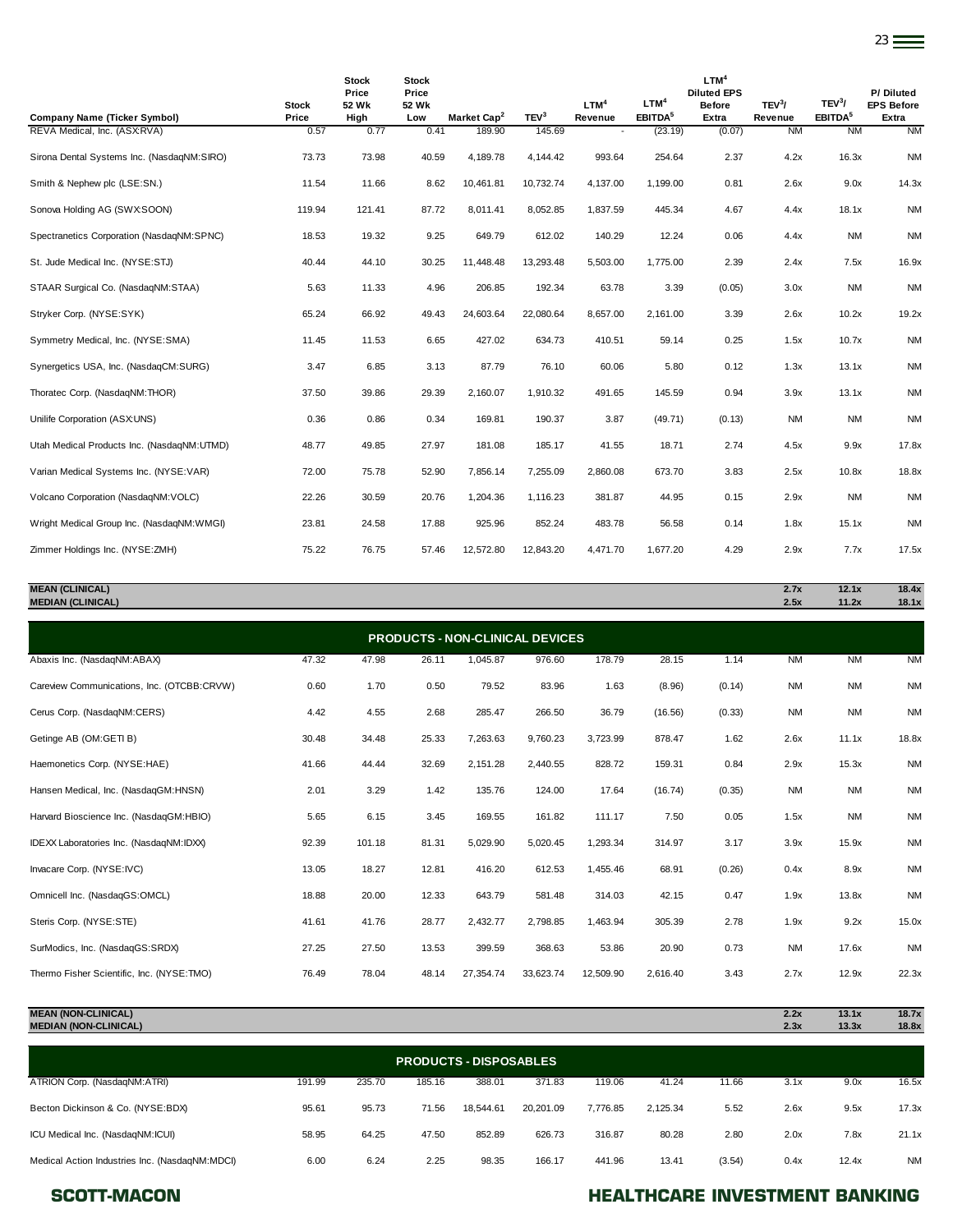|                                            |                       | <b>Stock</b><br>Price | <b>Stock</b><br>Price |                         |                  | LTM <sup>4</sup> | LTM <sup>4</sup>    | LTM <sup>4</sup><br><b>Diluted EPS</b> |                               | TEV <sup>3</sup> /  | P/Diluted                  |
|--------------------------------------------|-----------------------|-----------------------|-----------------------|-------------------------|------------------|------------------|---------------------|----------------------------------------|-------------------------------|---------------------|----------------------------|
| <b>Company Name (Ticker Symbol)</b>        | <b>Stock</b><br>Price | 52 Wk<br>High         | 52 Wk<br>Low          | Market Cap <sup>2</sup> | TEV <sup>3</sup> | Revenue          | EBITDA <sup>5</sup> | <b>Before</b><br>Extra                 | TEV <sup>3</sup> /<br>Revenue | EBITDA <sup>5</sup> | <b>EPS Before</b><br>Extra |
| REVA Medical, Inc. (ASXRVA)                | 0.57                  | 0.77                  | 0.41                  | 189.90                  | 145.69           |                  | (23.19)             | (0.07)                                 | <b>NM</b>                     | <b>NM</b>           | <b>NM</b>                  |
| Sirona Dental Systems Inc. (NasdaqNM:SIRO) | 73.73                 | 73.98                 | 40.59                 | 4,189.78                | 4,144.42         | 993.64           | 254.64              | 2.37                                   | 4.2x                          | 16.3x               | <b>NM</b>                  |
| Smith & Nephew plc (LSE:SN.)               | 11.54                 | 11.66                 | 8.62                  | 10,461.81               | 10,732.74        | 4,137.00         | 1,199.00            | 0.81                                   | 2.6x                          | 9.0x                | 14.3x                      |
| Sonova Holding AG (SWX:SOON)               | 119.94                | 121.41                | 87.72                 | 8.011.41                | 8,052.85         | 1,837.59         | 445.34              | 4.67                                   | 4.4x                          | 18.1x               | <b>NM</b>                  |
| Spectranetics Corporation (NasdaqNM:SPNC)  | 18.53                 | 19.32                 | 9.25                  | 649.79                  | 612.02           | 140.29           | 12.24               | 0.06                                   | 4.4x                          | <b>NM</b>           | <b>NM</b>                  |
| St. Jude Medical Inc. (NYSE:STJ)           | 40.44                 | 44.10                 | 30.25                 | 11,448.48               | 13,293.48        | 5,503.00         | 1,775.00            | 2.39                                   | 2.4x                          | 7.5x                | 16.9x                      |
| STAAR Surgical Co. (NasdaqNM:STAA)         | 5.63                  | 11.33                 | 4.96                  | 206.85                  | 192.34           | 63.78            | 3.39                | (0.05)                                 | 3.0x                          | <b>NM</b>           | <b>NM</b>                  |
| Stryker Corp. (NYSE:SYK)                   | 65.24                 | 66.92                 | 49.43                 | 24,603.64               | 22,080.64        | 8,657.00         | 2.161.00            | 3.39                                   | 2.6x                          | 10.2x               | 19.2x                      |
| Symmetry Medical, Inc. (NYSE:SMA)          | 11.45                 | 11.53                 | 6.65                  | 427.02                  | 634.73           | 410.51           | 59.14               | 0.25                                   | 1.5x                          | 10.7x               | <b>NM</b>                  |
| Synergetics USA, Inc. (NasdaqCM:SURG)      | 3.47                  | 6.85                  | 3.13                  | 87.79                   | 76.10            | 60.06            | 5.80                | 0.12                                   | 1.3x                          | 13.1x               | <b>NM</b>                  |
| Thoratec Corp. (NasdaqNM:THOR)             | 37.50                 | 39.86                 | 29.39                 | 2,160.07                | 1,910.32         | 491.65           | 145.59              | 0.94                                   | 3.9x                          | 13.1x               | <b>NM</b>                  |
| Unilife Corporation (ASX:UNS)              | 0.36                  | 0.86                  | 0.34                  | 169.81                  | 190.37           | 3.87             | (49.71)             | (0.13)                                 | <b>NM</b>                     | <b>NM</b>           | <b>NM</b>                  |
| Utah Medical Products Inc. (NasdaqNM:UTMD) | 48.77                 | 49.85                 | 27.97                 | 181.08                  | 185.17           | 41.55            | 18.71               | 2.74                                   | 4.5x                          | 9.9x                | 17.8x                      |
| Varian Medical Systems Inc. (NYSE:VAR)     | 72.00                 | 75.78                 | 52.90                 | 7,856.14                | 7,255.09         | 2,860.08         | 673.70              | 3.83                                   | 2.5x                          | 10.8x               | 18.8x                      |
| Volcano Corporation (NasdaqNM:VOLC)        | 22.26                 | 30.59                 | 20.76                 | 1,204.36                | 1,116.23         | 381.87           | 44.95               | 0.15                                   | 2.9x                          | <b>NM</b>           | <b>NM</b>                  |
| Wright Medical Group Inc. (NasdaqNM:WMGI)  | 23.81                 | 24.58                 | 17.88                 | 925.96                  | 852.24           | 483.78           | 56.58               | 0.14                                   | 1.8x                          | 15.1x               | <b>NM</b>                  |
| Zimmer Holdings Inc. (NYSE:ZMH)            | 75.22                 | 76.75                 | 57.46                 | 12,572.80               | 12,843.20        | 4.471.70         | 1,677.20            | 4.29                                   | 2.9x                          | 7.7x                | 17.5x                      |

| <b>MEAN (CLINICAL)</b>                 | 2.7x | 12.1x | 18.4x |
|----------------------------------------|------|-------|-------|
| <b>MEDIAN (CLINICAL)</b>               | 2.5x | 11.2x | 18.1x |
|                                        |      |       |       |
| <b>PRODUCTS - NON-CLINICAL DEVICES</b> |      |       |       |
| .<br>.<br>.<br>.<br>.                  | .    | .     | .     |

| Abaxis Inc. (NasdaqNM:ABAX)                | 47.32 | 47.98  | 26.11 | 1,045.87  | 976.60    | 178.79    | 28.15    | 1.14   | <b>NM</b> | <b>NM</b> | <b>NM</b> |
|--------------------------------------------|-------|--------|-------|-----------|-----------|-----------|----------|--------|-----------|-----------|-----------|
| Careview Communications, Inc. (OTCBB:CRVW) | 0.60  | 1.70   | 0.50  | 79.52     | 83.96     | 1.63      | (8.96)   | (0.14) | <b>NM</b> | <b>NM</b> | <b>NM</b> |
| Cerus Corp. (NasdaqNM:CERS)                | 4.42  | 4.55   | 2.68  | 285.47    | 266.50    | 36.79     | (16.56)  | (0.33) | <b>NM</b> | <b>NM</b> | <b>NM</b> |
| Getinge AB (OM:GETI B)                     | 30.48 | 34.48  | 25.33 | 7,263.63  | 9,760.23  | 3,723.99  | 878.47   | 1.62   | 2.6x      | 11.1x     | 18.8x     |
| Haemonetics Corp. (NYSE:HAE)               | 41.66 | 44.44  | 32.69 | 2,151.28  | 2,440.55  | 828.72    | 159.31   | 0.84   | 2.9x      | 15.3x     | <b>NM</b> |
| Hansen Medical, Inc. (NasdaqGM:HNSN)       | 2.01  | 3.29   | 1.42  | 135.76    | 124.00    | 17.64     | (16.74)  | (0.35) | <b>NM</b> | <b>NM</b> | <b>NM</b> |
| Harvard Bioscience Inc. (NasdaqGM:HBIO)    | 5.65  | 6.15   | 3.45  | 169.55    | 161.82    | 111.17    | 7.50     | 0.05   | 1.5x      | <b>NM</b> | <b>NM</b> |
| IDEXX Laboratories Inc. (NasdaqNM:IDXX)    | 92.39 | 101.18 | 81.31 | 5,029.90  | 5,020.45  | 1,293.34  | 314.97   | 3.17   | 3.9x      | 15.9x     | <b>NM</b> |
| Invacare Corp. (NYSE:IVC)                  | 13.05 | 18.27  | 12.81 | 416.20    | 612.53    | 1,455.46  | 68.91    | (0.26) | 0.4x      | 8.9x      | <b>NM</b> |
| Omnicell Inc. (NasdaqGS:OMCL)              | 18.88 | 20.00  | 12.33 | 643.79    | 581.48    | 314.03    | 42.15    | 0.47   | 1.9x      | 13.8x     | <b>NM</b> |
| Steris Corp. (NYSE:STE)                    | 41.61 | 41.76  | 28.77 | 2,432.77  | 2,798.85  | 1,463.94  | 305.39   | 2.78   | 1.9x      | 9.2x      | 15.0x     |
| SurModics, Inc. (NasdaqGS:SRDX)            | 27.25 | 27.50  | 13.53 | 399.59    | 368.63    | 53.86     | 20.90    | 0.73   | <b>NM</b> | 17.6x     | <b>NM</b> |
| Thermo Fisher Scientific, Inc. (NYSE:TMO)  | 76.49 | 78.04  | 48.14 | 27,354.74 | 33,623.74 | 12,509.90 | 2,616.40 | 3.43   | 2.7x      | 12.9x     | 22.3x     |

| <b>MEAN (NON-CLINICAL)</b><br><b>MEDIAN (NON-CLINICAL)</b> |        |        |        |                               |           |          |          |        | 2.2x<br>2.3x | 13.1x<br>13.3x | 18.7x<br>18.8x |
|------------------------------------------------------------|--------|--------|--------|-------------------------------|-----------|----------|----------|--------|--------------|----------------|----------------|
|                                                            |        |        |        | <b>PRODUCTS - DISPOSABLES</b> |           |          |          |        |              |                |                |
| ATRION Corp. (NasdaqNM:ATRI)                               | 191.99 | 235.70 | 185.16 | 388.01                        | 371.83    | 119.06   | 41.24    | 11.66  | 3.1x         | 9.0x           | 16.5x          |
| Becton Dickinson & Co. (NYSE:BDX)                          | 95.61  | 95.73  | 71.56  | 18.544.61                     | 20.201.09 | 7.776.85 | 2,125.34 | 5.52   | 2.6x         | 9.5x           | 17.3x          |
| ICU Medical Inc. (NasdagNM:ICUI)                           | 58.95  | 64.25  | 47.50  | 852.89                        | 626.73    | 316.87   | 80.28    | 2.80   | 2.0x         | 7.8x           | 21.1x          |
| Medical Action Industries Inc. (NasdagNM:MDCI)             | 6.00   | 6.24   | 2.25   | 98.35                         | 166.17    | 441.96   | 13.41    | (3.54) | 0.4x         | 12.4x          | <b>NM</b>      |

### SCOTT-MACON **SCOTT-MACON HEALTHCARE INVESTMENT BANKING**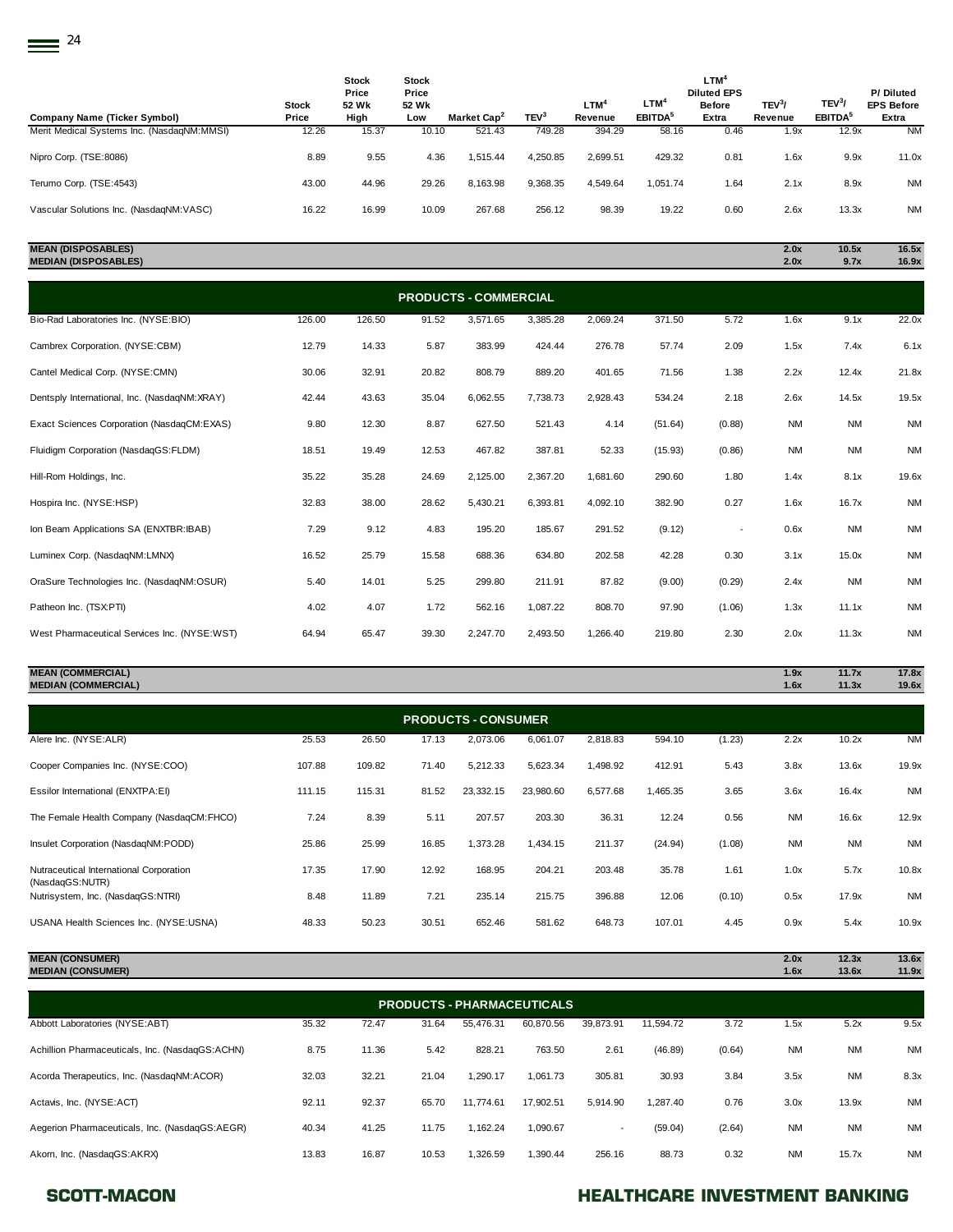| Stock<br>Price | Stock<br>Price<br>52 Wk<br>High | <b>Stock</b><br>Price<br>52 Wk<br>Low | Market Cap <sup>2</sup> | TEV <sup>3</sup>                | LTM <sup>4</sup><br>Revenue | $LTM^4$<br><b>EBITDA</b> <sup>5</sup> | LTM <sup>4</sup><br><b>Diluted EPS</b><br><b>Before</b><br>Extra | TEV <sup>3</sup> /<br>Revenue        | TEV <sup>3</sup> /<br><b>EBITDA</b> <sup>5</sup> | P/Diluted<br><b>EPS Before</b><br>Extra |
|----------------|---------------------------------|---------------------------------------|-------------------------|---------------------------------|-----------------------------|---------------------------------------|------------------------------------------------------------------|--------------------------------------|--------------------------------------------------|-----------------------------------------|
| 12.26          | 15.37                           |                                       | 521.43                  | 749.28                          | 394.29                      |                                       | 0.46                                                             | 1.9x                                 | 12.9x                                            | <b>NM</b>                               |
| 8.89           | 9.55                            |                                       | 1.515.44                | 4.250.85                        | 2.699.51                    |                                       | 0.81                                                             | 1.6x                                 | 9.9x                                             | 11.0x                                   |
| 43.00          | 44.96                           |                                       | 8.163.98                | 9,368.35                        | 4.549.64                    |                                       | 1.64                                                             | 2.1x                                 | 8.9x                                             | <b>NM</b>                               |
| 16.22          | 16.99                           |                                       | 267.68                  | 256.12                          | 98.39                       |                                       | 0.60                                                             | 2.6x                                 | 13.3x                                            | <b>NM</b>                               |
|                |                                 |                                       |                         | 10.10<br>4.36<br>29.26<br>10.09 |                             |                                       |                                                                  | 58.16<br>429.32<br>1.051.74<br>19.22 |                                                  |                                         |

## **MEAN (DISPOSABLES) 2.0x 10.5x 16.5x MEDIAN (DISPOSABLES) 2.0x 9.7x 16.9x**

| <b>PRODUCTS - COMMERCIAL</b>                 |        |        |       |          |          |          |         |                          |           |           |           |  |  |
|----------------------------------------------|--------|--------|-------|----------|----------|----------|---------|--------------------------|-----------|-----------|-----------|--|--|
| Bio-Rad Laboratories Inc. (NYSE:BIO)         | 126.00 | 126.50 | 91.52 | 3,571.65 | 3,385.28 | 2,069.24 | 371.50  | 5.72                     | 1.6x      | 9.1x      | 22.0x     |  |  |
| Cambrex Corporation. (NYSE:CBM)              | 12.79  | 14.33  | 5.87  | 383.99   | 424.44   | 276.78   | 57.74   | 2.09                     | 1.5x      | 7.4x      | 6.1x      |  |  |
| Cantel Medical Corp. (NYSE:CMN)              | 30.06  | 32.91  | 20.82 | 808.79   | 889.20   | 401.65   | 71.56   | 1.38                     | 2.2x      | 12.4x     | 21.8x     |  |  |
| Dentsply International, Inc. (NasdaqNM:XRAY) | 42.44  | 43.63  | 35.04 | 6,062.55 | 7,738.73 | 2,928.43 | 534.24  | 2.18                     | 2.6x      | 14.5x     | 19.5x     |  |  |
| Exact Sciences Corporation (NasdaqCM:EXAS)   | 9.80   | 12.30  | 8.87  | 627.50   | 521.43   | 4.14     | (51.64) | (0.88)                   | <b>NM</b> | <b>NM</b> | <b>NM</b> |  |  |
| Fluidigm Corporation (NasdagGS:FLDM)         | 18.51  | 19.49  | 12.53 | 467.82   | 387.81   | 52.33    | (15.93) | (0.86)                   | <b>NM</b> | <b>NM</b> | <b>NM</b> |  |  |
| Hill-Rom Holdings, Inc.                      | 35.22  | 35.28  | 24.69 | 2,125.00 | 2,367.20 | 1.681.60 | 290.60  | 1.80                     | 1.4x      | 8.1x      | 19.6x     |  |  |
| Hospira Inc. (NYSE:HSP)                      | 32.83  | 38.00  | 28.62 | 5,430.21 | 6,393.81 | 4,092.10 | 382.90  | 0.27                     | 1.6x      | 16.7x     | <b>NM</b> |  |  |
| Ion Beam Applications SA (ENXTBR:IBAB)       | 7.29   | 9.12   | 4.83  | 195.20   | 185.67   | 291.52   | (9.12)  | $\overline{\phantom{a}}$ | 0.6x      | <b>NM</b> | <b>NM</b> |  |  |
| Luminex Corp. (NasdaqNM:LMNX)                | 16.52  | 25.79  | 15.58 | 688.36   | 634.80   | 202.58   | 42.28   | 0.30                     | 3.1x      | 15.0x     | <b>NM</b> |  |  |
| OraSure Technologies Inc. (NasdaqNM:OSUR)    | 5.40   | 14.01  | 5.25  | 299.80   | 211.91   | 87.82    | (9.00)  | (0.29)                   | 2.4x      | <b>NM</b> | <b>NM</b> |  |  |
| Patheon Inc. (TSX:PTI)                       | 4.02   | 4.07   | 1.72  | 562.16   | 1,087.22 | 808.70   | 97.90   | (1.06)                   | 1.3x      | 11.1x     | <b>NM</b> |  |  |
| West Pharmaceutical Services Inc. (NYSE:WST) | 64.94  | 65.47  | 39.30 | 2,247.70 | 2,493.50 | 1,266.40 | 219.80  | 2.30                     | 2.0x      | 11.3x     | <b>NM</b> |  |  |

## **MEAN (COMMERCIAL) 1.9x 11.7x 17.8x MEDIAN (COMMERCIAL) 1.6x 11.3x 19.6x**

|                                                            | <b>PRODUCTS - CONSUMER</b> |        |       |           |           |          |          |        |           |           |           |  |  |  |
|------------------------------------------------------------|----------------------------|--------|-------|-----------|-----------|----------|----------|--------|-----------|-----------|-----------|--|--|--|
| Alere Inc. (NYSE:ALR)                                      | 25.53                      | 26.50  | 17.13 | 2,073.06  | 6,061.07  | 2,818.83 | 594.10   | (1.23) | 2.2x      | 10.2x     | <b>NM</b> |  |  |  |
| Cooper Companies Inc. (NYSE:COO)                           | 107.88                     | 109.82 | 71.40 | 5,212.33  | 5,623.34  | 1,498.92 | 412.91   | 5.43   | 3.8x      | 13.6x     | 19.9x     |  |  |  |
| Essilor International (ENXTPA:EI)                          | 111.15                     | 115.31 | 81.52 | 23,332.15 | 23,980.60 | 6,577.68 | 1,465.35 | 3.65   | 3.6x      | 16.4x     | <b>NM</b> |  |  |  |
| The Female Health Company (NasdaqCM:FHCO)                  | 7.24                       | 8.39   | 5.11  | 207.57    | 203.30    | 36.31    | 12.24    | 0.56   | <b>NM</b> | 16.6x     | 12.9x     |  |  |  |
| Insulet Corporation (NasdaqNM:PODD)                        | 25.86                      | 25.99  | 16.85 | 1,373.28  | 1,434.15  | 211.37   | (24.94)  | (1.08) | <b>NM</b> | <b>NM</b> | <b>NM</b> |  |  |  |
| Nutraceutical International Corporation<br>(NasdagGS:NUTR) | 17.35                      | 17.90  | 12.92 | 168.95    | 204.21    | 203.48   | 35.78    | 1.61   | 1.0x      | 5.7x      | 10.8x     |  |  |  |
| Nutrisystem, Inc. (NasdagGS:NTRI)                          | 8.48                       | 11.89  | 7.21  | 235.14    | 215.75    | 396.88   | 12.06    | (0.10) | 0.5x      | 17.9x     | <b>NM</b> |  |  |  |
| USANA Health Sciences Inc. (NYSE:USNA)                     | 48.33                      | 50.23  | 30.51 | 652.46    | 581.62    | 648.73   | 107.01   | 4.45   | 0.9x      | 5.4x      | 10.9x     |  |  |  |
|                                                            |                            |        |       |           |           |          |          |        |           |           |           |  |  |  |

**MEAN (CONSUMER) 2.0x 12.3x 13.6x MEDIAN (CONSUMER) 1.6x 13.6x 11.9x**

|                                                 | <b>PRODUCTS - PHARMACEUTICALS</b> |       |       |           |           |                          |           |        |           |           |           |  |  |  |  |
|-------------------------------------------------|-----------------------------------|-------|-------|-----------|-----------|--------------------------|-----------|--------|-----------|-----------|-----------|--|--|--|--|
| Abbott Laboratories (NYSE:ABT)                  | 35.32                             | 72.47 | 31.64 | 55.476.31 | 60,870.56 | 39.873.91                | 11.594.72 | 3.72   | 1.5x      | 5.2x      | 9.5x      |  |  |  |  |
| Achillion Pharmaceuticals, Inc. (NasdaqGS:ACHN) | 8.75                              | 11.36 | 5.42  | 828.21    | 763.50    | 2.61                     | (46.89)   | (0.64) | <b>NM</b> | <b>NM</b> | <b>NM</b> |  |  |  |  |
| Acorda Therapeutics, Inc. (NasdaqNM:ACOR)       | 32.03                             | 32.21 | 21.04 | 1,290.17  | 1,061.73  | 305.81                   | 30.93     | 3.84   | 3.5x      | <b>NM</b> | 8.3x      |  |  |  |  |
| Actavis, Inc. (NYSE:ACT)                        | 92.11                             | 92.37 | 65.70 | 11.774.61 | 17,902.51 | 5.914.90                 | 1.287.40  | 0.76   | 3.0x      | 13.9x     | <b>NM</b> |  |  |  |  |
| Aegerion Pharmaceuticals, Inc. (NasdagGS:AEGR)  | 40.34                             | 41.25 | 11.75 | 1,162.24  | 1,090.67  | $\overline{\phantom{0}}$ | (59.04)   | (2.64) | <b>NM</b> | <b>NM</b> | <b>NM</b> |  |  |  |  |
| Akorn, Inc. (NasdaqGS:AKRX)                     | 13.83                             | 16.87 | 10.53 | 1.326.59  | 1,390.44  | 256.16                   | 88.73     | 0.32   | <b>NM</b> | 15.7x     | <b>NM</b> |  |  |  |  |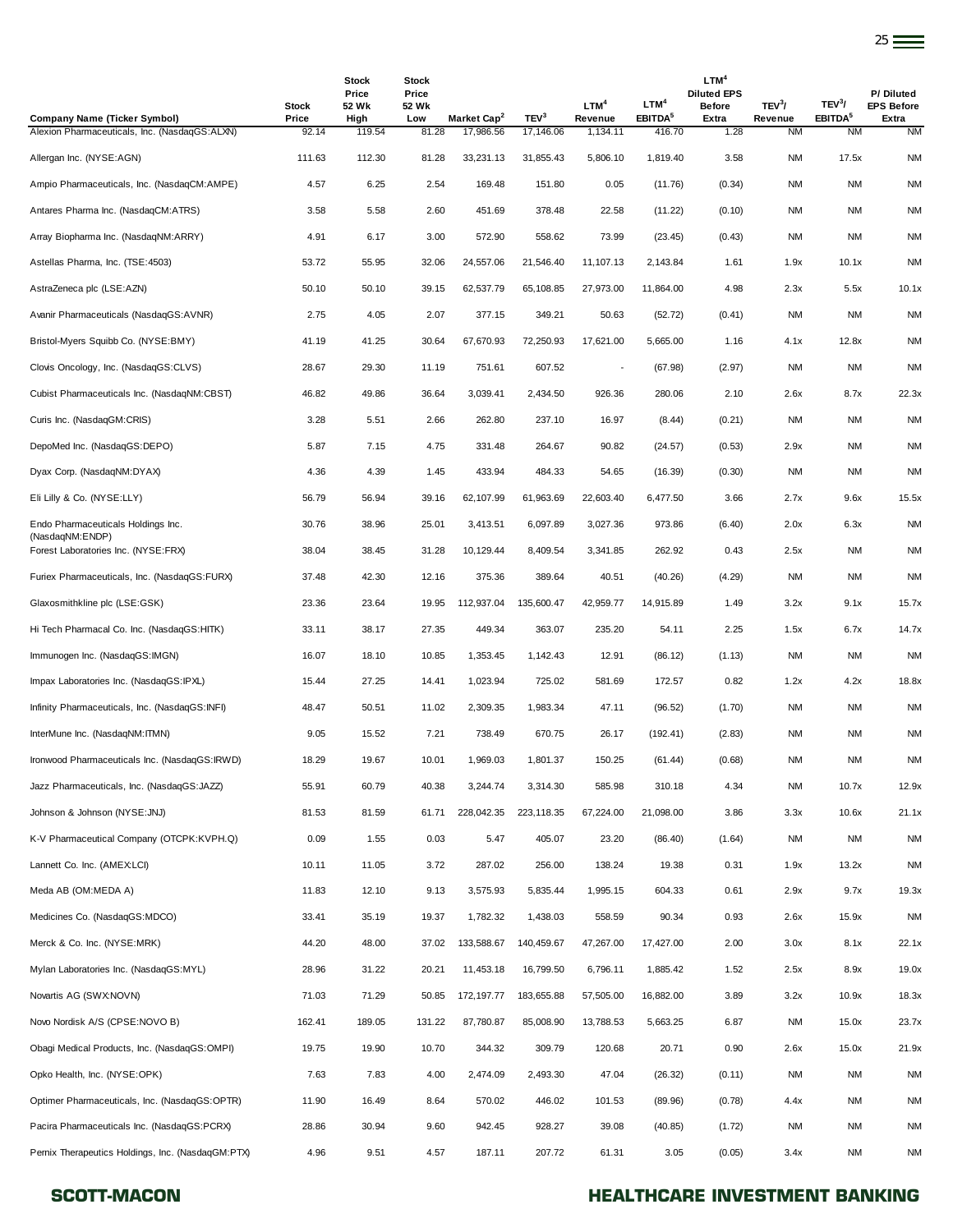|                                          |                       |                                        |                                       |                         |                  |                             |                                         |                                                                  |                               |                                           | $25 =$                                  |
|------------------------------------------|-----------------------|----------------------------------------|---------------------------------------|-------------------------|------------------|-----------------------------|-----------------------------------------|------------------------------------------------------------------|-------------------------------|-------------------------------------------|-----------------------------------------|
| ny Name (Ticker Symbol)                  | <b>Stock</b><br>Price | <b>Stock</b><br>Price<br>52 Wk<br>High | <b>Stock</b><br>Price<br>52 Wk<br>Low | Market Cap <sup>2</sup> | TEV <sup>3</sup> | LTM <sup>4</sup><br>Revenue | LTM <sup>4</sup><br>EBITDA <sup>5</sup> | LTM <sup>4</sup><br><b>Diluted EPS</b><br><b>Before</b><br>Extra | TEV <sup>3</sup> /<br>Revenue | TEV <sup>3</sup> /<br>EBITDA <sup>5</sup> | P/Diluted<br><b>EPS Before</b><br>Extra |
| Pharmaceuticals, Inc. (NasdagGS:ALXN)    | 92.14                 | 119.54                                 | 81.28                                 | 17,986.56               | 17,146.06        | 1,134.11                    | 416.70                                  | 1.28                                                             | <b>NM</b>                     | <b>NM</b>                                 | <b>NM</b>                               |
| Inc. (NYSE:AGN)                          | 111.63                | 112.30                                 | 81.28                                 | 33,231.13               | 31,855.43        | 5,806.10                    | 1,819.40                                | 3.58                                                             | <b>NM</b>                     | 17.5x                                     | <b>NM</b>                               |
| harmaceuticals, Inc. (NasdaqCM:AMPE)     | 4.57                  | 6.25                                   | 2.54                                  | 169.48                  | 151.80           | 0.05                        | (11.76)                                 | (0.34)                                                           | <b>NM</b>                     | <b>NM</b>                                 | <b>NM</b>                               |
| Pharma Inc. (NasdaqCM:ATRS)              | 3.58                  | 5.58                                   | 2.60                                  | 451.69                  | 378.48           | 22.58                       | (11.22)                                 | (0.10)                                                           | <b>NM</b>                     | <b>NM</b>                                 | <b>NM</b>                               |
| opharma Inc. (NasdaqNM:ARRY)             | 4.91                  | 6.17                                   | 3.00                                  | 572.90                  | 558.62           | 73.99                       | (23.45)                                 | (0.43)                                                           | <b>NM</b>                     | <b>NM</b>                                 | <b>NM</b>                               |
| Pharma, Inc. (TSE:4503)                  | 53.72                 | 55.95                                  | 32.06                                 | 24,557.06               | 21,546.40        | 11,107.13                   | 2,143.84                                | 1.61                                                             | 1.9x                          | 10.1x                                     | <b>NM</b>                               |
| neca plc (LSE:AZN)                       | 50.10                 | 50.10                                  | 39.15                                 | 62,537.79               | 65,108.85        | 27,973.00                   | 11,864.00                               | 4.98                                                             | 2.3x                          | 5.5x                                      | 10.1x                                   |
| harmaceuticals (NasdaqGS:AVNR)           | 2.75                  | 4.05                                   | 2.07                                  | 377.15                  | 349.21           | 50.63                       | (52.72)                                 | (0.41)                                                           | <b>NM</b>                     | <b>NM</b>                                 | <b>NM</b>                               |
| lyers Squibb Co. (NYSE:BMY)              | 41.19                 | 41.25                                  | 30.64                                 | 67,670.93               | 72,250.93        | 17,621.00                   | 5,665.00                                | 1.16                                                             | 4.1x                          | 12.8x                                     | <b>NM</b>                               |
| ncology, Inc. (NasdagGS:CLVS)            | 28.67                 | 29.30                                  | 11.19                                 | 751.61                  | 607.52           | $\overline{\phantom{a}}$    | (67.98)                                 | (2.97)                                                           | <b>NM</b>                     | <b>NM</b>                                 | <b>NM</b>                               |
| harmaceuticals Inc. (NasdaqNM:CBST)      | 46.82                 | 49.86                                  | 36.64                                 | 3,039.41                | 2,434.50         | 926.36                      | 280.06                                  | 2.10                                                             | 2.6x                          | 8.7x                                      | 22.3x                                   |
| c. (NasdagGM:CRIS)                       | 3.28                  | 5.51                                   | 2.66                                  | 262.80                  | 237.10           | 16.97                       | (8.44)                                  | (0.21)                                                           | <b>NM</b>                     | <b>NM</b>                                 | <b>NM</b>                               |
| d Inc. (NasdaqGS:DEPO)                   | 5.87                  | 7.15                                   | 4.75                                  | 331.48                  | 264.67           | 90.82                       | (24.57)                                 | (0.53)                                                           | 2.9x                          | <b>NM</b>                                 | <b>NM</b>                               |
| orp. (NasdaqNM:DYAX)                     | 4.36                  | 4.39                                   | 1.45                                  | 433.94                  | 484.33           | 54.65                       | (16.39)                                 | (0.30)                                                           | <b>NM</b>                     | <b>NM</b>                                 | <b>NM</b>                               |
| & Co. (NYSE:LLY)                         | 56.79                 | 56.94                                  | 39.16                                 | 62,107.99               | 61,963.69        | 22,603.40                   | 6,477.50                                | 3.66                                                             | 2.7x                          | 9.6x                                      | 15.5x                                   |
| narmaceuticals Holdings Inc.<br>NM:ENDP) | 30.76                 | 38.96                                  | 25.01                                 | 3,413.51                | 6,097.89         | 3,027.36                    | 973.86                                  | (6.40)                                                           | 2.0x                          | 6.3x                                      | <b>NM</b>                               |
|                                          |                       |                                        |                                       |                         |                  |                             |                                         |                                                                  |                               |                                           |                                         |

| Antares Pharma Inc. (NasdaqCM:ATRS)                   | 3.58   | 5.58   | 2.60   | 451.69      | 378.48     | 22.58                    | (11.22)   | (0.10) | <b>NM</b> | <b>NM</b> | <b>NM</b> |
|-------------------------------------------------------|--------|--------|--------|-------------|------------|--------------------------|-----------|--------|-----------|-----------|-----------|
| Array Biopharma Inc. (NasdaqNM:ARRY)                  | 4.91   | 6.17   | 3.00   | 572.90      | 558.62     | 73.99                    | (23.45)   | (0.43) | <b>NM</b> | <b>NM</b> | <b>NM</b> |
| Astellas Pharma, Inc. (TSE:4503)                      | 53.72  | 55.95  | 32.06  | 24,557.06   | 21,546.40  | 11,107.13                | 2,143.84  | 1.61   | 1.9x      | 10.1x     | <b>NM</b> |
| AstraZeneca plc (LSE:AZN)                             | 50.10  | 50.10  | 39.15  | 62,537.79   | 65,108.85  | 27,973.00                | 11,864.00 | 4.98   | 2.3x      | 5.5x      | 10.1x     |
| Avanir Pharmaceuticals (NasdaqGS:AVNR)                | 2.75   | 4.05   | 2.07   | 377.15      | 349.21     | 50.63                    | (52.72)   | (0.41) | <b>NM</b> | ΝM        | <b>NM</b> |
| Bristol-Myers Squibb Co. (NYSE:BMY)                   | 41.19  | 41.25  | 30.64  | 67,670.93   | 72,250.93  | 17,621.00                | 5,665.00  | 1.16   | 4.1x      | 12.8x     | <b>NM</b> |
| Clovis Oncology, Inc. (NasdaqGS:CLVS)                 | 28.67  | 29.30  | 11.19  | 751.61      | 607.52     | $\overline{\phantom{a}}$ | (67.98)   | (2.97) | <b>NM</b> | <b>NM</b> | <b>NM</b> |
| Cubist Pharmaceuticals Inc. (NasdaqNM:CBST)           | 46.82  | 49.86  | 36.64  | 3,039.41    | 2,434.50   | 926.36                   | 280.06    | 2.10   | 2.6x      | 8.7x      | 22.3x     |
| Curis Inc. (NasdaqGM:CRIS)                            | 3.28   | 5.51   | 2.66   | 262.80      | 237.10     | 16.97                    | (8.44)    | (0.21) | <b>NM</b> | <b>NM</b> | <b>NM</b> |
| DepoMed Inc. (NasdaqGS:DEPO)                          | 5.87   | 7.15   | 4.75   | 331.48      | 264.67     | 90.82                    | (24.57)   | (0.53) | 2.9x      | ΝM        | <b>NM</b> |
| Dyax Corp. (NasdaqNM:DYAX)                            | 4.36   | 4.39   | 1.45   | 433.94      | 484.33     | 54.65                    | (16.39)   | (0.30) | <b>NM</b> | <b>NM</b> | <b>NM</b> |
| Eli Lilly & Co. (NYSE:LLY)                            | 56.79  | 56.94  | 39.16  | 62,107.99   | 61,963.69  | 22,603.40                | 6,477.50  | 3.66   | 2.7x      | 9.6x      | 15.5x     |
| Endo Pharmaceuticals Holdings Inc.<br>(NasdaqNM:ENDP) | 30.76  | 38.96  | 25.01  | 3,413.51    | 6,097.89   | 3,027.36                 | 973.86    | (6.40) | 2.0x      | 6.3x      | <b>NM</b> |
| Forest Laboratories Inc. (NYSE:FRX)                   | 38.04  | 38.45  | 31.28  | 10,129.44   | 8,409.54   | 3,341.85                 | 262.92    | 0.43   | 2.5x      | ΝM        | <b>NM</b> |
| Furiex Pharmaceuticals, Inc. (NasdaqGS:FURX)          | 37.48  | 42.30  | 12.16  | 375.36      | 389.64     | 40.51                    | (40.26)   | (4.29) | <b>NM</b> | <b>NM</b> | <b>NM</b> |
| Glaxosmithkline plc (LSE:GSK)                         | 23.36  | 23.64  | 19.95  | 112,937.04  | 135,600.47 | 42,959.77                | 14,915.89 | 1.49   | 3.2x      | 9.1x      | 15.7x     |
| Hi Tech Pharmacal Co. Inc. (NasdaqGS:HITK)            | 33.11  | 38.17  | 27.35  | 449.34      | 363.07     | 235.20                   | 54.11     | 2.25   | 1.5x      | 6.7x      | 14.7x     |
| Immunogen Inc. (NasdaqGS: IMGN)                       | 16.07  | 18.10  | 10.85  | 1,353.45    | 1,142.43   | 12.91                    | (86.12)   | (1.13) | <b>NM</b> | ΝM        | <b>NM</b> |
| Impax Laboratories Inc. (NasdaqGS:IPXL)               | 15.44  | 27.25  | 14.41  | 1,023.94    | 725.02     | 581.69                   | 172.57    | 0.82   | 1.2x      | 4.2x      | 18.8x     |
| Infinity Pharmaceuticals, Inc. (NasdaqGS:INFI)        | 48.47  | 50.51  | 11.02  | 2,309.35    | 1,983.34   | 47.11                    | (96.52)   | (1.70) | <b>NM</b> | <b>NM</b> | <b>NM</b> |
| InterMune Inc. (NasdaqNM:ITMN)                        | 9.05   | 15.52  | 7.21   | 738.49      | 670.75     | 26.17                    | (192.41)  | (2.83) | <b>NM</b> | <b>NM</b> | <b>NM</b> |
| Ironwood Pharmaceuticals Inc. (NasdaqGS:IRWD)         | 18.29  | 19.67  | 10.01  | 1,969.03    | 1,801.37   | 150.25                   | (61.44)   | (0.68) | <b>NM</b> | <b>NM</b> | <b>NM</b> |
| Jazz Pharmaceuticals, Inc. (NasdaqGS:JAZZ)            | 55.91  | 60.79  | 40.38  | 3,244.74    | 3,314.30   | 585.98                   | 310.18    | 4.34   | <b>NM</b> | 10.7x     | 12.9x     |
| Johnson & Johnson (NYSE:JNJ)                          | 81.53  | 81.59  | 61.71  | 228,042.35  | 223,118.35 | 67,224.00                | 21,098.00 | 3.86   | 3.3x      | 10.6x     | 21.1x     |
| K-V Pharmaceutical Company (OTCPK:KVPH.Q)             | 0.09   | 1.55   | 0.03   | 5.47        | 405.07     | 23.20                    | (86.40)   | (1.64) | <b>NM</b> | <b>NM</b> | <b>NM</b> |
| Lannett Co. Inc. (AMEX:LCI)                           | 10.11  | 11.05  | 3.72   | 287.02      | 256.00     | 138.24                   | 19.38     | 0.31   | 1.9x      | 13.2x     | <b>NM</b> |
| Meda AB (OM:MEDA A)                                   | 11.83  | 12.10  | 9.13   | 3,575.93    | 5,835.44   | 1.995.15                 | 604.33    | 0.61   | 2.9x      | 9.7x      | 19.3x     |
| Medicines Co. (NasdaqGS:MDCO)                         | 33.41  | 35.19  | 19.37  | 1,782.32    | 1,438.03   | 558.59                   | 90.34     | 0.93   | 2.6x      | 15.9x     | <b>NM</b> |
| Merck & Co. Inc. (NYSE:MRK)                           | 44.20  | 48.00  | 37.02  | 133,588.67  | 140,459.67 | 47,267.00                | 17,427.00 | 2.00   | 3.0x      | 8.1x      | 22.1x     |
| Mylan Laboratories Inc. (NasdaqGS:MYL)                | 28.96  | 31.22  | 20.21  | 11,453.18   | 16,799.50  | 6,796.11                 | 1,885.42  | 1.52   | 2.5x      | 8.9x      | 19.0x     |
| Novartis AG (SWX:NOVN)                                | 71.03  | 71.29  | 50.85  | 172, 197.77 | 183,655.88 | 57,505.00                | 16,882.00 | 3.89   | 3.2x      | 10.9x     | 18.3x     |
| Novo Nordisk A/S (CPSE:NOVO B)                        | 162.41 | 189.05 | 131.22 | 87,780.87   | 85,008.90  | 13,788.53                | 5,663.25  | 6.87   | <b>NM</b> | 15.0x     | 23.7x     |
| Obaqi Medical Products, Inc. (NasdaqGS:OMPI)          | 19.75  | 19.90  | 10.70  | 344.32      | 309.79     | 120.68                   | 20.71     | 0.90   | 2.6x      | 15.0x     | 21.9x     |
| Opko Health, Inc. (NYSE:OPK)                          | 7.63   | 7.83   | 4.00   | 2,474.09    | 2,493.30   | 47.04                    | (26.32)   | (0.11) | <b>NM</b> | <b>NM</b> | <b>NM</b> |
| Optimer Pharmaceuticals, Inc. (NasdaqGS:OPTR)         | 11.90  | 16.49  | 8.64   | 570.02      | 446.02     | 101.53                   | (89.96)   | (0.78) | 4.4x      | <b>NM</b> | <b>NM</b> |
| Pacira Pharmaceuticals Inc. (NasdaqGS:PCRX)           | 28.86  | 30.94  | 9.60   | 942.45      | 928.27     | 39.08                    | (40.85)   | (1.72) | NM        | ΝM        | <b>NM</b> |
| Pernix Therapeutics Holdings, Inc. (NasdaqGM:PTX)     | 4.96   | 9.51   | 4.57   | 187.11      | 207.72     | 61.31                    | 3.05      | (0.05) | 3.4x      | <b>NM</b> | <b>NM</b> |
|                                                       |        |        |        |             |            |                          |           |        |           |           |           |

**Company Name (Ticker Symbol)**

Alexion Pharmaceuticals, Inc. (NasdaqGS:ALXN)

Allergan Inc. (NYSE:AGN) 111.63 Ampio Pharmaceuticals, Inc. (NasdaqCM:AMPE) 4.57

### SCOTT-MACON **SCOTT-MACON HEALTHCARE INVESTMENT BANKING**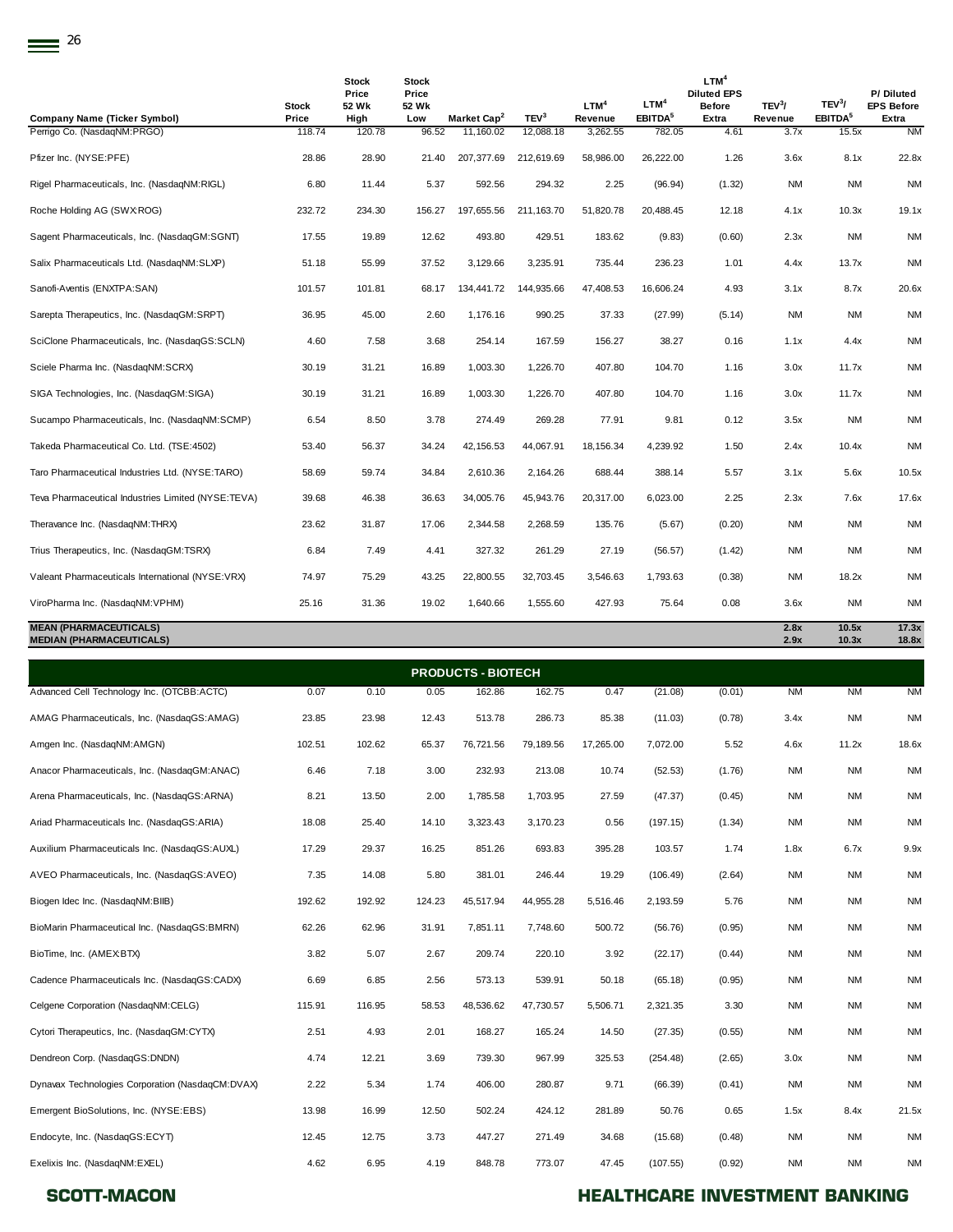| Company Name (Ticker Symbol)                                     | Stock<br>Price | <b>Stock</b><br>Price<br>52 Wk<br>High | <b>Stock</b><br>Price<br>52 Wk<br>Low | Market Cap <sup>2</sup> | TEV <sup>3</sup> | LTM <sup>4</sup><br>Revenue | LTM <sup>4</sup><br>EBITDA <sup>5</sup> | LTM <sup>4</sup><br><b>Diluted EPS</b><br><b>Before</b><br>Extra | TEV <sup>3</sup> /<br>Revenue | TEV <sup>3</sup> /<br>EBITDA <sup>5</sup> | P/Diluted<br><b>EPS Before</b><br>Extra |
|------------------------------------------------------------------|----------------|----------------------------------------|---------------------------------------|-------------------------|------------------|-----------------------------|-----------------------------------------|------------------------------------------------------------------|-------------------------------|-------------------------------------------|-----------------------------------------|
| Perrigo Co. (NasdagNM:PRGO)                                      | 118.74         | 120.78                                 | 96.52                                 | 11,160.02               | 12,088.18        | 3,262.55                    | 782.05                                  | 4.61                                                             | 3.7x                          | 15.5x                                     | <b>NM</b>                               |
| Pfizer Inc. (NYSE:PFE)                                           | 28.86          | 28.90                                  | 21.40                                 | 207,377.69              | 212,619.69       | 58,986.00                   | 26,222.00                               | 1.26                                                             | 3.6x                          | 8.1x                                      | 22.8x                                   |
| Rigel Pharmaceuticals, Inc. (NasdagNM:RIGL)                      | 6.80           | 11.44                                  | 5.37                                  | 592.56                  | 294.32           | 2.25                        | (96.94)                                 | (1.32)                                                           | <b>NM</b>                     | <b>NM</b>                                 | <b>NM</b>                               |
| Roche Holding AG (SWX:ROG)                                       | 232.72         | 234.30                                 | 156.27                                | 197,655.56              | 211, 163.70      | 51,820.78                   | 20,488.45                               | 12.18                                                            | 4.1x                          | 10.3x                                     | 19.1x                                   |
| Sagent Pharmaceuticals, Inc. (NasdagGM:SGNT)                     | 17.55          | 19.89                                  | 12.62                                 | 493.80                  | 429.51           | 183.62                      | (9.83)                                  | (0.60)                                                           | 2.3x                          | NM                                        | <b>NM</b>                               |
| Salix Pharmaceuticals Ltd. (NasdaqNM:SLXP)                       | 51.18          | 55.99                                  | 37.52                                 | 3,129.66                | 3,235.91         | 735.44                      | 236.23                                  | 1.01                                                             | 4.4x                          | 13.7x                                     | <b>NM</b>                               |
| Sanofi-Aventis (ENXTPA:SAN)                                      | 101.57         | 101.81                                 | 68.17                                 | 134,441.72              | 144,935.66       | 47,408.53                   | 16,606.24                               | 4.93                                                             | 3.1x                          | 8.7x                                      | 20.6x                                   |
| Sarepta Therapeutics, Inc. (NasdaqGM:SRPT)                       | 36.95          | 45.00                                  | 2.60                                  | 1,176.16                | 990.25           | 37.33                       | (27.99)                                 | (5.14)                                                           | <b>NM</b>                     | <b>NM</b>                                 | <b>NM</b>                               |
| SciClone Pharmaceuticals, Inc. (NasdaqGS:SCLN)                   | 4.60           | 7.58                                   | 3.68                                  | 254.14                  | 167.59           | 156.27                      | 38.27                                   | 0.16                                                             | 1.1x                          | 4.4x                                      | <b>NM</b>                               |
| Sciele Pharma Inc. (NasdaqNM:SCRX)                               | 30.19          | 31.21                                  | 16.89                                 | 1,003.30                | 1,226.70         | 407.80                      | 104.70                                  | 1.16                                                             | 3.0x                          | 11.7x                                     | <b>NM</b>                               |
| SIGA Technologies, Inc. (NasdaqGM:SIGA)                          | 30.19          | 31.21                                  | 16.89                                 | 1,003.30                | 1,226.70         | 407.80                      | 104.70                                  | 1.16                                                             | 3.0x                          | 11.7x                                     | <b>NM</b>                               |
| Sucampo Pharmaceuticals, Inc. (NasdaqNM:SCMP)                    | 6.54           | 8.50                                   | 3.78                                  | 274.49                  | 269.28           | 77.91                       | 9.81                                    | 0.12                                                             | 3.5x                          | NM                                        | <b>NM</b>                               |
| Takeda Pharmaceutical Co. Ltd. (TSE:4502)                        | 53.40          | 56.37                                  | 34.24                                 | 42, 156.53              | 44,067.91        | 18,156.34                   | 4,239.92                                | 1.50                                                             | 2.4x                          | 10.4x                                     | <b>NM</b>                               |
| Taro Pharmaceutical Industries Ltd. (NYSE:TARO)                  | 58.69          | 59.74                                  | 34.84                                 | 2,610.36                | 2,164.26         | 688.44                      | 388.14                                  | 5.57                                                             | 3.1x                          | 5.6x                                      | 10.5x                                   |
| Teva Pharmaceutical Industries Limited (NYSE:TEVA)               | 39.68          | 46.38                                  | 36.63                                 | 34,005.76               | 45,943.76        | 20,317.00                   | 6,023.00                                | 2.25                                                             | 2.3x                          | 7.6x                                      | 17.6x                                   |
| Theravance Inc. (NasdagNM:THRX)                                  | 23.62          | 31.87                                  | 17.06                                 | 2,344.58                | 2,268.59         | 135.76                      | (5.67)                                  | (0.20)                                                           | <b>NM</b>                     | <b>NM</b>                                 | <b>NM</b>                               |
| Trius Therapeutics, Inc. (NasdaqGM:TSRX)                         | 6.84           | 7.49                                   | 4.41                                  | 327.32                  | 261.29           | 27.19                       | (56.57)                                 | (1.42)                                                           | <b>NM</b>                     | <b>NM</b>                                 | <b>NM</b>                               |
| Valeant Pharmaceuticals International (NYSE:VRX)                 | 74.97          | 75.29                                  | 43.25                                 | 22,800.55               | 32,703.45        | 3,546.63                    | 1,793.63                                | (0.38)                                                           | <b>NM</b>                     | 18.2x                                     | <b>NM</b>                               |
| ViroPharma Inc. (NasdaqNM:VPHM)                                  | 25.16          | 31.36                                  | 19.02                                 | 1,640.66                | 1,555.60         | 427.93                      | 75.64                                   | 0.08                                                             | 3.6x                          | <b>NM</b>                                 | <b>NM</b>                               |
| <b>MEAN (PHARMACEUTICALS)</b><br><b>MEDIAN (PHARMACEUTICALS)</b> |                |                                        |                                       |                         |                  |                             |                                         |                                                                  | 2.8x<br>2.9x                  | 10.5x<br>10.3x                            | 17.3x<br>18.8x                          |

Advanced Cell Technology Inc. (OTCBB:ACTC) 0.07 0.10 0.05 162.86 162.75 0.47 (21.08) (0.01) NM NM NM AMAG Pharmaceuticals, Inc. (NasdaqGS:AMAG) 23.85 23.98 12.43 513.78 286.73 85.38 (11.03) (0.78) 3.4x NM NM Amgen Inc. (NasdaqNM:AMGN) 102.51 102.62 65.37 76,721.56 79,189.56 17,265.00 7,072.00 5.52 4.6x 11.2x 18.6x Anacor Pharmaceuticals, Inc. (NasdaqGM:ANAC) 6.46 7.18 3.00 232.93 213.08 10.74 (52.53) (1.76) NM NM NM Arena Pharmaceuticals, Inc. (NasdaqGS:ARNA) 8.21 13.50 2.00 1,785.58 1,703.95 27.59 (47.37) (0.45) NM NM NM Ariad Pharmaceuticals Inc. (NasdaqGS:ARIA) 18.08 25.40 14.10 3,323.43 3,170.23 0.56 (197.15) (1.34) NM NM NM Auxilium Pharmaceuticals Inc. (NasdaqGS:AUXL) 17.29 29.37 16.25 851.26 693.83 395.28 103.57 1.74 1.8x 6.7x 9.9x AVEO Pharmaceuticals, Inc. (NasdaqGS:AVEO) 7.35 14.08 5.80 381.01 246.44 19.29 (106.49) (2.64) NM NM NM Biogen Idec Inc. (NasdaqNM:BIIB) 192.62 192.92 124.23 45,517.94 44,955.28 5,516.46 2,193.59 5.76 NM NM NM BioMarin Pharmaceutical Inc. (NasdaqGS:BMRN) 62.26 62.96 31.91 7,851.11 7,748.60 500.72 (56.76) (0.95) NM NM NM BioTime, Inc. (AMEX:BTX) 3.82 5.07 2.67 209.74 220.10 3.92 (22.17) (0.44) NM NM NM Cadence Pharmaceuticals Inc. (NasdaqGS:CADX) 6.69 6.85 2.56 573.13 539.91 50.18 (65.18) (0.95) NM NM NM Celgene Corporation (NasdaqNM:CELG) 115.91 116.95 58.53 48,536.62 47,730.57 5,506.71 2,321.35 3.30 NM NM NM Cytori Therapeutics, Inc. (NasdaqGM:CYTX) 2.51 4.93 2.01 168.27 165.24 14.50 (27.35) (0.55) NM NM NM Dendreon Corp. (NasdaqGS:DNDN) 4.74 12.21 3.69 739.30 967.99 325.53 (254.48) (2.65) 3.0x NM NM Dynavax Technologies Corporation (NasdaqCM:DVAX) 2.22 5.34 1.74 406.00 280.87 9.71 (66.39) (0.41) NM NM NM Emergent BioSolutions, Inc. (NYSE:EBS) 13.98 16.99 12.50 502.24 424.12 281.89 50.76 0.65 1.5x 8.4x 21.5x Endocyte, Inc. (NasdaqGS:ECYT) 12.45 12.75 3.73 447.27 271.49 34.68 (15.68) (0.48) NM NM NM Exelixis Inc. (NasdaqNM:EXEL) 4.62 6.95 4.19 848.78 773.07 47.45 (107.55) (0.92) NM NM NM **PRODUCTS - BIOTECH**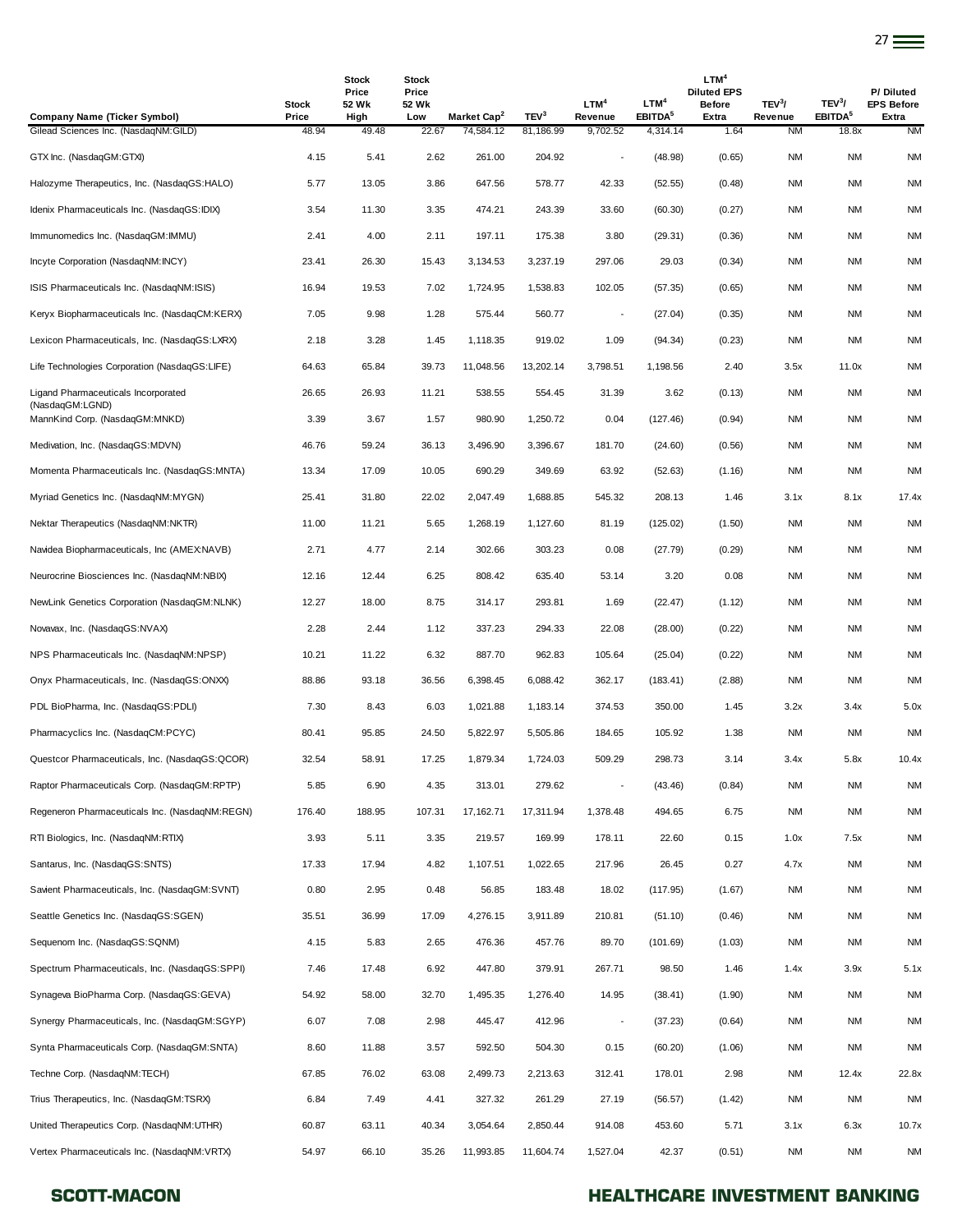| <b>Company Name (Ticker Symbol)</b>                    | Stock<br>Price | Stock<br>Price<br>52 Wk<br>High | <b>Stock</b><br>Price<br>52 Wk<br>Low | Market Cap <sup>2</sup> | TEV <sup>3</sup> | LTM <sup>4</sup><br>Revenue | LTM <sup>4</sup><br>EBITDA <sup>5</sup> | LTM <sup>4</sup><br><b>Diluted EPS</b><br><b>Before</b><br>Extra | TEV <sup>3</sup> /<br>Revenue | TEV <sup>3</sup> /<br>EBITDA <sup>5</sup> | P/Diluted<br><b>EPS Before</b><br>Extra |
|--------------------------------------------------------|----------------|---------------------------------|---------------------------------------|-------------------------|------------------|-----------------------------|-----------------------------------------|------------------------------------------------------------------|-------------------------------|-------------------------------------------|-----------------------------------------|
| Gilead Sciences Inc. (NasdaqNM:GILD)                   | 48.94          | 49.48                           | 22.67                                 | 74,584.12               | 81,186.99        | 9,702.52                    | 4,314.14                                | 1.64                                                             | <b>NM</b>                     | 18.8x                                     | <b>NM</b>                               |
| GTX Inc. (NasdaqGM:GTXI)                               | 4.15           | 5.41                            | 2.62                                  | 261.00                  | 204.92           |                             | (48.98)                                 | (0.65)                                                           | <b>NM</b>                     | <b>NM</b>                                 | <b>NM</b>                               |
| Halozyme Therapeutics, Inc. (NasdaqGS:HALO)            | 5.77           | 13.05                           | 3.86                                  | 647.56                  | 578.77           | 42.33                       | (52.55)                                 | (0.48)                                                           | ΝM                            | <b>NM</b>                                 | <b>NM</b>                               |
| Idenix Pharmaceuticals Inc. (NasdaqGS:IDIX)            | 3.54           | 11.30                           | 3.35                                  | 474.21                  | 243.39           | 33.60                       | (60.30)                                 | (0.27)                                                           | ΝM                            | NM                                        | NM                                      |
| Immunomedics Inc. (NasdaqGM:IMMU)                      | 2.41           | 4.00                            | 2.11                                  | 197.11                  | 175.38           | 3.80                        | (29.31)                                 | (0.36)                                                           | NM                            | <b>NM</b>                                 | <b>NM</b>                               |
| Incyte Corporation (NasdaqNM:INCY)                     | 23.41          | 26.30                           | 15.43                                 | 3,134.53                | 3,237.19         | 297.06                      | 29.03                                   | (0.34)                                                           | ΝM                            | ΝM                                        | <b>NM</b>                               |
| ISIS Pharmaceuticals Inc. (NasdaqNM:ISIS)              | 16.94          | 19.53                           | 7.02                                  | 1,724.95                | 1,538.83         | 102.05                      | (57.35)                                 | (0.65)                                                           | ΝM                            | ΝM                                        | NM                                      |
| Keryx Biopharmaceuticals Inc. (NasdaqCM:KERX)          | 7.05           | 9.98                            | 1.28                                  | 575.44                  | 560.77           | $\overline{\phantom{a}}$    | (27.04)                                 | (0.35)                                                           | ΝM                            | ΝM                                        | <b>NM</b>                               |
| Lexicon Pharmaceuticals, Inc. (NasdaqGS:LXRX)          | 2.18           | 3.28                            | 1.45                                  | 1,118.35                | 919.02           | 1.09                        | (94.34)                                 | (0.23)                                                           | NM                            | <b>NM</b>                                 | <b>NM</b>                               |
| Life Technologies Corporation (NasdaqGS:LIFE)          | 64.63          | 65.84                           | 39.73                                 | 11,048.56               | 13,202.14        | 3,798.51                    | 1,198.56                                | 2.40                                                             | 3.5x                          | 11.0x                                     | <b>NM</b>                               |
| Ligand Pharmaceuticals Incorporated<br>(NasdaqGM:LGND) | 26.65          | 26.93                           | 11.21                                 | 538.55                  | 554.45           | 31.39                       | 3.62                                    | (0.13)                                                           | NM                            | ΝM                                        | NM                                      |
| MannKind Corp. (NasdaqGM:MNKD)                         | 3.39           | 3.67                            | 1.57                                  | 980.90                  | 1,250.72         | 0.04                        | (127.46)                                | (0.94)                                                           | NM                            | ΝM                                        | NM                                      |
| Medivation, Inc. (NasdaqGS:MDVN)                       | 46.76          | 59.24                           | 36.13                                 | 3,496.90                | 3,396.67         | 181.70                      | (24.60)                                 | (0.56)                                                           | NM                            | <b>NM</b>                                 | <b>NM</b>                               |
| Momenta Pharmaceuticals Inc. (NasdaqGS:MNTA)           | 13.34          | 17.09                           | 10.05                                 | 690.29                  | 349.69           | 63.92                       | (52.63)                                 | (1.16)                                                           | NM                            | <b>NM</b>                                 | <b>NM</b>                               |
| Myriad Genetics Inc. (NasdaqNM:MYGN)                   | 25.41          | 31.80                           | 22.02                                 | 2.047.49                | 1,688.85         | 545.32                      | 208.13                                  | 1.46                                                             | 3.1x                          | 8.1x                                      | 17.4x                                   |
| Nektar Therapeutics (NasdaqNM:NKTR)                    | 11.00          | 11.21                           | 5.65                                  | 1,268.19                | 1,127.60         | 81.19                       | (125.02)                                | (1.50)                                                           | NM                            | ΝM                                        | <b>NM</b>                               |
| Navidea Biopharmaceuticals, Inc (AMEX:NAVB)            | 2.71           | 4.77                            | 2.14                                  | 302.66                  | 303.23           | 0.08                        | (27.79)                                 | (0.29)                                                           | NM                            | ΝM                                        | NM                                      |
| Neurocrine Biosciences Inc. (NasdaqNM:NBIX)            | 12.16          | 12.44                           | 6.25                                  | 808.42                  | 635.40           | 53.14                       | 3.20                                    | 0.08                                                             | <b>NM</b>                     | <b>NM</b>                                 | <b>NM</b>                               |
| NewLink Genetics Corporation (NasdaqGM:NLNK)           | 12.27          | 18.00                           | 8.75                                  | 314.17                  | 293.81           | 1.69                        | (22.47)                                 | (1.12)                                                           | NM                            | NM                                        | <b>NM</b>                               |
| Novavax, Inc. (NasdaqGS:NVAX)                          | 2.28           | 2.44                            | 1.12                                  | 337.23                  | 294.33           | 22.08                       | (28.00)                                 | (0.22)                                                           | NM                            | <b>NM</b>                                 | <b>NM</b>                               |
| NPS Pharmaceuticals Inc. (NasdaqNM:NPSP)               | 10.21          | 11.22                           | 6.32                                  | 887.70                  | 962.83           | 105.64                      | (25.04)                                 | (0.22)                                                           | <b>NM</b>                     | ΝM                                        | NM                                      |
| Onyx Pharmaceuticals, Inc. (NasdaqGS:ONXX)             | 88.86          | 93.18                           | 36.56                                 | 6,398.45                | 6,088.42         | 362.17                      | (183.41)                                | (2.88)                                                           | NM                            | ΝM                                        | NM                                      |
| PDL BioPharma, Inc. (NasdaqGS:PDLI)                    | 7.30           | 8.43                            | 6.03                                  | 1,021.88                | 1,183.14         | 374.53                      | 350.00                                  | 1.45                                                             | 3.2x                          | 3.4x                                      | 5.0x                                    |
| Pharmacyclics Inc. (NasdaqCM:PCYC)                     | 80.41          | 95.85                           | 24.50                                 | 5,822.97                | 5,505.86         | 184.65                      | 105.92                                  | 1.38                                                             | NM                            | <b>NM</b>                                 | <b>NM</b>                               |
| Questcor Pharmaceuticals, Inc. (NasdaqGS:QCOR)         | 32.54          | 58.91                           | 17.25                                 | 1,879.34                | 1,724.03         | 509.29                      | 298.73                                  | 3.14                                                             | 3.4x                          | 5.8x                                      | 10.4x                                   |
| Raptor Pharmaceuticals Corp. (NasdaqGM:RPTP)           | 5.85           | 6.90                            | 4.35                                  | 313.01                  | 279.62           | $\overline{\phantom{a}}$    | (43.46)                                 | (0.84)                                                           | NM                            | <b>NM</b>                                 | <b>NM</b>                               |
| Regeneron Pharmaceuticals Inc. (NasdagNM:REGN)         | 176.40         | 188.95                          | 107.31                                | 17,162.71               | 17,311.94        | 1,378.48                    | 494.65                                  | 6.75                                                             | NM                            | <b>NM</b>                                 | <b>NM</b>                               |
| RTI Biologics, Inc. (NasdaqNM:RTIX)                    | 3.93           | 5.11                            | 3.35                                  | 219.57                  | 169.99           | 178.11                      | 22.60                                   | 0.15                                                             | 1.0x                          | 7.5x                                      | <b>NM</b>                               |
| Santarus, Inc. (NasdaqGS:SNTS)                         | 17.33          | 17.94                           | 4.82                                  | 1,107.51                | 1,022.65         | 217.96                      | 26.45                                   | 0.27                                                             | 4.7x                          | <b>NM</b>                                 | <b>NM</b>                               |
| Savient Pharmaceuticals, Inc. (NasdaqGM:SVNT)          | 0.80           | 2.95                            | 0.48                                  | 56.85                   | 183.48           | 18.02                       | (117.95)                                | (1.67)                                                           | NM                            | NM                                        | <b>NM</b>                               |
| Seattle Genetics Inc. (NasdaqGS:SGEN)                  | 35.51          | 36.99                           | 17.09                                 | 4,276.15                | 3,911.89         | 210.81                      | (51.10)                                 | (0.46)                                                           | NM                            | <b>NM</b>                                 | <b>NM</b>                               |
| Sequenom Inc. (NasdaqGS:SQNM)                          | 4.15           | 5.83                            | 2.65                                  | 476.36                  | 457.76           | 89.70                       | (101.69)                                | (1.03)                                                           | NM                            | ΝM                                        | <b>NM</b>                               |
| Spectrum Pharmaceuticals, Inc. (NasdaqGS:SPPI)         | 7.46           | 17.48                           | 6.92                                  | 447.80                  | 379.91           | 267.71                      | 98.50                                   | 1.46                                                             | 1.4x                          | 3.9x                                      | 5.1x                                    |
| Synageva BioPharma Corp. (NasdaqGS:GEVA)               | 54.92          | 58.00                           | 32.70                                 | 1,495.35                | 1,276.40         | 14.95                       | (38.41)                                 | (1.90)                                                           | NM                            | <b>NM</b>                                 | <b>NM</b>                               |
| Synergy Pharmaceuticals, Inc. (NasdaqGM:SGYP)          | 6.07           | 7.08                            | 2.98                                  | 445.47                  | 412.96           | $\overline{\phantom{a}}$    | (37.23)                                 | (0.64)                                                           | NM                            | <b>NM</b>                                 | <b>NM</b>                               |
| Synta Pharmaceuticals Corp. (NasdaqGM:SNTA)            | 8.60           | 11.88                           | 3.57                                  | 592.50                  | 504.30           | 0.15                        | (60.20)                                 | (1.06)                                                           | NM                            | NM                                        | <b>NM</b>                               |
| Techne Corp. (NasdaqNM:TECH)                           | 67.85          | 76.02                           | 63.08                                 | 2,499.73                | 2,213.63         | 312.41                      | 178.01                                  | 2.98                                                             | NM                            | 12.4x                                     | 22.8x                                   |
| Trius Therapeutics, Inc. (NasdaqGM:TSRX)               | 6.84           | 7.49                            | 4.41                                  | 327.32                  | 261.29           | 27.19                       | (56.57)                                 | (1.42)                                                           | <b>NM</b>                     | <b>NM</b>                                 | <b>NM</b>                               |
| United Therapeutics Corp. (NasdaqNM:UTHR)              | 60.87          | 63.11                           | 40.34                                 | 3,054.64                | 2,850.44         | 914.08                      | 453.60                                  | 5.71                                                             | 3.1x                          | 6.3x                                      | 10.7x                                   |
| Vertex Pharmaceuticals Inc. (NasdaqNM:VRTX)            | 54.97          | 66.10                           | 35.26                                 | 11,993.85               | 11,604.74        | 1,527.04                    | 42.37                                   | (0.51)                                                           | <b>NM</b>                     | <b>NM</b>                                 | <b>NM</b>                               |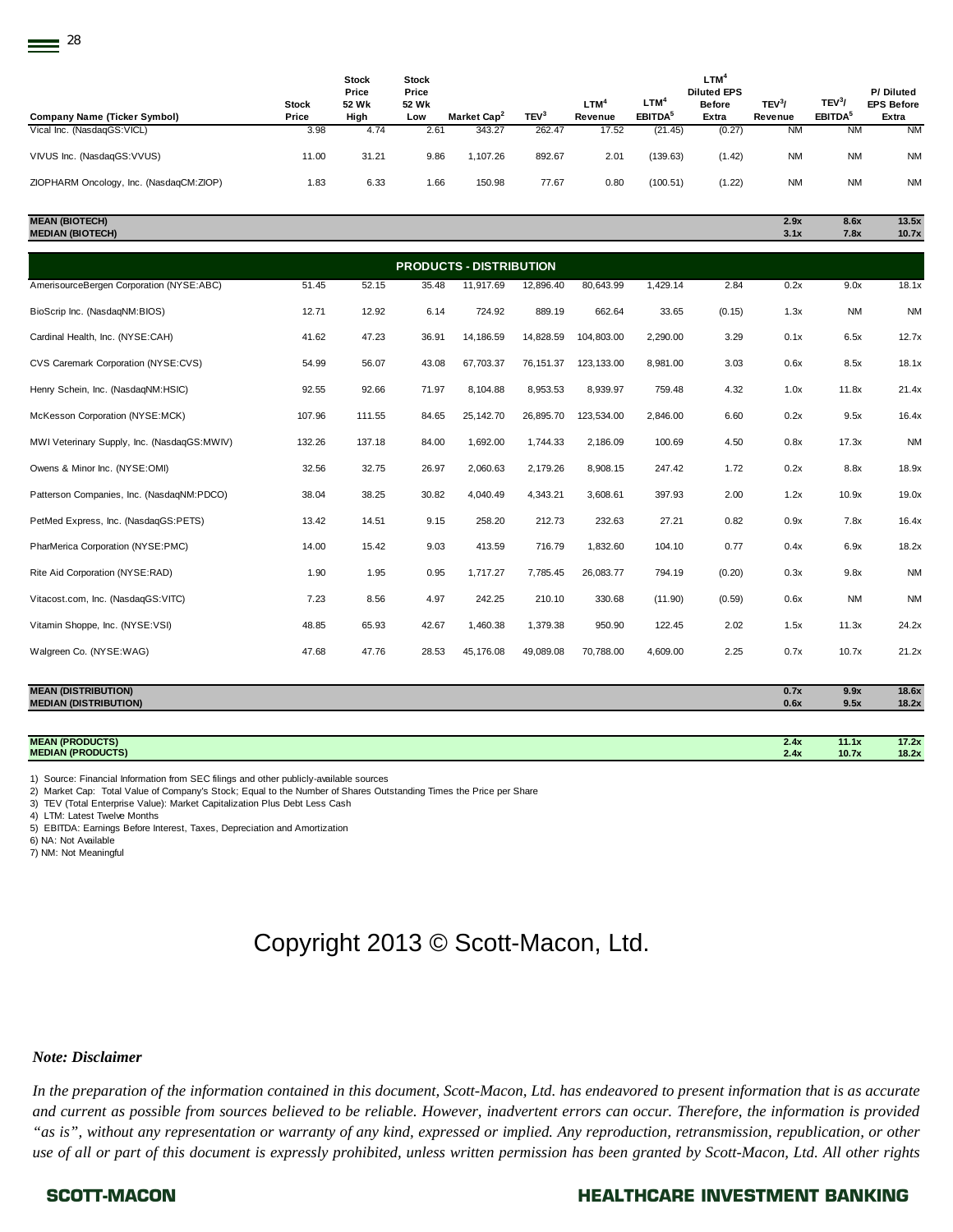| <b>Company Name (Ticker Symbol)</b>     | Stock<br>Price | Stock<br>Price<br>52 Wk<br>High | Stock<br>Price<br>52 Wk<br>Low | Market Cap <sup>2</sup> | TEV <sup>3</sup> | <b>LTM<sup>4</sup></b><br>Revenue | LTM <sup>4</sup><br>EBITDA <sup>5</sup> | <b>LTM<sup>4</sup></b><br><b>Diluted EPS</b><br><b>Before</b><br>Extra | TEV <sup>3</sup><br>Revenue | TEV <sup>3</sup><br>EBITDA <sup>5</sup> | P/Diluted<br><b>EPS Before</b><br>Extra |
|-----------------------------------------|----------------|---------------------------------|--------------------------------|-------------------------|------------------|-----------------------------------|-----------------------------------------|------------------------------------------------------------------------|-----------------------------|-----------------------------------------|-----------------------------------------|
| Vical Inc. (NasdaqGS:VICL)              | 3.98           | 4.74                            | 2.61                           | 343.27                  | 262.47           | 17.52                             | (21.45)                                 | (0.27)                                                                 | <b>NM</b>                   | <b>NM</b>                               | <b>NM</b>                               |
| VIVUS Inc. (NasdaqGS: VVUS)             | 11.00          | 31.21                           | 9.86                           | 1.107.26                | 892.67           | 2.01                              | (139.63)                                | (1.42)                                                                 | <b>NM</b>                   | <b>NM</b>                               | <b>NM</b>                               |
| ZIOPHARM Oncology, Inc. (NasdaqCM:ZIOP) | 1.83           | 6.33                            | 1.66                           | 150.98                  | 77.67            | 0.80                              | (100.51)                                | (1.22)                                                                 | <b>NM</b>                   | <b>NM</b>                               | <b>NM</b>                               |

#### **MEAN (BIOTECH) 2.9x 8.6x 13.5x**

| MEAN (BIUTECH).         | 2.YX | <b>8.0X</b> | 13.5X |
|-------------------------|------|-------------|-------|
| <b>MEDIAN (BIOTECH)</b> | 3.1x | 7.8x        | 10.7x |

|                                             | <b>PRODUCTS - DISTRIBUTION</b> |        |       |           |           |            |          |        |      |           |           |  |
|---------------------------------------------|--------------------------------|--------|-------|-----------|-----------|------------|----------|--------|------|-----------|-----------|--|
| AmerisourceBergen Corporation (NYSE:ABC)    | 51.45                          | 52.15  | 35.48 | 11,917.69 | 12,896.40 | 80,643.99  | 1,429.14 | 2.84   | 0.2x | 9.0x      | 18.1x     |  |
| BioScrip Inc. (NasdaqNM:BIOS)               | 12.71                          | 12.92  | 6.14  | 724.92    | 889.19    | 662.64     | 33.65    | (0.15) | 1.3x | <b>NM</b> | <b>NM</b> |  |
| Cardinal Health, Inc. (NYSE:CAH)            | 41.62                          | 47.23  | 36.91 | 14,186.59 | 14,828.59 | 104,803.00 | 2,290.00 | 3.29   | 0.1x | 6.5x      | 12.7x     |  |
| CVS Caremark Corporation (NYSE:CVS)         | 54.99                          | 56.07  | 43.08 | 67,703.37 | 76,151.37 | 123,133.00 | 8,981.00 | 3.03   | 0.6x | 8.5x      | 18.1x     |  |
| Henry Schein, Inc. (NasdaqNM:HSIC)          | 92.55                          | 92.66  | 71.97 | 8,104.88  | 8,953.53  | 8,939.97   | 759.48   | 4.32   | 1.0x | 11.8x     | 21.4x     |  |
| McKesson Corporation (NYSE:MCK)             | 107.96                         | 111.55 | 84.65 | 25,142.70 | 26,895.70 | 123,534.00 | 2,846.00 | 6.60   | 0.2x | 9.5x      | 16.4x     |  |
| MWI Veterinary Supply, Inc. (NasdaqGS:MWIV) | 132.26                         | 137.18 | 84.00 | 1,692.00  | 1,744.33  | 2,186.09   | 100.69   | 4.50   | 0.8x | 17.3x     | <b>NM</b> |  |
| Owens & Minor Inc. (NYSE:OMI)               | 32.56                          | 32.75  | 26.97 | 2,060.63  | 2,179.26  | 8,908.15   | 247.42   | 1.72   | 0.2x | 8.8x      | 18.9x     |  |
| Patterson Companies, Inc. (NasdaqNM:PDCO)   | 38.04                          | 38.25  | 30.82 | 4,040.49  | 4,343.21  | 3,608.61   | 397.93   | 2.00   | 1.2x | 10.9x     | 19.0x     |  |
| PetMed Express, Inc. (NasdaqGS:PETS)        | 13.42                          | 14.51  | 9.15  | 258.20    | 212.73    | 232.63     | 27.21    | 0.82   | 0.9x | 7.8x      | 16.4x     |  |
| PharMerica Corporation (NYSE:PMC)           | 14.00                          | 15.42  | 9.03  | 413.59    | 716.79    | 1,832.60   | 104.10   | 0.77   | 0.4x | 6.9x      | 18.2x     |  |
| Rite Aid Corporation (NYSE:RAD)             | 1.90                           | 1.95   | 0.95  | 1,717.27  | 7,785.45  | 26,083.77  | 794.19   | (0.20) | 0.3x | 9.8x      | <b>NM</b> |  |
| Vitacost.com, Inc. (NasdaqGS:VITC)          | 7.23                           | 8.56   | 4.97  | 242.25    | 210.10    | 330.68     | (11.90)  | (0.59) | 0.6x | <b>NM</b> | <b>NM</b> |  |
| Vitamin Shoppe, Inc. (NYSE:VSI)             | 48.85                          | 65.93  | 42.67 | 1,460.38  | 1,379.38  | 950.90     | 122.45   | 2.02   | 1.5x | 11.3x     | 24.2x     |  |
| Walgreen Co. (NYSE:WAG)                     | 47.68                          | 47.76  | 28.53 | 45,176.08 | 49,089.08 | 70,788.00  | 4,609.00 | 2.25   | 0.7x | 10.7x     | 21.2x     |  |
|                                             |                                |        |       |           |           |            |          |        |      |           |           |  |

| <b>MEAN (DISTRIBUTION)</b>   | 0.7x | 9.9x  | 18.6x |
|------------------------------|------|-------|-------|
| <b>MEDIAN (DISTRIBUTION)</b> | 0.6x | 9.5x  | 18.2x |
|                              |      |       |       |
| <b>MEAN (PRODUCTS)</b>       | 2.4x | 11.1x | 17.2x |
| <b>MEDIAN (PRODUCTS)</b>     | 2.4x | 10.7x | 18.2x |

1) Source: Financial Information from SEC filings and other publicly-available sources

2) Market Cap: Total Value of Company's Stock; Equal to the Number of Shares Outstanding Times the Price per Share

3) TEV (Total Enterprise Value): Market Capitalization Plus Debt Less Cash

4) LTM: Latest Twelve Months

5) EBITDA: Earnings Before Interest, Taxes, Depreciation and Amortization

6) NA: Not Available

7) NM: Not Meaningful

# Copyright 2013 © Scott-Macon, Ltd.

#### *Note: Disclaimer*

*In the preparation of the information contained in this document, Scott-Macon, Ltd. has endeavored to present information that is as accurate and current as possible from sources believed to be reliable. However, inadvertent errors can occur. Therefore, the information is provided "as is", without any representation or warranty of any kind, expressed or implied. Any reproduction, retransmission, republication, or other use of all or part of this document is expressly prohibited, unless written permission has been granted by Scott-Macon, Ltd. All other rights*